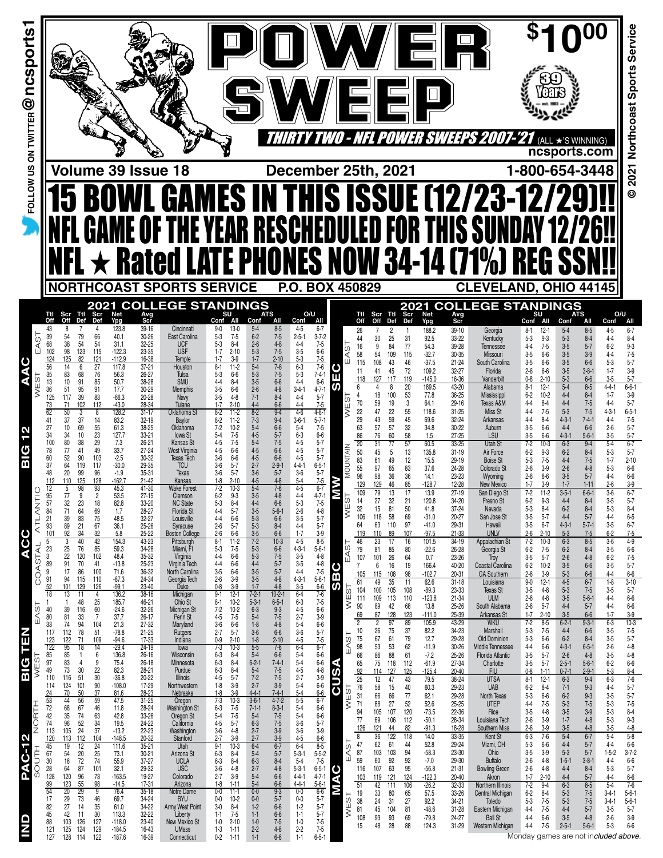| FOLLOW US ON TWITTER @ nCSports |                                                                                                                                                                                                          |                                                                                                                                                                                      | Volume 39 Issue 18                                                                                                                                                                                                         | <b>OWL GAMES IN THIS ISSUE (12/23-12/2</b><br><b>GAME OF THE YEAR RESCHEDULED FOR THIS SUNDAY</b><br>NFL $\star$ rated late phones now 34-14 (71%) REG             |                                                                                                                                                                                                                                    |                                                                                                                                                                                                                                                              | December 25th, 2021                                                                                                                                                                                                                                    |                                                                                                        |                                                                                             | ▓▓▓▓▓▓<br>팀민                                                                                                                       |                                                                                                         |                                                                                                                      | <i>EEPS 2007-2</i>                                                                                                                                   | 1-800-654-3448                                                                                                                                                                                                          | (ALL ★'S WINNING)<br>ncsports.com                                                                                                                                                                                                        |                                                                                                              | Service<br>Sports<br>2021 Northcoast<br>$\ddot{\circ}$                                                          |
|---------------------------------|----------------------------------------------------------------------------------------------------------------------------------------------------------------------------------------------------------|--------------------------------------------------------------------------------------------------------------------------------------------------------------------------------------|----------------------------------------------------------------------------------------------------------------------------------------------------------------------------------------------------------------------------|--------------------------------------------------------------------------------------------------------------------------------------------------------------------|------------------------------------------------------------------------------------------------------------------------------------------------------------------------------------------------------------------------------------|--------------------------------------------------------------------------------------------------------------------------------------------------------------------------------------------------------------------------------------------------------------|--------------------------------------------------------------------------------------------------------------------------------------------------------------------------------------------------------------------------------------------------------|--------------------------------------------------------------------------------------------------------|---------------------------------------------------------------------------------------------|------------------------------------------------------------------------------------------------------------------------------------|---------------------------------------------------------------------------------------------------------|----------------------------------------------------------------------------------------------------------------------|------------------------------------------------------------------------------------------------------------------------------------------------------|-------------------------------------------------------------------------------------------------------------------------------------------------------------------------------------------------------------------------|------------------------------------------------------------------------------------------------------------------------------------------------------------------------------------------------------------------------------------------|--------------------------------------------------------------------------------------------------------------|-----------------------------------------------------------------------------------------------------------------|
|                                 | Ttl                                                                                                                                                                                                      | 2021<br>Ttl                                                                                                                                                                          |                                                                                                                                                                                                                            | <b>NORTHCOAST SPORTS SERVICE</b><br><b>COLLEGE STANDINGS</b>                                                                                                       | SU                                                                                                                                                                                                                                 | <b>ATS</b>                                                                                                                                                                                                                                                   | P.O. BOX 450829<br>O/U                                                                                                                                                                                                                                 |                                                                                                        |                                                                                             | 2021                                                                                                                               |                                                                                                         |                                                                                                                      | <b>CLEVELAND, OHIO 44145</b><br><b>COLLEGE STANDINGS</b>                                                                                             | SU                                                                                                                                                                                                                      | <b>ATS</b>                                                                                                                                                                                                                               | O/U                                                                                                          |                                                                                                                 |
| EAST                            | Scr<br>Off<br>43<br>8<br>39<br>54<br>68<br>38<br>102<br>98<br>125<br>124<br>56<br>14<br>35<br>83<br>13<br>10<br>36<br>51<br>125<br>117                                                                   | Scr<br>Def<br>Def<br>79<br>66<br>54<br>54<br>115<br>123<br>82<br>121<br>27<br>6<br>68<br>76<br>91<br>85<br>95<br>91<br>39<br>83                                                      | Net<br>Ypg<br>Avg<br>Scr<br>39-16<br>123.8<br>40.1<br>$30 - 26$<br>32-25<br>31.1<br>$-122.3$<br>23-35<br>$-112.9$<br>16-38<br>117.8<br>$37 - 21$<br>56.3<br>26-27<br>50.7<br>38-28<br>30-29<br>17.7<br>$-66.3$<br>20-28    | Cincinnati<br>East Carolina<br><b>UCF</b><br><b>USF</b><br>Temple<br>Houston<br>Tulsa<br><b>SMU</b><br><b>Memphis</b><br>Navy                                      | Conf All<br>$13-0$<br>$9 - 0$<br>$5-3$<br>$7-5$<br>$5-3$<br>$8 - 4$<br>$1 - 7$<br>1-7<br>$2 - 10$<br>$3-9$<br>$8 - 1$<br>$11-2$<br>$5-3$<br>$6-6$<br>$4 - 4$<br>$8 - 4$<br>$3-5$<br>$6-6$<br>$3 - 5$<br>$4-8$                      | Conf<br>All<br>$5 - 4$<br>$8 - 5$<br>$7 - 5$<br>$6 - 2$<br>$2 - 6$<br>$4 - 8$<br>$5 - 3$<br>$7 - 5$<br>$1 - 7$<br>$2 - 10$<br>$5-4$<br>$7 - 6$<br>$7 - 5$<br>$5 - 3$<br>$3-5$<br>$6 - 6$<br>$2 - 6$<br>$4 - 8$<br>$7 - 1$<br>$8 - 4$                         | Conf<br>All<br>$4 - 5$<br>$6 - 7$<br>$3 - 7 - 2$<br>$2 - 5 - 1$<br>$4 - 4$<br>$7-5$<br>$3-5$<br>$6-6$<br>$5-3$<br>$7-5$<br>$6 - 3$<br>$7-6$<br>$\frac{5}{4}$ -3<br>$7 - 4 - 1$<br>$6-6$<br>$3 - 4 - 1$<br>$4 - 7 - 1$<br>$4 - 4$<br>$5 - 7$<br>$7 - 5$ | Ttl<br>Off<br>26<br>44<br>AST<br>16<br>58<br>11<br>Ш<br>118<br>U)<br>6                                 | Scr<br>Off<br>30<br>9<br>54<br>108<br>115<br>41<br>127<br>4<br>18                           | Scr<br>Def<br>Ttl<br>Def<br>2<br>25<br>31<br>84<br>77<br>115<br>109<br>46<br>43<br>45<br>72<br>117<br>119<br>20<br>53<br>100<br>19 | Net<br>Ypg<br>188.2<br>92.5<br>54.3<br>$-32.7$<br>$-37.5$<br>109.2<br>$-145.0$<br>189.5<br>77.8<br>64.1 | Avg<br>Scr<br>$39 - 10$<br>33-22<br>39-28<br>30-35<br>$21 - 24$<br>$32 - 27$<br>16-36<br>43-20<br>36-25<br>$29 - 16$ | Georgia<br>Kentucky<br>Tennessee<br>Missouri<br>South Carolina<br>Florida<br>Vanderbilt<br>Alabama<br>Mississippi                                    | Conf<br>All<br>$12-1$<br>8-1<br>$5 - 3$<br>$9 - 3$<br>$7 - 5$<br>$4 - 4$<br>$3-5$<br>$6-6$<br>$3-5$<br>$6-6$<br>$2 - 6$<br>$6-6$<br>$0 - 8$<br>$2 - 10$<br>$8 - 1$<br>$12 - 1$<br>$10-2$<br>$6-2$<br>$4 - 4$<br>$8 - 4$ | Conf<br>All<br>$5 - 4$<br>$8 - 5$<br>$5 - 3$<br>$8 - 4$<br>$3 - 5$<br>$5 - 7$<br>$3-5$<br>$3-9$<br>$3-5$<br>$6-6$<br>$3-5$<br>$3 - 8 - 1$<br>$5 - 3$<br>$6-6$<br>$5 - 4$<br>$8 - 5$<br>$4 - 4$<br>$8 - 4$<br>$4 - 4$                     | Conf<br>4-5<br>$4 - 4$<br>$6 - 2$<br>$4-4$<br>$5-3$<br>$1 - 7$<br>$3-5$<br>$4 - 4 - 1$<br>$1 - 7$<br>$4 - 4$ | All<br>$6 - 7$<br>$8 - 4$<br>$9-3$<br>$7 - 5$<br>$5 - 7$<br>$3-9$<br>$5 - 7$<br>$6 - 6 - 1$<br>$3-9$<br>$5 - 7$ |
| S<br>BIG                        | 71<br>62<br>50<br>37<br>41<br>27<br>10<br>34<br>34<br>80<br>100<br>78<br>77<br>52<br>60<br>37<br>64<br>20<br>48<br>110<br>112                                                                            | 102<br>112<br>8<br>37<br>14<br>55<br>69<br>23<br>10<br>38<br>29<br>49<br>41<br>90<br>103<br>117<br>119<br>99<br>96<br>125<br>128                                                     | $-43.0$<br>28-34<br>128.2<br>$31 - 17$<br>83.2<br>$32 - 19$<br>61.3<br>38-25<br>127.7<br>$33 - 21$<br>7.3<br>$26 - 21$<br>33.7<br>27-24<br>$-2.5$<br>30-32<br>$-30.0$<br>29-35<br>$-1.9$<br>$35 - 31$<br>$-162.7$<br>21-42 | Tulane<br>Oklahoma St<br>Baylor<br>Oklahoma<br>Iowa St<br>Kansas St<br>West Virginia<br><b>Texas Tech</b><br><b>TCU</b><br>Texas<br>Kansas                         | $1 - 7$<br>$2 - 10$<br>$8-2$<br>$11-2$<br>$8-2$<br>$11-2$<br>$7 - 2$<br>$10 - 2$<br>$7 - 5$<br>$5-4$<br>$4 - 5$<br>$7 - 5$<br>$4-5$<br>$6-6$<br>$3-6$<br>$6-6$<br>$3-6$<br>$5 - 7$<br>$3-6$<br>$5 - 7$<br>$2 - 10$<br>$1-8$        | $4 - 4$<br>$6-6$<br>$8 - 2$<br>$9 - 4$<br>$9 - 4$<br>$7 - 3$<br>$5 - 4$<br>$6 - 6$<br>$4 - 5$<br>$5 - 7$<br>$5 - 4$<br>$7 - 5$<br>$4 - 5$<br>$6 - 6$<br>$4 - 5$<br>$6 - 6$<br>$2 - 7$<br>$2 - 9 - 1$<br>$3-6$<br>$5 - 7$<br>$4 - 5$<br>$4 - 8$               | $4 - 4$<br>$4 - 8 - 1$<br>$4-6$<br>$3-6-1$<br>$5 - 7 - 1$<br>$5 - 4$<br>$7 - 5$<br>$6 - 3$<br>$6-6$<br>$4 - 5$<br>$5 - 7$<br>$5 - 7$<br>$4 - 5$<br>$4 - 5$<br>$5 - 7$<br>$6 - 5 - 1$<br>$4 - 4 - 1$<br>$3-6$<br>$5 - 7$<br>$7 - 5$<br>$5-4$            | <b>NES</b><br>70<br>22<br>29<br>63<br>86<br>20<br>MOUNTAIN<br>50<br>83<br>55<br>96                     | 59<br>47<br>43<br>57<br>76<br>31<br>45<br>61<br>97<br>98<br>129                             | 3<br>22<br>55<br>59<br>45<br>57<br>32<br>60<br>58<br>57<br>77<br>13<br>5<br>49<br>12<br>65<br>83<br>36<br>36<br>85                 | 118.6<br>69.6<br>34.8<br>1.5<br>60.5<br>135.8<br>15.5<br>37.6<br>14.1<br>-128.7                         | $31 - 25$<br>32-24<br>$30 - 22$<br>$27 - 25$<br>33-25<br>$31 - 19$<br>29-19<br>24-28<br>23-23<br>12-28               | Texas A&M<br>Miss St<br>Arkansas<br>Auburn<br>LSU<br>Utah St<br>Air Force<br><b>Boise St</b><br>Colorado St<br>Wyoming<br>New Mexico                 | $4 - 4$<br>$7 - 5$<br>$4 - 4$<br>$8 - 4$<br>$3-5$<br>$6-6$<br>$3-5$<br>$6-6$<br>$7 - 2$<br>10-3<br>$6 - 2$<br>$9 - 3$<br>$5 - 3$<br>$7 - 5$<br>$3-9$<br>$2 - 6$<br>$2 - 6$<br>$6-6$<br>$3-9$<br>$1 - 7$                 | $7 - 5$<br>$5 - 3$<br>$7 - 5$<br>$4-3-1$<br>$7 - 4 - 1$<br>$4 - 4$<br>$6-6$<br>$4-3-1$<br>$5 - 6 - 1$<br>$6 - 3$<br>$9 - 4$<br>$6 - 2$<br>$8 - 4$<br>$4 - 4$<br>$7 - 5$<br>$2 - 6$<br>$4 - 8$<br>$3-5$<br>$5 - 7$<br>$1 - 7$<br>$1 - 11$ | $4 - 3 - 1$<br>$4 - 4$<br>$2 - 6$<br>3-5<br>$5-4$<br>$5-3$<br>$1 - 7$<br>$5-3$<br>$4 - 4$<br>2-6             | $6 - 5 - 1$<br>$7 - 5$<br>$5 - 7$<br>$5 - 7$<br>$6 - 7$<br>$5 - 7$<br>$2 - 10$<br>$6-6$<br>$6-6$<br>$3-9$       |
| ATLANTIC<br><b>ACC</b>          | 12<br>95<br>đ<br>$\overline{77}$<br>57<br>32<br>84<br>71<br>39<br>21<br>93<br>89<br>92<br>101<br>3<br>5<br>23<br>25<br>$\begin{array}{c} 3 \\ 89 \end{array}$<br>$\begin{array}{c} 22 \\ 91 \end{array}$ | 98<br>$\frac{93}{2}$<br>9<br>18<br>23<br>64<br>83<br>69<br>75<br>67<br>21<br>34<br>32<br>42<br>40<br>76<br>85<br>120<br>70<br>102<br>41                                              | 45.3<br>53.5<br>41-30<br>$27 - 15$<br>82.8<br>33-20<br>1.7<br>28-27<br>$32 - 27$<br>48.5<br>36.1<br>25-26<br>$\frac{25-22}{43-23}$<br>5.8<br>154.3<br>59.3<br>34-28<br>48.4<br>$35 - 32$<br>$25 - 23$<br>$-13.8$           | Wake Forest<br>Clemson<br><b>NC State</b><br>Florida St<br>Louisville<br>Syracuse<br><b>Boston College</b><br>Pittsburgh<br>Miami, FI<br>Virginia<br>Virginia Tech | $7 - 2$<br>6-2<br>10-3<br>$9-3$<br>$8-4$<br>$5-7$<br>$6-6$<br>$5 - 3$<br>$4 - 4$<br>$4 - 4$<br>$2 - 6$<br>$5 - 7$<br>$2 - 6$<br>$\frac{6-6}{11-2}$<br>$8 - 1$<br>$7 - 5$<br>$5-3$<br>$6 - 6$<br>$6 - 6$<br>$4-4$<br>$4-4$<br>$3-5$ | 5-4<br>3-5<br>$/ -6$<br>$4 - 8$<br>$4-4$<br>$3-5$<br>$5-3$<br>$5-3$<br>$3-5$<br>$7-2$<br>$6-6$<br>$5 - 6 - 1$<br>6-6<br>$8 - 4$<br>$6-6$<br>$10-3$<br>$5-3$<br>$6-6$<br>$7 - 5$<br>$5 - 7$                                                                   | $4-5$<br>$4-4$<br>6-7<br>4-7-1<br>7-5<br>$5 - 3$<br>$\frac{2-6}{3-5}$<br>$rac{4-8}{5-7}$<br>$4 - 4$<br>$5 - 7$<br>$1 - 7$<br>$\frac{3-9}{8-5}$<br>$4-5$<br>$4 - 3 - 1$<br>$5 - 6 - 1$<br>$3 - 5$<br>$3 - 5$<br>$4 - 8$<br>4-8                          | М<br>WEST<br>14<br>32<br>64<br>46<br>EAST<br>79                                                        | 79<br>109<br>27<br>15<br>106<br>118<br>63<br>110<br>119<br>23<br>81<br>107<br>101           | 13<br>17<br>21<br>32<br>50<br>81<br>69<br>58<br>97<br>110<br>89<br>107<br>16<br>17<br>80<br>85<br>26<br>64                         | 13.9<br>120.8<br>41.8<br>$-31.0$<br>$-41.0$<br>$-97.5$<br>101.5<br>$-22.6$<br>0.7                       | 27-19<br>34-20<br>37-24<br>$20 - 27$<br>29-31<br>21-33<br>34-19<br>26-28<br>23-26                                    | San Diego St<br>Fresno St<br>Nevada<br>San Jose St<br>Hawaii<br><b>UNLV</b><br>Appalachian St<br>Georgia St<br>Troy                                  | $7 - 2$<br>$11-2$<br>$6 - 2$<br>$9-3$<br>$8 - 4$<br>$5 - 3$<br>$3-5$<br>$5 - 7$<br>$3-5$<br>$6 - 7$<br>$2 - 10$<br>$2 - 6$<br>$10-3$<br>$7 - 2$<br>$7 - 5$<br>$6 - 2$<br>$3-5$<br>$5 - 7$                               | $3-5-1$<br>$6 - 6 - 1$<br>$4 - 4$<br>6-2<br>$8 - 4$<br>$8 - 4$<br>$4 - 4$<br>$5 - 7$<br>$4 - 3 - 1$<br>$5 - 7 - 1$<br>$5 - 3$<br>$7 - 5$<br>$6 - 3$<br>$8 - 5$<br>$6 - 2$<br>$8 - 4$<br>$2 - 6$<br>$4 - 8$<br>$3-5$                      | $3-6$<br>$3-5$<br>$5 - 3$<br>$4 - 4$<br>$3-5$<br>$6 - 2$<br>$3-6$<br>$3-5$<br>$6 - 2$                        | $6 - 7$<br>$5 - 7$<br>$8 - 4$<br>$6-5$<br>$6 - 7$<br>$7 - 5$<br>$4 - 9$<br>$6-6$<br>$7-5$<br>$5 - 7$            |
| COASTA<br>EAST<br><b>NELL</b>   | 17<br>9<br>$\frac{91}{52}$<br>94<br>101<br>18<br>13<br>$\mathbf{1}$<br>39<br>40<br>80<br>81<br>33<br>74<br>112<br>117<br>122<br>123                                                                      | 86<br>100<br>115<br>110<br>129<br>126<br>$\overline{11}$<br>4<br>48<br>$\begin{array}{c} 25 \\ 60 \end{array}$<br>116<br>$7\phantom{.0}$<br>33<br>94<br>78<br>104<br>51<br>71<br>109 | $36 - 32$<br>71.6<br>24-34<br>23-40<br>$-87.3$<br>$-99.1$<br>136.2<br>$38 - 16$<br>185.7<br>46-21<br>$-24.6$<br>32-26<br>37.7<br>$26-17$<br>27-32<br>21-25<br>21.3<br>$-78.8$<br>$-94.6$<br>17-33                          | North Carolina<br>Georgia Tech<br>Duke<br>Michigan<br>Ohio <sup>St</sup><br>Michigan St<br>Penn St<br>Maryland<br>Rutgers<br>Indiana                               | $6-6$<br>$2 - 6$<br>0-8<br>$3 - 9$<br>$3 - 9$<br>$9 - 1$<br>$12-1$<br>$8 - 1$<br>$10-2$<br>$10-2$<br>$7 - 2$<br>$7-5$<br>6-6<br>5-7<br>$4 - 5$<br>$3-6$<br>$2-7$<br>$2 - 10$<br>$0-9$                                              | $5-3$<br>$4-4$<br>$3-5$<br>$3-5$<br>$1-7$<br>$5-7$<br>$\frac{4-8}{4-8}$<br>$7 - 2 - 1$<br>$10-2-1$<br>$5 - 3 - 1$<br>6-3<br>$6 - 5 - 1$<br>$9 - 3$<br>$5 - 4$<br>$7 - 5$<br>$4 - 8$<br>6-6<br>$1 - 8$<br>$3 - 6$<br>$2 - 10$                                 | $4 - 4$<br>$7-5$<br>5-6-1<br>6-6<br>7-6<br>$\frac{4-3-1}{3-5}$<br>$6 - 4$<br>$6 - 3$<br>$7 - 5$<br>$4-5$<br>$6-6$<br>$2 - 7$<br>$3-9$<br>$\frac{5-4}{3-6}$<br>$6 - 6$<br>5-7<br>$4 - 5$<br>$7-5$                                                       | ٥<br>7<br>В<br>61<br>TSST<br>$\geq$<br>90<br>69<br>$\overline{2}$<br>10<br>EAST<br>$75\,$              | 6<br>105<br>115<br>49<br>100<br>104<br>111<br>109<br>89<br>87<br>$\overline{2}$<br>26<br>67 | 19<br>16<br>108<br>98<br>35<br>11<br>105<br>108<br>113<br>110<br>42<br>68<br>128<br>123<br>89<br>97<br>75<br>37<br>79<br>61        | 166.4<br>$-102.7$<br>62.6<br>$-89.3$<br>$-123.8$<br>13.8<br>$-111.0$<br>105.9<br>82.2<br>12.7           | 40-20<br>20-31<br>$31 - 18$<br>23-33<br>21-34<br>$25 - 26$<br>25-39<br>43-29<br>34-23<br>29-28                       | Coastal Carolina<br><b>GA Southern</b><br>Louisiana<br>Texas St<br>ULM<br>South Alabama<br>Arkansas St<br><b>WKU</b><br>Marshall<br>Old Dominion     | $6 - 2$<br>$10 - 2$<br>$3-9$<br>$2 - 6$<br>$12 - 1$<br>$9 - 0$<br>$4 - 8$<br>$3-5$<br>$4 - 8$<br>$2 - 6$<br>$5 - 7$<br>$2 - 6$<br>$1 - 7$<br>$2 - 10$<br>$8 - 5$<br>$7 - 2$<br>$7 - 5$<br>$5 - 3$<br>$5-3$<br>$6-6$     | $6-6$<br>$5 - 3$<br>$6-6$<br>$4 - 5$<br>$6 - 7$<br>$5 - 3$<br>$7-5$<br>$3-5$<br>$5 - 6 - 1$<br>$4 - 4$<br>$5 - 7$<br>$3-5$<br>$6 - 6$<br>$6 - 2 - 1$<br>$9 - 3 - 1$<br>$4 - 4$<br>$6-6$<br>$6 - 2$<br>$8 - 4$                            | $3-5$<br>$4 - 4$<br>$1-8$<br>$3-5$<br>$4 - 4$<br>$4 - 4$<br>$1 - 7$<br>$6 - 3$<br>$3-5$<br>$3-5$             | $6 - 6$<br>$3-10$<br>$5 - 7$<br>$6-6$<br>$6-6$<br>$3-9$<br>$10-3$<br>$7-5$<br>$5 - 7$                           |
| BIG<br>HTH<br>NORTH             | $\frac{122}{85}$<br>$\frac{95}{85}$<br>97<br>83<br>$\frac{73}{116}$<br>49<br>110<br>124<br>114<br>$\frac{24}{53}$<br>70<br>44<br>72<br>68<br>$\frac{42}{74}$<br>$\frac{35}{96}$                          | 18<br>14<br>6<br>$\overline{1}$<br>9<br>4<br>$\begin{array}{c} 30 \\ 51 \end{array}$<br>$\frac{22}{30}$<br>90<br>101<br>50<br>37<br>59<br>56<br>67<br>46<br>$\frac{74}{52}$          | $-29.4$<br>$24 - 19$<br>136.8<br>26-16<br>$26 - 18$<br>75.4<br>28-21<br>20-22<br>$82.3$<br>$-36.8$<br>$-108.0$<br>17-29<br>81.6<br>28-23<br>47.5<br>$31 - 25$<br>28-24<br>11.8<br>42.8<br>33-26<br>24-22                   | lowa<br>Wisconsin<br>Minnesota<br>Purdue<br><b>Illinois</b><br>Northwestern<br>Nebraska<br>Oregon<br><b>Washington St</b><br>Oregon St                             | $7 - 3$<br>6-3<br>$10-3$<br>8-4<br>8-4<br>8-4<br>5-7<br>$6-3$<br>$6 - 3$<br>4-5<br>$3-9$<br>$1-8$<br>$3-9$<br>$1-8$<br>$\frac{1}{10.3}$<br>$7-3$<br>$7-5$<br>$7-5$<br>$5-7$<br>$6 - 3$<br>$\frac{5-4}{4-5}$                        | $\frac{1-8}{5-5}$<br>5-4<br>$7 - 6$<br>$6-6$<br>$6 - 2 - 1$<br>$7-4-1$<br>$7-5$<br>$7-5$<br>$5 - 4$<br>7-2<br>$2 - 7$<br>$3-9$<br>$4 - 4 - 1$<br>$7-4-1$<br>$3 - 6 - 1$<br>$4 - 7 - 2$<br>$7 - 1 - 1$<br>$8 - 3 - 1$<br>$5 - 4$<br>$6 - 3$<br>$7-5$<br>$7-5$ | $6 - 4$<br>$5 - 4$<br>$6 - 7$<br>6-6<br>$5-4$<br>$4-5$<br>$2-7$<br>$6-6$<br>$4-8$<br>$3-9$<br>$6-6$<br>$5 - 4$<br>$5 - 4$<br>$rac{6-6}{6-7}$<br>$5 - 5$<br>$5-4$<br>$6-6$<br>$\frac{5-4}{3-6}$<br>$6-6$                                                | 98<br>66<br>65<br>₹<br>92<br><b>CUS</b><br>$\overline{25}$<br>$76\,$<br>5<br>31<br>Ë<br>71<br>94<br>77 | 53<br>86<br>75<br>114<br>12<br>58<br>66<br>88<br>105<br>69                                  | 62<br>53<br>88<br>61<br>118<br>112<br>127<br>125<br>47<br>43<br>15<br>40<br>66<br>77<br>52<br>27<br>120<br>107<br>106<br>112       | $-11.9$<br>$-7.2$<br>$-61.9$<br>$-125.4$<br>79.5<br>60.3<br>62.1<br>52.6<br>$-73.5$<br>$-50.1$          | $30 - 26$<br>$25 - 26$<br>27-34<br>20-40<br>38-24<br>29-23<br>29-28<br>$25 - 25$<br>22-36<br>28-34                   | Middle Tennessee<br>Florida Atlantic<br>Charlotte<br><b>FIU</b><br><b>UTSA</b><br><b>UAB</b><br>North Texas<br><b>UTEP</b><br>Rice<br>Louisiana Tech | $4 - 4$<br>$6-6$<br>$3-5$<br>$5 - 7$<br>$5 - 7$<br>$3-5$<br>$1 - 11$<br>$0 - 8$<br>$8 - 1$<br>$12 - 1$<br>$6 - 2$<br>$8 - 4$<br>$6-6$<br>$5 - 3$<br>$7-5$<br>$4 - 4$<br>$3-5$<br>$4 - 8$<br>$2 - 6$<br>$3-9$            | $4 - 3 - 1$<br>$6 - 5 - 1$<br>$2 - 6$<br>$4 - 8$<br>$2 - 5 - 1$<br>$5 - 6 - 1$<br>$0 - 7 - 1$<br>$2 - 9 - 1$<br>$6 - 3$<br>$9-4$<br>$7 - 1$<br>$9 - 3$<br>$6 - 2$<br>$9-3$<br>$5-3$<br>$7 - 5$<br>$3-5$<br>$3-9$<br>$1 - 7$<br>$4 - 8$   | $2-6$<br>$3-5$<br>$6 - 2$<br>$5 - 3$<br>$6 - 3$<br>$4 - 4$<br>$3-5$<br>$5 - 3$<br>$5 - 3$<br>$5 - 3$         | $4-8$<br>$4-8$<br>$6-6$<br>$8-4$<br>$7-6$<br>$5 - 7$<br>$5 - 7$<br>$7-5$<br>$8 - 4$<br>$9-3$                    |
| <b>PAC-12</b><br>JULO<br>w      | $105$<br>113<br>113<br>120<br>19<br>45<br>67<br>54<br>$\begin{array}{c} 30 \\ 28 \end{array}$<br>16<br>64<br>120<br>128<br>123<br>$\frac{99}{54}$<br>20                                                  | 63<br>34<br>37<br>24<br>112<br>$\frac{104}{24}$<br>12<br>20<br>25<br>$\frac{74}{101}$<br>$\begin{array}{c} 72 \\ 87 \end{array}$<br>96<br>73<br>55<br>98<br>29<br>9                  | 19.5<br>22-23<br>$-13.2$<br>$20 - 32$<br>$-148.5$<br>$35 - 21$<br>111.6<br>73.1<br>$30 - 21$<br>37-27<br>29-32<br>55.9<br>32.1<br>$-163.5$<br>19-27<br>$-14.5$<br>17-31<br>76.4<br>$35 - 18$                               | California<br>Washington<br>Stanford<br>Utah<br>Arizona St<br><b>UCLA</b><br>USC<br>Colorado<br>Arizona<br>Notre Dame                                              | $3-6$<br>$4 - 8$<br>$3-9$<br>$2 - 7$<br>$9 - 1$<br>$10-3$<br>$6-3$<br>$8-4$<br>$8-4$<br>$4-8$<br>$6 - 3$<br>$3 - 6$<br>$3-9$<br>$2 - 7$<br>$1 - 11$<br>$1-8$<br>$0-0$<br>11-1                                                      | $2 - 7$<br>$3-9$<br>$\frac{2-7}{6-4}$<br>$\frac{3-9}{6-7}$<br>$5-4$<br>$5 - 7$<br>$6 - 3$<br>2-7<br>$8 - 4$<br>$4 - 8$<br>$5 - 4$<br>$6-6$<br>$5 - 4$<br>$6 - 6$<br>$9 - 3$<br>$0-0$                                                                         | $5 - 7$<br>$3-6$<br>$3-9$<br>$4 - 5$<br>$rac{6-6}{8-5}$<br>$6 - 4$<br>$5 - 3 - 1$<br>$5 - 5 - 2$<br>$5-4$<br>$5-3-1$<br>$7 - 5$<br>$6 - 5 - 1$<br>$4 - 7 - 1$<br>$4 - 4 - 1$<br>$\frac{5-6-1}{6-6}$<br>$4 - 4 - 1$<br>0-0                              | 8<br>EAST<br>47<br>87<br>59<br>ပ<br>MA<br>51<br>19                                                     | 126<br>121<br>36<br>62<br>103<br>60<br>107<br>116<br>119<br>103<br>42<br>33                 | 44<br>82<br>122<br>118<br>61<br>44<br>103<br>94<br>92<br>92<br>63<br>95<br>121<br>124<br>106<br>111<br>80<br>65                    | $-91.3$<br>14.0<br>52.8<br>$-58.3$<br>$-7.0$<br>$-56.8$<br>$-122.3$<br>$-26.2$<br>57.5                  | $18 - 28$<br>33-35<br>29-24<br>23-30<br>29-30<br>$21 - 31$<br>20-40<br>$32 - 33$<br>33-26                            | <b>Southern Miss</b><br>Kent St<br>Miami, OH<br>Ohio<br><b>Buffalo</b><br><b>Bowling Green</b><br>Akron<br>Northern Illinois<br>Central Michigan     | $3-9$<br>$2 - 6$<br>$7 - 6$<br>$6-3$<br>$5-3$<br>$6-6$<br>$3-5$<br>$3-9$<br>$2 - 6$<br>$4 - 8$<br>$4 - 8$<br>$2 - 6$<br>$1 - 7$<br>$2 - 10$<br>$7 - 2$<br>$9-4$<br>$6 - 2$<br>$8 - 4$                                   | $3-5$<br>$4 - 8$<br>$5-4$<br>$6 - 7$<br>$4 - 4$<br>$5 - 7$<br>$5 - 3$<br>$5 - 7$<br>$1 - 6 - 1$<br>$3 - 8 - 1$<br>$4 - 4$<br>$8 - 4$<br>$4 - 4$<br>$5 - 7$<br>$6 - 3$<br>$8 - 5$<br>$5 - 3$<br>$7-5$                                     | $3-5$<br>$5 - 4$<br>$4 - 4$<br>$1-5-2$<br>$4 - 4$<br>$5 - 3$<br>$4 - 4$<br>$5-4$<br>$3 - 4 - 1$              | $4 - 8$<br>$5 - 8$<br>$6-6$<br>$3 - 7 - 2$<br>$6-6$<br>$5 - 7$<br>$6-6$<br>$7 - 6$<br>$5 - 6 - 1$               |
| $\overline{\mathbf{z}}$         | 17<br>29<br>27<br>$\begin{array}{c} 82 \\ 45 \end{array}$<br>42<br>88<br>103<br>125 124<br>128 114<br>121<br>127                                                                                         | 73<br>46<br>14<br>$\frac{35}{30}$<br>11<br>127<br>126<br>129<br>122                                                                                                                  | 34-24<br>69.7<br>34-22<br>32-22<br>61.0<br>113.3<br>23-40<br>$-118.0$<br>16-43<br>$-184.5$<br>$-187.6$<br>16-39                                                                                                            | <b>BYU</b><br>Army West Point<br>Liberty<br>New Mexico St<br><b>UMass</b><br>Connecticut                                                                           | $10 - 2$<br>$0-0$<br>$8-4$<br>7-5<br>$3 - 0$<br>1-1<br>$2 - 10$<br>$1-0$<br>$1 - 3$<br>0-2<br>$\frac{1-11}{1-11}$                                                                                                                  | $5 - 7$<br>$0-0$<br>$1-2$<br>1-1<br>1-0<br>$6 - 6$<br>$6 - 6$<br>$7-5$<br>$2 - 2$<br>1-1<br>$\frac{4-8}{6-6}$                                                                                                                                                | $\frac{5}{5} - 7$<br>$\frac{5}{5} - 7$<br>$0-0$<br>$1 - 2$<br>1-1<br>$7-5$<br>$1-0$<br>$2 - 2$<br>$7-5$<br>$6 - 5 - 1$<br>$1 - 1$                                                                                                                      | WES <sup>-</sup><br>38<br>81<br>15                                                                     | 24<br>45<br>93<br>108<br>48                                                                 | 27<br>31<br>81<br>104<br>93<br>69<br>28<br>88                                                                                      | 92.2<br>$-48.6$<br>$-79.8$<br>124.3                                                                     | 34-21<br>$31 - 28$<br>24-27<br>31-29                                                                                 | Toledo<br>Eastern Michigan<br><b>Ball St</b><br>Western Michigan                                                                                     | $7-5$<br>$5 - 3$<br>$4 - 4$<br>$7-5$<br>$4 - 4$<br>$6-6$<br>$4 - 4$<br>$7 - 5$<br>Monday games are not included above.                                                                                                  | $5 - 3$<br>$7 - 5$<br>$4 - 4$<br>$5 - 7$<br>$3 - 5$<br>$4 - 8$<br>$2 - 5 - 1$<br>$5 - 6 - 1$                                                                                                                                             | $3 - 4 - 1$<br>$3-5$<br>2-6<br>$5-3$                                                                         | $5 - 6 - 1$<br>$5 - 7$<br>$3-9$<br>$6-6$                                                                        |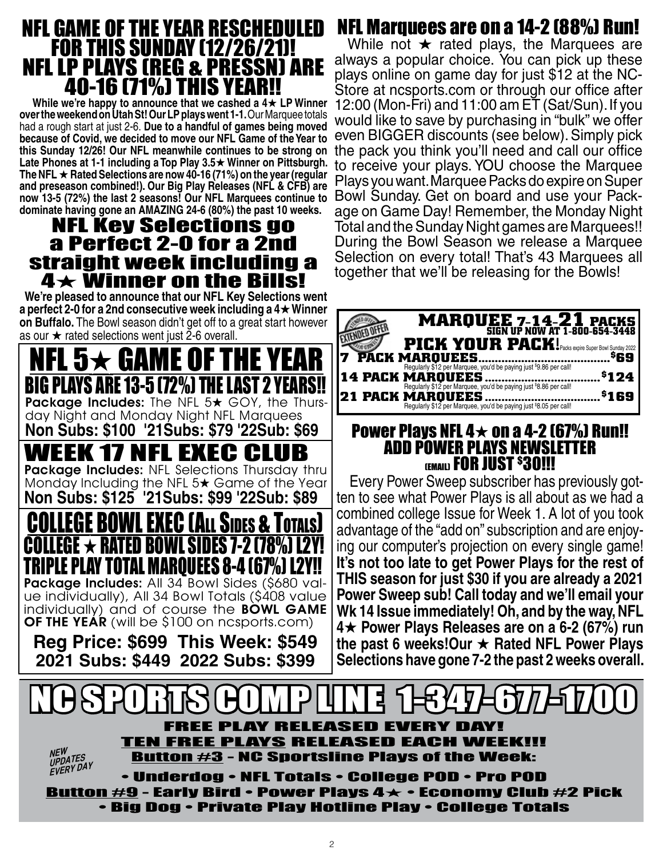# NFL GAME OF THE YEAR RESCHEDULED FOR THIS SUNDAY (12/26/21)! NFL LP PLAYS (REG & PRESSN) ARE 40-16 (71%) THI

While we're happy to announce that we cashed a  $4\star$  LP Winner **over the weekend on Utah St! Our LP plays went 1-1.** Our Marquee totals had a rough start at just 2-6. **Due to a handful of games being moved because of Covid, we decided to move our NFL Game of the Year to this Sunday 12/26! Our NFL meanwhile continues to be strong on**  Late Phones at 1-1 including a Top Play 3.5★ Winner on Pittsburgh. **The NFL** H **Rated Selections are now 40-16 (71%) on the year (regular and preseason combined!). Our Big Play Releases (NFL & CFB) are now 13-5 (72%) the last 2 seasons! Our NFL Marquees continue to dominate having gone an AMAZING 24-6 (80%) the past 10 weeks.**

# NFL Key Selections go a Perfect 2-0 for a 2nd straight week including a 4 $\bm{\star}$  Winner on the Bi

**We're pleased to announce that our NFL Key Selections went a perfect 2-0 for a 2nd consecutive week including a 4**H **Winner on Buffalo.** The Bowl season didn't get off to a great start however as our  $\star$  rated selections went just 2-6 overall.

NFL 5 $\bm{\star}$  game of the year LAYS ARE 13-5 (72%) THE LAST 2 Package Includes: The NFL  $5\star$  GOY, the Thursday Night and Monday Night NFL Marquees **Non Subs: \$100 '21Subs: \$79 '22Sub: \$69** WEEK 17 NFL EXEC CLUB Package Includes: NFL Selections Thursday thru Monday Including the NFL  $5\star$  Game of the Year **Non Subs: \$125 '21Subs: \$99 '22Sub: \$89** SIDES & T COLLEGE  $\star$  rated bowl sides 7-2 (78%) L2Y! TRIPLE PLAY TOTAL MARQUEES 8-4 (67%) L2Y!! Package Includes: All 34 Bowl Sides (\$680 value individually), All 34 Bowl Totals (\$408 value individually) and of course the BOWL GAME **OF THE YEAR** (will be \$100 on ncsports.com)

**Reg Price: \$699 This Week: \$549 2021 Subs: \$449 2022 Subs: \$399**

# NFL Marquees are on a 14-2 (88%) Run!

While not  $\star$  rated plays, the Marquees are always a popular choice. You can pick up these plays online on game day for just \$12 at the NC-Store at ncsports.com or through our office after 12:00 (Mon-Fri) and 11:00 am ET (Sat/Sun). If you would like to save by purchasing in "bulk" we offer even BIGGER discounts (see below). Simply pick the pack you think you'll need and call our office to receive your plays. YOU choose the Marquee Plays you want. Marquee Packs do expire on Super Bowl Sunday. Get on board and use your Package on Game Day! Remember, the Monday Night Total and the Sunday Night games are Marquees!! During the Bowl Season we release a Marquee Selection on every total! That's 43 Marquees all together that we'll be releasing for the Bowls!

| <b>MARQUEE 7-14-21 PACKS</b><br>SIGN UP NOW AT 1-800-654-3448<br><b>PICK YOUR PACK!</b> Packs expire Super Bowl Sunday 2022<br>PACK MARQUEES<br>\$69                |  |
|---------------------------------------------------------------------------------------------------------------------------------------------------------------------|--|
| Regularly \$12 per Marquee, you'd be paying just \$9.86 per call!<br>14 PACK MARQUEES<br>\$124<br>Regularly \$12 per Marquee, you'd be paying just \$8.86 per call! |  |
| <b>21 PACK MARQUEES</b><br><sup>5</sup> 169<br>Regularly \$12 per Marquee, you'd be paying just \$8.05 per call!                                                    |  |

## **Power Plays NFL 4** $\star$  **on a 4-2 (67%) Run!!** ADD POWER PLAYS NEWSLETTER (EMAIL) **FOR JUST <sup>\$</sup>30!!!**

Every Power Sweep subscriber has previously got- ten to see what Power Plays is all about as we had a combined college Issue for Week 1. A lot of you took advantage of the "add on" subscription and are enjoy- ing our computer's projection on every single game! **It's not too late to get Power Plays for the rest of THIS season for just \$30 if you are already a 2021 Power Sweep sub! Call today and we'll email your Wk 14 Issue immediately! Oh, and by the way, NFL 4**H **Power Plays Releases are on a 6-2 (67%) run the past 6 weeks!Our ★ Rated NFL Power Plays Selections have gone 7-2 the past 2 weeks overall.**

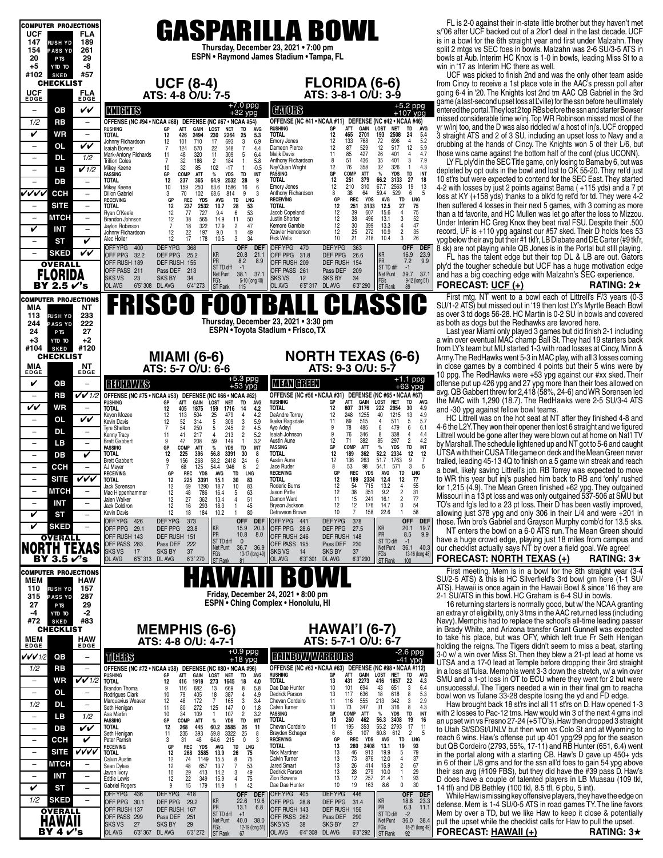| <b>COMPUTER PROJECTIONS</b>                                       |                                                                                                                                                                                                                                                                                                                         | FL is 2-0 against their in-state little brother but they haven't met                                                                           |
|-------------------------------------------------------------------|-------------------------------------------------------------------------------------------------------------------------------------------------------------------------------------------------------------------------------------------------------------------------------------------------------------------------|------------------------------------------------------------------------------------------------------------------------------------------------|
| <b>UCF</b><br>FLA                                                 | <b>GASPARILLA BOWL</b>                                                                                                                                                                                                                                                                                                  | s/'06 after UCF backed out of a 2for1 deal in the last decade. UCF                                                                             |
| 147<br>189<br><b>RUSH YD</b>                                      |                                                                                                                                                                                                                                                                                                                         | is in a bowl for the 6th straight year and first under Malzahn. They                                                                           |
| 261<br>154<br><b>PASS YD</b>                                      | Thursday, December 23, 2021 . 7:00 pm<br>ESPN • Raymond James Stadium • Tampa, FL                                                                                                                                                                                                                                       | split 2 mtgs vs SEC foes in bowls. Malzahn was 2-6 SU/3-5 ATS in                                                                               |
| 20<br>29<br>P <sub>TS</sub>                                       |                                                                                                                                                                                                                                                                                                                         | bowls at Aub. Interim HC Knox is 1-0 in bowls, leading Miss St to a                                                                            |
| -8<br>+5<br>OT OTY<br>#102<br>#57<br><b>SKED</b>                  |                                                                                                                                                                                                                                                                                                                         | win in '17 as Interim HC there as well.<br>UCF was picked to finish 2nd and was the only other team aside                                      |
| <b>CHECKLIST</b>                                                  | <b>FLORIDA (6-6)</b>                                                                                                                                                                                                                                                                                                    | from Cincy to receive a 1st place vote in the AAC's pressn poll after                                                                          |
|                                                                   | UCF (8-4)<br>ATS: 4-8 O/U: 7-5<br>ATS: 3-8-1 O/U: 3-9                                                                                                                                                                                                                                                                   | going 6-4 in '20. The Knights lost 2nd tm AAC QB Gabriel in the 3rd                                                                            |
| <b>UCF</b><br>EDGE<br>FLA<br>EDGE                                 |                                                                                                                                                                                                                                                                                                                         | game (a last-second upset loss at L'ville) for the ssn before he ultimately                                                                    |
| QB<br>vv<br>$\overline{\phantom{0}}$                              | +7.0 ppg<br>+32 ypg<br>+5.2 ppg<br>+107 ypg<br><b>CHORS</b><br><b>KNIGHTS</b>                                                                                                                                                                                                                                           | entered the portal. They lost 2 top RBs before the ssn and starter Bowser                                                                      |
| 1/2<br>RB<br>$\overline{\phantom{a}}$                             | OFFENSE (NC #41 • NCAA #11) DEFENSE (NC #42 • NCAA #46)<br>OFFENSE (NC #94 • NCAA #68)<br>DEFENSE (NC #67 • NCAA #54)                                                                                                                                                                                                   | missed considerable time w/inj. Top WR Robinson missed most of the                                                                             |
|                                                                   | GAIN<br>ÁVG<br>ATT<br>LOST<br><b>NET</b><br>TD<br><b>LOST</b><br><b>NET</b><br><b>RUSHING</b><br>GP<br><b>RUSHING</b><br>ATT<br>GAIN<br>TD<br>GP<br>AVG                                                                                                                                                                 | yr w/inj too, and the D was also riddled w/ a host of inj's. UCF dropped                                                                       |
| V<br>WR<br>$\overline{\phantom{a}}$                               | 12<br>465<br>2701<br>193<br>2508<br>24<br>5.4<br>426<br>2494<br>230<br>2264<br>25<br>5.3<br><b>TOTAL</b><br><b>TOTAL</b><br>12<br>133<br>768<br>$\overline{4}$<br>5.2<br>17<br>693<br><b>Emory Jones</b><br>12<br>696<br>101<br>710<br>3<br>6.9<br>Johnny Richardson<br>12                                              | 3 straight ATS and 2 of 3 SU, including an upset loss to Navy and a                                                                            |
| VV<br><b>OL</b><br>$\overline{\phantom{a}}$                       | $\frac{72}{12}$<br>12<br>548<br>87<br>529<br>517<br>5.9<br>570<br>22<br>$\overline{7}$<br>Dameon Pierce<br>12<br>124<br>4.4<br><b>Isaiah Bowser</b><br>7                                                                                                                                                                | drubbing at the hands of Cincy. The Knights won 5 of their L/6, but                                                                            |
| <b>DL</b><br>1/2<br>$\overline{a}$                                | 427<br>26<br>401<br>$\overline{4}$<br>4.7<br>48<br>320<br>11<br>309<br><b>Malik Davis</b><br>11<br>85<br>Mark-Antony Richards<br>5<br>6.4<br>11<br>51<br>436<br>401<br>3<br>7.9<br>32<br>186<br>184<br>Anthony Richardson<br>7<br>$\overline{c}$<br>5.8<br>8<br><b>Trillion Coles</b><br>$\mathbf{1}$                   | those wins came against the bottom half of the conf (plus UCONN).                                                                              |
| $\sqrt{1/2}$<br>LВ<br>$\qquad \qquad -$                           | $\frac{35}{32}$<br>12<br>76<br>358<br>326<br>10<br>32<br>102<br>$-17$<br>Nay'Quan Wright<br>$\overline{1}$<br>4.3<br>Mikey Keene<br>85<br>$\mathbf{1}$<br>$-0.5$                                                                                                                                                        | LY FL ply'd in the SEC Title game, only losing to Bama by 6, but was<br>depleted by opt outs in the bowl and lost to OK 55-20. They ret'd just |
| $\overline{\phantom{a}}$<br>$\overline{\phantom{a}}$              | <b>ATT</b><br>$\%$<br>TD<br>INT<br><b>PASSING</b><br>GP<br>COMP<br><b>YDS</b><br>GP<br><b>ATT</b><br><b>YDS</b><br>TD<br>INT<br>PASSING<br>COMP<br>%<br>12<br>379<br>66.2<br>27<br>18<br>237<br>64.9<br>2532<br><b>TOTAL</b><br>251<br>3133<br><b>TOTAL</b><br>12<br>365<br>28<br>9                                     | 10 st'rs but were expected to contend for the SEC East. They started                                                                           |
| DB                                                                | 1586<br>12<br>210<br>310<br>67.7<br>2563<br>19<br>13<br>Mikey Keene<br>159<br>250<br>63.6<br>16<br>6<br><b>Emory Jones</b><br>10                                                                                                                                                                                        | 4-2 with losses by just 2 points against Bama (+115 yds) and a 7 pt                                                                            |
| レレレレ<br><b>CCH</b><br>$\overline{\phantom{a}}$                    | 8<br>529<br>6<br>5<br>70<br>102<br>68.6<br>814<br>9<br>Anthony Richardson<br>38<br>64<br>59.4<br>3<br>3<br><b>Dillon Gabriel</b><br>LNG<br>REC<br>REC<br><b>YDS</b><br><b>AVG</b><br>TD<br>GP<br><b>YDS</b><br><b>AVG</b><br>TD<br>LNG<br><b>RECEIVING</b><br>GP<br><b>RECEIVING</b>                                    | loss at KY (+158 yds) thanks to a blk'd fg ret'd for td. They were 4-2                                                                         |
| <b>SITE</b><br>$\qquad \qquad -$                                  | 27<br>75<br>237<br>2532<br>10.7<br>28<br>53<br><b>TOTAL</b><br>12<br>251<br>3133<br>12.5<br><b>TOTAL</b><br>12                                                                                                                                                                                                          | then suffered 4 losses in their next 5 games, with 3 coming as more                                                                            |
| <b>MTCH</b><br>$\overline{\phantom{a}}$<br>$\qquad \qquad -$      | 75<br>727<br>6<br>53<br>Jacob Copeland<br>12<br>39<br>607<br>15.6<br>4<br>12<br>77<br>9.4<br>Ryan O'Keefe<br>$\frac{52}{47}$<br>12<br>38<br>3<br>12<br>38<br>565<br>11<br>50<br>496<br>13.1<br>14.9<br>Justin Shorter<br>Brandon Johnson                                                                                | than a td favorite, and HC Mullen was let go after the loss to Mizzou                                                                          |
| V<br><b>INT</b><br>$\overline{\phantom{0}}$                       | $\overline{7}$<br>322<br>30<br>$\overline{4}$<br>17.9<br>$\overline{2}$<br>47<br>12<br>399<br>13.3<br>18<br>Kemore Gamble<br>Jaylon Robinson<br>12<br>$\overline{\mathbf{c}}$<br>35<br>22<br>197<br>49<br>Xzavier Henderson<br>25<br>272<br>10.9                                                                        | Under Interim HC Greg Knox they beat rival FSU. Despite their .500<br>record, UF is +110 ypg against our #57 sked. Their D holds foes 53       |
| <b>ST</b><br>V<br>$\overline{\phantom{0}}$                        | 12<br>9.0<br>Johnny Richardson<br>1<br>3<br>26<br>12<br>17<br>178<br>3<br>34<br><b>Rick Wells</b><br>10<br>21<br>218<br>10.4<br>10.5<br>Alec Holler                                                                                                                                                                     | ypg below their avg but their #1 tkl'r, LB Diabate and DE Carter (#9 tkl'r,                                                                    |
|                                                                   | <b>OFF</b><br><b>DEFYPG</b><br>OFF DEF<br>OFFYPG 470<br><b>DEFYPG</b><br>363<br><b>DEF</b><br>OFFYPG 400<br>368                                                                                                                                                                                                         | 8 sk) are not playing while QB Jones is in the Portal but still playing.                                                                       |
| VV<br><b>SKED</b><br>$\overline{\phantom{m}}$                     | <b>KR</b><br>23.9<br>KR<br>20.8<br>16.9<br>OFF PPG 32.2<br>DEF PPG<br>21.1<br>OFF PPG 31.8<br>DEF PPG<br>25.2<br>26.6<br>PR<br>PR<br>9.9<br>8.2<br>8.9<br>7.2                                                                                                                                                           | FL has the talent edge but their top DL & LB are out. Gators                                                                                   |
| <b>OVERALL</b>                                                    | OFF RUSH 189<br>DEF RUSH 155<br>OFF RUSH 209<br>DEF RUSH 154<br>ST TD diff<br>ST TD diff<br>$-1$<br>$-1$<br>Pass DEF<br>213<br>OFF PASS 261<br>209<br>OFF PASS 211<br>Pass DEF                                                                                                                                          | ply'd the tougher schedule but UCF has a huge motivation edge                                                                                  |
| <b>FLORIDA</b>                                                    | 39.7 37.1<br>Net Punt<br>38.1 37.1<br>Net Punt<br>23<br><b>SKS VS</b><br><b>SKS BY</b><br>34<br><b>SKS VS</b><br>12<br><b>SKS BY</b><br>34<br>FG's<br>5-10 (long 40)<br>9-12 (long 51)                                                                                                                                  | and has a big coaching edge with Malzahn's SEC experience.                                                                                     |
| BY 2.5 √'s                                                        | FG's<br>ST Rank<br>OL AVG<br>6'5" 308 DL AVG<br>6'4" 273<br>ST Rank<br>OL AVG<br>6'5" 317 DL AVG<br>6'3" 290<br>115<br>89                                                                                                                                                                                               | FORECAST: UCF (+)<br><b>RATING: 2<math>\star</math></b>                                                                                        |
| <b>COMPUTER PROJECTIONS</b>                                       |                                                                                                                                                                                                                                                                                                                         | First mtg. NT went to a bowl each of Littrell's F/3 years (0-3                                                                                 |
| <b>NT</b><br>MIA                                                  | <b>FRISCO FOOTBALL CLASSIC</b>                                                                                                                                                                                                                                                                                          | SU/1-2 ATS) but missed out in '19 then lost LY's Myrtle Beach Bowl                                                                             |
| 233<br>113<br><b>RUSH YD</b>                                      | Thursday, December 23, 2021 . 3:30 pm                                                                                                                                                                                                                                                                                   | as over 3 td dogs 56-28. HC Martin is 0-2 SU in bowls and covered<br>as both as dogs but the Redhawks are favored here.                        |
| 222<br>244<br><b>PASS YD</b><br>27<br>24<br>P <sub>TS</sub>       | ESPN . Toyota Stadium . Frisco, TX                                                                                                                                                                                                                                                                                      | Last year Miami only played 3 games but did finish 2-1 including                                                                               |
| $+3$<br>+2<br>OT OTY                                              |                                                                                                                                                                                                                                                                                                                         | a win over eventual MAC champ Ball St. They had 19 starters back                                                                               |
| #120<br>#104<br><b>SKED</b>                                       |                                                                                                                                                                                                                                                                                                                         | from LY's team but MU started 1-3 with road losses at Cincy, Minn &                                                                            |
| <b>CHECKLIST</b>                                                  | <b>NORTH TEXAS (6-6)</b><br><b>MIAMI</b> (6-6)                                                                                                                                                                                                                                                                          | Army. The RedHawks went 5-3 in MAC play, with all 3 losses coming                                                                              |
| ΝT<br>MIA<br>EDGE<br>EDGE                                         | ATS: 9-3 O/U: 5-7<br>ATS: 5-7 O/U: 6-6                                                                                                                                                                                                                                                                                  | in close games by a combined 4 points but their 5 wins were by                                                                                 |
|                                                                   | $+1.1$ ppg<br>$+5.3$ ppg<br>$+53$ ypg                                                                                                                                                                                                                                                                                   | 10 ppg. The RedHawks were +53 ypg against our #xx sked. Their                                                                                  |
| V<br>QB<br>$\qquad \qquad -$                                      | <b>MEAN GREEN</b><br><b>REDHAWKS</b><br>$+63$ ypg                                                                                                                                                                                                                                                                       | offense put up 426 ypg and 27 ypg more than their foes allowed on<br>avg. QB Gabbert threw for 2,418 (58%, 24-6) and WR Sorensen led           |
| $VV$ 1/2<br>RB<br>$\overline{\phantom{m}}$                        | OFFENSE (NC #56 · NCAA #31) DEFENSE (NC #65 · NCAA #67)<br>OFFENSE (NC #75 · NCAA #53) DEFENSE (NC #66 · NCAA #62)<br>ÁVG<br><b>RUSHING</b><br>GР<br>ATT<br><b>GAIN</b><br>LOST<br>TD<br>NET<br>RUSHING<br>GP<br><b>ATT</b><br>GAIN<br>LOST<br><b>NET</b><br>TD<br><b>AVG</b>                                           | the MAC with 1,290 (18.7). The RedHawks were 2-5 SU/3-4 ATS                                                                                    |
| VV<br>WR<br>$\overline{\phantom{a}}$                              | 12<br>3176<br>222<br>2954<br>30<br>TOTAL<br>607<br>4.9<br><b>TOTAL</b><br>12<br>405<br>1875<br>159<br>1716<br>14<br>4.2                                                                                                                                                                                                 | and -30 ypg against fellow bowl teams.                                                                                                         |
| VV<br><b>OL</b><br>$\overline{\phantom{a}}$                       | 248<br>40<br>1215<br>13<br>DeAndre Torrey<br>12<br>1255<br>4.9<br>113<br>504<br>25<br>479<br>$\overline{4}$<br>4.2<br>Keyon Mozee<br>12<br>511<br>$5\phantom{.0}$<br>89<br>515<br>5.7<br>Ikaika Ragsdale<br>11<br>$\overline{4}$<br>12<br>52<br>314<br>309<br>3<br>5.9<br>Kevin Davis<br>5                              | HC Littrell was on the hot seat at NT after they finished 4-8 and                                                                              |
| <b>DL</b><br>$\overline{\phantom{a}}$<br>$\overline{\phantom{a}}$ | 78<br>485<br>479<br>6<br>6.1<br>6<br>$\frac{2}{2}$<br>$\frac{4.5}{5.2}$<br>Ayo Adeyi<br>9<br>7<br>54<br>250<br>245<br><b>Tyre Shelton</b><br>5<br>346<br>338<br>4.4<br>4<br>9                                                                                                                                           | 4-6 the L2Y. They won their opener then lost 6 straight and we figured                                                                         |
|                                                                   | 8<br>76<br>213<br>Isaiah Johnson<br>11<br>41<br>217<br>Kenny Tracy<br>85<br>12<br>71<br>382<br>297<br>$\overline{2}$<br>4.2<br>Austin Aune<br>9<br>47<br>59<br>149<br>$\mathbf{1}$<br>3.2                                                                                                                               |                                                                                                                                                |
|                                                                   |                                                                                                                                                                                                                                                                                                                         | Littrell would be gone after they were blown out at home on Nat'l TV                                                                           |
| LВ<br>$\overline{\phantom{a}}$<br>$\qquad \qquad -$               | <b>Brett Gabbert</b><br>208<br>$\%$<br>TD<br>INT<br>COMP<br>ATT<br><b>YDS</b><br>PASSING<br>GP<br><b>YDS</b><br><b>TD</b><br>PASSING<br>GP<br>COMP<br><b>ATT</b><br>%<br>INT                                                                                                                                            | by Marshall. The schedule lightened up and NT got to 5-6 and caught                                                                            |
| V<br>DB<br>$\qquad \qquad -$                                      | 12<br>189<br>362<br>52.2<br>2334<br>12<br>12<br>TOTAL<br><b>TOTAL</b><br>12<br>225<br>396<br>56.8<br>3391<br>30<br>8<br>12<br>9<br>136<br>263<br>51.7<br>1763<br>7<br>Austin Aune<br>58.2<br>2418<br>24<br><b>Brett Gabbert</b><br>9<br>6                                                                               | UTSA with their CUSA Title game on deck and the Mean Green never                                                                               |
| ССН<br>$\overline{\phantom{a}}$<br>$\qquad \qquad -$              | 156<br>268<br>$\mathbf{3}$<br>8<br>53<br>98<br>571<br>5<br>54.1<br>68<br>125<br>54.4<br>946<br>6<br>$\overline{2}$<br>Jace Ruder<br>AJ Mayer                                                                                                                                                                            | trailed, leading 45-13 4Q to finish on a 5 game win streak and reach                                                                           |
| vvv<br><b>SITE</b><br>$\qquad \qquad -$                           | GP<br>GP<br><b>REC</b><br>LNG<br><b>REC</b><br>LNG<br><b>RECEIVING</b><br><b>YDS</b><br>AVG<br>TD<br><b>RECEIVING</b><br><b>YDS</b><br>AVG<br>TD<br>12<br>189<br>2334<br>12.4<br>12<br>77<br>12<br>3391<br>83<br><b>TOTAL</b><br>225<br><b>TOTAL</b><br>15.1<br>30                                                      | a bowl, likely saving Littrell's job. RB Torrey was expected to move<br>to WR this year but inj's pushed him back to RB and 'only' rushed      |
| мтсн                                                              | 715<br>12<br>54<br>13.2<br>4<br>55<br>69<br>1290<br>10<br>83<br>Roderic Burns<br>Jack Sorenson<br>12<br>18.7                                                                                                                                                                                                            | for 1,215 (4.9). The Mean Green finished +62 ypg. They outgained                                                                               |
|                                                                   | 38<br>351<br>$\frac{31}{77}$<br>12<br>9.2<br>2<br>786<br>$\frac{63}{51}$<br>Jason Pirtle<br>12<br>48<br>16.4<br>Mac Hippenhammer<br>$\sqrt{2}$<br>27<br>241<br>12<br>362<br>15<br>16.1<br>Damon Ward<br>11<br>Jalen Walker<br>13.4<br>$\overline{4}$                                                                    | Missouri in a 13 pt loss and was only outgained 537-506 at SMU but                                                                             |
| INT<br>$\qquad \qquad -$<br>$\overline{\phantom{a}}$              | 12<br>$\pmb{0}$<br>293<br>12<br>176<br>14.7<br>54<br>12<br>16<br>45<br>Bryson Jackson<br>Jack Coldiron<br>18.3<br>$\overline{7}$<br>58<br>22.6<br>80<br>10<br>158<br>12<br>Detraveon Brown<br>$\mathbf{1}$<br>18<br>10.2                                                                                                | TO's and fg's led to a 23 pt loss. Their D has been vastly improved.                                                                           |
| V<br>ST<br>$\overline{\phantom{0}}$                               | 184<br>Kevin Davis<br>OFF YPG 426<br><b>DEFYPG</b><br>373<br><b>DEFYPG</b><br>378<br><b>OFF</b><br><b>DEF</b><br>OFF YPG 441<br><b>OFF</b><br><b>DEF</b>                                                                                                                                                                | allowing just 378 ypg and only 306 in their L/4 and were +201 in                                                                               |
| V<br><b>SKED</b><br>$\qquad \qquad -$                             | KR<br>KR<br>19.7<br>15.9<br>20.3<br>20.1<br>OFF PPG 29.1<br>DEF PPG<br>OFF PPG 28.6<br>DEF PPG<br>27.5<br>23.8                                                                                                                                                                                                          | those. Twin bro's Gabriel and Grayson Murphy comb'd for 13.5 sks.<br>NT enters the bowl on a 6-0 ATS run. The Mean Green should                |
| <b>OVERALL</b>                                                    | PR<br>9.9<br>10.8<br>PR<br>8.0<br>8.5<br>OFF RUSH 246<br>DEF RUSH 148<br>OFF RUSH 143<br>DEF RUSH<br>151<br>ST TD diff<br>ST TD diff<br>$\mathbf{0}$<br>$-1$                                                                                                                                                            | have a huge crowd edge, playing just 18 miles from campus and                                                                                  |
| <b>TEXAS</b><br>NORTH                                             | Pass DEF<br>OFF PASS 283<br>Pass DEF<br>222<br>OFF PASS 195<br>230<br>Net Punt<br>36.7 36.9<br>Net Punt<br>36.1<br>40.3<br>SKS VS<br>17<br><b>SKS BY</b><br>37<br><b>SKS VS</b><br>14<br><b>SKS BY</b><br>37                                                                                                            | our checklist actually says NT by over a field goal. We agree!                                                                                 |
| BY 3.5 √'s                                                        | FG's<br>ST Rank<br>13-17 (long 49)<br>FG's<br>13-16 (long 48)<br>OL AVG<br>6'3" 270<br>6'3" 290<br>6'5" 313 DL AVG<br>OL AVG<br>6'3''301<br>DL AVG<br>ST Rank<br>81<br>100                                                                                                                                              | <b>FORECAST: NORTH TEXAS (+)</b><br><b>RATING: 3<math>\star</math></b>                                                                         |
| <b>COMPUTER PROJECTIONS</b>                                       |                                                                                                                                                                                                                                                                                                                         | First meeting. Mem is in a bowl for the 8th straight year (3-4                                                                                 |
| MEM<br>HAW                                                        |                                                                                                                                                                                                                                                                                                                         | SU/2-5 ATS) & this is HC Silverfield's 3rd bowl gm here (1-1 SU/                                                                               |
| 110<br><b>RUSH YD</b><br>157                                      | Friday, December 24, 2021 . 8:00 pm                                                                                                                                                                                                                                                                                     | ATS). Hawaii is once again in the Hawaii Bowl & since '16 they are                                                                             |
| 287<br>315<br><b>PASS YD</b><br>29<br>27<br>P <sub>TS</sub>       | ESPN . Ching Complex . Honolulu, HI                                                                                                                                                                                                                                                                                     | 2-1 SU/ATS in this bowl. HC Graham is 6-4 SU in bowls.<br>16 returning starters is normally good, but w/ the NCAA granting                     |
| -2<br>-4<br>OT OTY                                                |                                                                                                                                                                                                                                                                                                                         | an extra yr of eligibility, only 3 tms in the AAC returned less (including                                                                     |
| #83<br>#72<br><b>SKED</b>                                         |                                                                                                                                                                                                                                                                                                                         | Navy). Memphis had to replace the school's all-time leading passer                                                                             |
| <b>CHECKLIST</b>                                                  | <b>HAWAI'I (6-7)</b><br><b>MEMPHIS (6-6)</b>                                                                                                                                                                                                                                                                            | in Brady White, and Arizona transfer Grant Gunnell was expected                                                                                |
| <b>MEM</b><br>EDGE<br><b>HAW</b><br>EDGE                          | ATS: 5-7-1 O/U: 6-7<br>ATS: 4-8 O/U: 4-7-1                                                                                                                                                                                                                                                                              | to take his place, but was OFY, which left true Fr Seth Henigan<br>holding the reigns. The Tigers didn't seem to miss a beat, starting         |
| QB<br>$\qquad \qquad -$                                           | $-2.6$ ppg                                                                                                                                                                                                                                                                                                              | 3-0 w/ a win over Miss St. Then they blew a 21-pt lead at home vs                                                                              |
| VVV1/2                                                            | $+0.9$ ppg<br>$+18$ ypg<br><b>RAINBOWWARRIORS</b><br>TICHTIS<br>$-41$ ypg                                                                                                                                                                                                                                               | UTSA and a 17-0 lead at Temple before dropping their 3rd straight                                                                              |
| 1/2<br>RB<br>$\equiv$                                             | OFFENSE (NC #63 . NCAA #63) DEFENSE (NC #98 . NCAA #112)<br>OFFENSE (NC #72 . NCAA #38)<br>DEFENSE (NC #80 . NCAA #96)<br><b>RUSHING</b><br>GР<br>ATT<br>GAIN<br>LOST<br><b>NET</b><br>TD<br>AVG<br>RUSHING<br>GP<br>ATT<br>GAIN<br>LOST<br><b>NET</b><br><b>TD</b><br><b>AVG</b>                                       | in a loss at Tulsa. Memphis went 3-3 down the stretch, w/ a win over                                                                           |
| VV1/2<br>WR<br>$\overline{\phantom{a}}$                           | <b>TOTAL</b><br>2273<br>1857<br>22<br>4.3<br>13<br>431<br>416<br><b>TOTAL</b><br>1918<br>1645<br>4.0<br>12<br>416<br>273<br>18<br>101<br>651<br>3<br>6.4<br>694<br>43<br>Dae Dae Hunter<br>10<br>5.8<br>Brandon Thoma<br>9<br>116<br>682<br>13<br>8                                                                     | SMU and a 1-pt loss in OT to ECU where they went for 2 but were                                                                                |
| <b>OL</b><br>$\overline{\phantom{a}}$<br>$\overline{\phantom{m}}$ | 669<br>18<br>618<br>8<br>5.3<br>13<br>117<br>636<br>Dedrick Parson<br>79<br>387<br>4.9<br>Rodrigues Clark<br>10<br>405<br>18<br>4                                                                                                                                                                                       | unsuccessful. The Tigers needed a win in their final gm to reacha<br>bowl won vs Tulane 33-28 despite losing the yd and FD edge.               |
| 1/2<br><b>DL</b><br>$\overline{\phantom{0}}$                      | 555<br>213<br>342<br>3<br>2.9<br>116<br>3<br>Chevan Cordeiro<br>11<br>12<br>48<br>172<br>165<br>3.4<br>Marquavius Weaver<br>7<br>4.3<br>73<br>347<br>31<br>316<br>8<br>13<br>125<br><b>Calvin Turner</b><br>11<br>80<br>272<br>147<br>0<br>1.8<br>Seth Henigan                                                          | Haw brought back 18 st'rs incl all 11 st'rs on D. Haw opened 1-3                                                                               |
| 1/2<br>LB<br>$\overline{\phantom{m}}$                             | INT<br>COMP<br>ATT<br>$\%$<br><b>YDS</b><br>TD<br><b>PASSING</b><br>GР<br>34<br>107<br>2<br>3.2<br>Asa Martin<br>10<br>109<br>$\mathbf{1}$                                                                                                                                                                              | with 2 losses to Pac-12 tms. Haw would win 3 of the next 4 gms incl                                                                            |
| VV<br>DB<br>$\overline{\phantom{a}}$                              | 462<br>56.3<br><b>TOTAL</b><br>13<br>260<br>3408<br>19<br>16<br><b>YDS</b><br>INT<br>PASSING<br>GP<br>COMP<br><b>ATT</b><br>%<br>TD<br>17<br>195<br>353<br>55.2<br>2793<br>11<br>Chevan Cordeiro<br>11<br><b>TOTAL</b><br>12<br>268<br>445<br>60.2<br>3585<br>26<br>11                                                  | an upset win vs Fresno 27-24 (+5TO's). Haw then dropped 3 straight                                                                             |
|                                                                   | $\overline{2}$<br>6<br>107<br>612<br>5<br>65<br>60.8<br>235<br>393<br>59.8<br>3322<br>25<br>8<br><b>Brayden Schager</b><br>Seth Henigan<br>11                                                                                                                                                                           | to Utah St/SDSt/UNLV but then won vs Colo St and at Wyoming to<br>reach 6 wins. Haw's offense put up 401 ypg/29 ppg for the season             |
| V<br>CCH<br>$\overline{\phantom{a}}$                              | LNG<br><b>RECEIVING</b><br>GP<br>REC<br><b>YDS</b><br><b>AVG</b><br>TD<br>31<br>48<br>64.6<br>215<br>$^{\circ}$<br>3<br>Peter Parrish<br>3<br>19<br><b>TOTAL</b><br>13<br>260<br>3408<br>13.1<br>93<br>REC<br>LNG<br><b>RECEIVING</b><br>GP<br><b>YDS</b><br>AVG<br>TD                                                  | but QB Cordeiro (2793, 55%, 17-11) and RB Hunter (651, 6.4) went                                                                               |
| VVVv<br><b>SITE</b><br>$\overline{\phantom{a}}$                   | 5<br>79<br>3585<br>13<br>913<br>19.9<br>12<br>268<br>13.9<br>26<br>Nick Mardner<br>46<br><b>TOTAL</b><br>37<br>12.0<br>13<br>73<br>876<br>4<br>12<br>74<br>1149<br>15.5<br>8<br><b>Calvin Turner</b><br>Calvin Austin                                                                                                   | in the portal along with a starting CB. Haw's D gave up 450+ yds                                                                               |
| МТСН<br>$\overline{\phantom{a}}$<br>$\qquad \qquad -$             | 75<br>75<br>53<br>67<br>$\overline{c}$<br>12<br>657<br>$\overline{7}$<br>13<br>414<br>15.9<br>48<br>13.7<br><b>Jared Smart</b><br>26<br>Sean Dykes                                                                                                                                                                      | in 6 of their L/8 gms and for the ssn all'd foes to gain 54 ypg above                                                                          |
| $\overline{\phantom{a}}$<br>INT<br>$\overline{\phantom{a}}$       | 29<br>13<br>28<br>279<br>10.0<br>$\mathbf{1}$<br>10<br>29<br>413<br>14.2<br>3<br>Dedrick Parson<br>Javon Ivory<br>22<br>93<br>13<br>12<br>257<br>21.4<br>12<br>349<br>15.9<br><b>Zion Bowens</b><br>1<br>Eddie Lewis<br>4                                                                                               | their ssn avg (#109 FBS), but they did have the #39 pass D. Haw's                                                                              |
| V<br>ST<br>÷                                                      | $\frac{49}{75}$<br>30<br>19<br>163<br>179<br>10<br>8.6<br>0<br>9<br>15<br>Dae Dae Hunter<br><b>Gabriel Rogers</b><br>11.9<br>$\mathbf{1}$                                                                                                                                                                               | D does have a couple of talented players in LB Muasau (109 tkl.<br>14 tfl) and DB Bethley (100 tkl, 8.5 tfl, 6 pbu, 5 int).                    |
| 1/2<br><b>SKED</b>                                                | <b>DEFYPG</b><br><b>DEFYPG</b><br>446<br>OFF YPG 436<br>418<br><b>OFF</b><br><b>DEF</b><br>OFF YPG 405<br>OFF DEF                                                                                                                                                                                                       | While Haw is missing key offensive players, they have the edge on                                                                              |
|                                                                   | KR<br>KR<br>23.3<br>22.6<br>19.6<br>18.8<br>DEF PPG<br>29.2<br>OFF PPG 28.8<br>DEF PPG<br>31.4<br>OFF PPG 30.1<br>PR<br>PR<br>11.1<br>13.1<br>6.8<br>6.3<br>OFF RUSH 143<br>OFF RUSH 137<br>DEF RUSH 167<br>DEF RUSH 156                                                                                                | defense. Mem is 1-4 SU/0-5 ATS in road games TY. The line favors                                                                               |
| <b>OVERALL</b><br>HA                                              | ST TD diff<br>ST TD diff<br>$-2$<br>$+1$<br>OFF PASS 299<br>Pass DEF 251<br>OFF PASS 262<br>Pass DEF 290<br>Net Punt<br>40.0 38.0<br>Net Punt<br>36.0 38.4<br><b>SKS VS</b><br>27<br><b>SKS BY</b><br>29<br><b>SKS VS</b><br>38<br><b>SKS BY</b><br>27<br>FG's<br>FG's<br>ST Rank<br>12-19 (long 51)<br>18-21 (long 49) | Mem by over a TD, but we like Haw to keep it close & potentially<br>pull the upset while the checklist calls for Haw to pull the upset.        |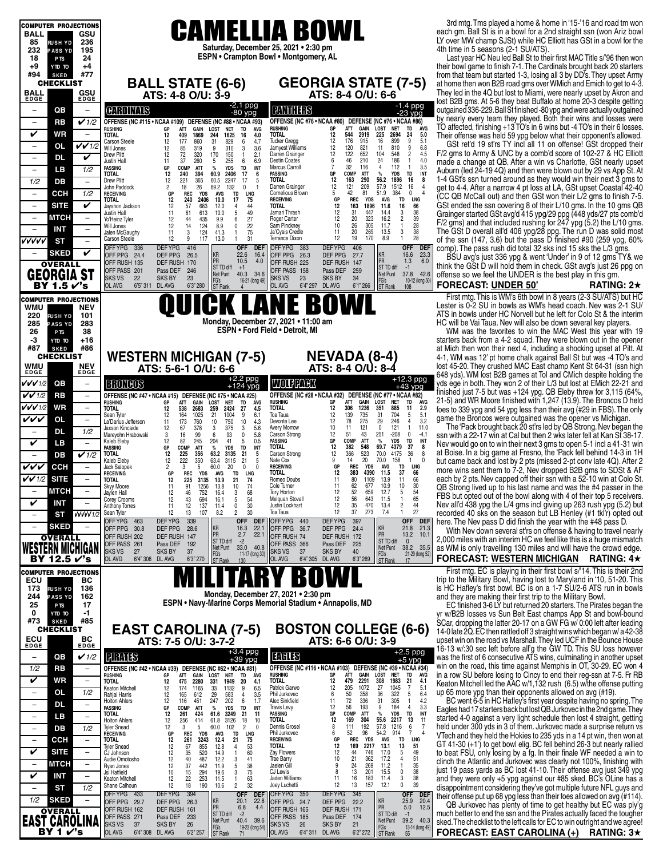| <b>COMPUTER PROJECTIONS</b>                                         |                                                                                                                                                                                                                                                                                                                                | 3rd mtg. Tms played a home & home in '15-'16 and road tm won                                                                                      |
|---------------------------------------------------------------------|--------------------------------------------------------------------------------------------------------------------------------------------------------------------------------------------------------------------------------------------------------------------------------------------------------------------------------|---------------------------------------------------------------------------------------------------------------------------------------------------|
| <b>BALL</b><br>GSU                                                  | <b>CAMELLIA BOWL</b>                                                                                                                                                                                                                                                                                                           | each gm. Ball St is in a bowl for a 2nd straight ssn (won Ariz bowl<br>LY over MW champ SJSt) while HC Elliott has GSt in a bowl for the          |
| 236<br>85<br><b>RUSHYD</b><br>232<br>195<br><b>PASS YD</b>          | Saturday, December 25, 2021 . 2:30 pm                                                                                                                                                                                                                                                                                          | 4th time in 5 seasons (2-1 SU/ATS).                                                                                                               |
| 18<br>24<br>P <sub>TS</sub>                                         | ESPN • Crampton Bowl • Montgomery, AL                                                                                                                                                                                                                                                                                          | Last year HC Neu led Ball St to their first MAC Title s/'96 then won                                                                              |
| $+9$<br>$+4$<br>OT OTY                                              |                                                                                                                                                                                                                                                                                                                                | their bowl game to finish 7-1. The Cardinals brought back 20 starters                                                                             |
| #77<br>#94<br><b>SKED</b><br><b>CHECKLIST</b>                       | <b>GEORGIA STATE (7-5)</b><br><b>BALL STATE (6-6)</b>                                                                                                                                                                                                                                                                          | from that team but started 1-3, losing all 3 by DD's. They upset Army<br>at home then won B2B road gms over WMich and Emich to get to 4-3         |
| BALL<br>GSU                                                         | ATS: 4-8 O/U: 3-9<br>ATS: 8-4 O/U: 6-6                                                                                                                                                                                                                                                                                         | They led in the 4Q but lost to Miami, were nearly upset by Akron and                                                                              |
| <b>EDGE</b><br><b>EDGE</b>                                          | -2.1 ppg                                                                                                                                                                                                                                                                                                                       | lost B2B gms. At 5-6 they beat Buffalo at home 20-3 despite getting                                                                               |
| QB<br>$\overline{\phantom{0}}$<br>$\overline{\phantom{a}}$          | -1.4 ppg<br>-23 ypg<br><b>PANTHERS</b><br><b>CHROINAIS</b><br>$-80$ ypg                                                                                                                                                                                                                                                        | outgained 336-229. Ball St finished -80 ypg and were actually outgained<br>by nearly every team they played. Both their wins and losses were      |
| $\checkmark$ 1/2<br><b>RB</b><br>$\overline{\phantom{a}}$           | OFFENSE (NC #76 • NCAA #80) DEFENSE (NC #76 • NCAA #86)<br>OFFENSE (NC #115 . NCAA #109) DEFENSE (NC #88 . NCAA #93)<br>TD<br><b>AVG</b><br>ATT<br><b>GAIN</b><br>LOST<br><b>NET</b><br><b>RUSHING</b><br>GР<br>ATT<br>GAIN<br>LOST<br><b>NET</b><br><b>RUSHING</b><br>GP<br>TD<br><b>AVG</b>                                  | TO affected, finishing +13 TO's in 6 wins but -4 TO's in their 6 losses.                                                                          |
| V<br>WR<br>$\overline{\phantom{a}}$                                 | 544<br>2919<br>12<br>225<br>24<br>5.0<br>2694<br>1869<br>4.0<br><b>TOTAL</b><br><b>TOTAL</b><br>12<br>409<br>244<br>1625<br>16<br>9<br>12<br>176<br>899<br>5.1<br><b>Tucker Gregg</b><br>915<br>16<br>177<br>860<br>31<br>829<br>6<br>4.7<br><b>Carson Steele</b><br>12                                                        | Their offense was held 59 ypg below what their opponent's allowed.                                                                                |
| $VV$ 1/2<br>OL<br>$\qquad \qquad -$                                 | 12<br>6.8<br>9<br>821<br>120<br>11<br>810<br>Will Jones<br>12<br>85<br>319<br>9<br>310<br>3<br>3.6<br>Jamyest Williams<br>12<br>652<br>$\overline{2}$<br>104<br>548<br>4.5<br>122<br>Drew Plitt<br>12<br>320<br>170<br>150<br>$\mathbf{1}$<br>Darren Grainger                                                                  | GSt ret'd 19 st'rs TY incl all 11 on offense! GSt dropped their<br>F/2 gms to Army & UNC by a comb'd score of 102-27 & HC Elliott                 |
| DL<br>V<br>$\overline{\phantom{a}}$                                 | 72<br>2.1<br>210<br>24<br>186<br>4.0<br>$\mathbf{1}$<br>37<br>260<br>5<br>255<br>6<br>6.9<br><b>Destin Coates</b><br>6<br>46<br>Justin Hall<br>11                                                                                                                                                                              | made a change at QB. After a win vs Charlotte, GSt nearly upset                                                                                   |
| LВ<br>1/2<br>$\overline{\phantom{m}}$                               | 32<br>3.5<br>116<br>112<br>COMP<br><b>TD</b><br>Marcus Carroll<br>7<br>4<br>$\mathbf{1}$<br><b>PASSING</b><br>GP<br><b>ATT</b><br>%<br><b>YDS</b><br>INT<br>$\%$<br>TD<br>INT<br><b>TOTAL</b><br>12<br>240<br>394<br>60.9<br>2406<br>17<br>6<br><b>PASSING</b><br>GP<br>COMP<br><b>ATT</b><br><b>YDS</b>                       | Auburn (led 24-19 4Q) and then were blown out by 29 vs App St. At                                                                                 |
| 1/2<br>DВ<br>$\overline{\phantom{m}}$                               | 16<br>12<br>163<br>290<br>56.2<br><b>TOTAL</b><br>1896<br>8<br><b>Drew Plitt</b><br>12<br>221<br>365<br>60.5<br>2247<br>17<br>5<br>$\begin{array}{c} 12 \\ 5 \end{array}$<br>209<br>57.9<br>26<br>Darren Grainger<br>121<br>1512<br>16<br>$\overline{4}$<br>John Paddock<br>18<br>69.2<br>132<br>$\mathbf 0$<br>$\overline{2}$ | 1-4 GSt's ssn turned around as they would win their next 3 gms to<br>get to 4-4. After a narrow 4 pt loss at LA, GSt upset Coastal 42-40          |
| 1/2<br><b>CCH</b><br>$\overline{\phantom{a}}$                       | 42<br>81<br>$\mathbf{0}$<br>51.9<br>384<br>GP<br><b>REC</b><br><b>YDS</b><br>TD<br>LNG<br><b>Cornelious Brown</b><br><b>RECEIVING</b><br><b>AVG</b><br>75<br>TD<br>LNG<br>12<br>240<br>2406<br>10.0<br>17<br><b>RECEIVING</b><br>GP<br><b>REC</b><br><b>YDS</b><br><b>AVG</b><br>TOTAL                                         | (CC QB McCall out) and then GSt won their L/2 gms to finish 7-5.                                                                                  |
| V<br><b>SITE</b><br>$\overline{\phantom{a}}$                        | 12<br>163<br>16<br>66<br>1896<br>11.6<br>12<br>57<br>683<br>12.0<br>4<br>44<br><b>TOTAL</b><br>Jayshon Jackson<br>38<br>12<br>31<br>447<br>61<br>613<br>10.0<br>5<br>Jamari Thrash<br>14.4<br>Justin Hall<br>11                                                                                                                | GSt ended the ssn covering 8 of their L/10 gms. In the 10 gms QB                                                                                  |
| <b>MTCH</b><br>$\qquad \qquad -$                                    | $\frac{3}{2}$<br>$\frac{49}{27}$<br>12<br>39<br>323<br>20<br>16.2<br>12<br>44<br>435<br>9.9<br>6<br>Roger Carter<br>Yo'Heinz Tyler<br>28                                                                                                                                                                                       | Grainger started GSt avg'd 415 ypg/29 ppg (448 yds/27 pts comb'd<br>F/2 gms) and that included rushing for $247$ ypg (5.2) the L/10 gms           |
| <b>INT</b><br>$\overline{\phantom{a}}$                              | 10<br>26<br>305<br>12<br>14<br>124<br>8.9<br>0<br>Sam Pinckney<br>11.7<br>$\mathbf{1}$<br>Will Jones<br>38<br>3<br>75<br>269<br>13.5<br>11<br>124<br>41.3<br>Ja'Cyais Credle<br>11<br>20<br>Jalen McGaughy<br>3<br>$\mathbf{1}$                                                                                                | The GSt D overall all'd 406 ypg/28 ppg. The run D was solid most                                                                                  |
| vvvvv<br><b>ST</b><br>$\equiv$                                      | 28<br>12<br>19<br>170<br>8.9<br>$\mathbf{1}$<br>12<br>117<br>13.0<br>31<br>Terrance Dixon<br><b>Carson Steele</b><br>9<br>$\overline{1}$<br><b>DEFYPG</b><br><b>DEFYPG</b><br><b>OFF</b><br>OFFYPG 336<br>416<br><b>OFF</b><br><b>DEF</b><br>OFFYPG 383<br>406<br><b>DEF</b>                                                   | of the ssn (147, 3.6) but the pass D finished #90 (259 ypg, 60%<br>comp). The pass rush did total 32 sks incl 15 sks the L/3 gms.                 |
| V<br><b>SKED</b>                                                    | KR<br>KR<br>16.6<br>23.3<br>22.6<br>16.4<br>OFF PPG 24.4<br>DEF PPG<br>26.5<br>OFF PPG 26.3<br>DEF PPG<br>27.7<br>PR<br>6.0                                                                                                                                                                                                    | BSU avg's just 336 ypg & went 'Under' in 9 of 12 gms TY& we                                                                                       |
| <b>OVERALL</b>                                                      | PR<br>10.5<br>1.3<br>4.0<br>OFF RUSH 135<br>DEF RUSH 170<br>OFF RUSH 225<br>DEF RUSH 147<br>ST TD diff<br>ST TD diff<br>$-1$<br>$+1$<br>OFF PASS 201<br>Pass DEF<br>246<br>OFF PASS 158<br>Pass DEF<br>259                                                                                                                     | think the GSt D will hold them in check. GSt avg's just 26 ppg on                                                                                 |
| <b>GEORGIA ST</b>                                                   | 40.3 34.6<br>37.8 42.6<br>Net Punt<br>Net Punt<br><b>SKS VS</b><br>22<br><b>SKS BY</b><br>23<br><b>SKS VS</b><br>23<br><b>SKS BY</b><br>34<br>FG's<br>FG's<br>10-12 (long 50)<br>16-21 (long 49)                                                                                                                               | offense so we feel the UNDER is the best play in this gm.                                                                                         |
| BY 1.5 √'s                                                          | OL AVG<br><b>OL AVG</b><br>6'5''311<br>DL AVG<br>6'3" 280<br>6'4" 297<br>DL AVG<br>6'1''266<br><b>ST Rank</b><br>ST Rank<br>108                                                                                                                                                                                                | <b>FORECAST: UNDER 50'</b><br>RATING: $2\star$                                                                                                    |
| <b>COMPUTER PROJECTIONS</b><br>WMU<br><b>NEV</b>                    | K LANE BOWL                                                                                                                                                                                                                                                                                                                    | First mtg. This is WM's 6th bowl in 8 years (2-3 SU/ATS) but HC<br>Lester is 0-2 SU in bowls as WM's head coach. Nev was 2-1 SU/                  |
| 220<br><b>RUSHYD</b><br>101                                         |                                                                                                                                                                                                                                                                                                                                | ATS in bowls under HC Norvell but he left for Colo St & the interim                                                                               |
| 285<br>283<br><b>PASS YD</b>                                        | Monday, December 27, 2021 . 11:00 am<br>ESPN . Ford Field . Detroit, MI                                                                                                                                                                                                                                                        | HC will be Vai Taua. Nev will also be down several key players.                                                                                   |
| 38<br>26<br>P <sub>TS</sub><br>-3<br>$+16$<br>YTD TO                |                                                                                                                                                                                                                                                                                                                                | WM was the favorites to win the MAC West this year with 19<br>starters back from a 4-2 squad. They were blown out in the opener                   |
| #87<br>#86<br><b>SKED</b>                                           |                                                                                                                                                                                                                                                                                                                                | at Mich then won their next 4, including a shocking upset at Pitt. At                                                                             |
| <b>CHECKLIST</b><br>WMU<br><b>NEV</b>                               | <b>NEVADA (8-4)</b><br><b>WESTERN MICHIGAN (7-5)</b>                                                                                                                                                                                                                                                                           | 4-1, WM was 12' pt home chalk against Ball St but was -4 TO's and<br>lost 45-20. They crushed MAC East champ Kent St 64-31 (ssn high              |
| <b>EDGE</b><br><b>EDGE</b>                                          | ATS: 8-4 O/U: 8-4<br>ATS: 5-6-1 O/U: 6-6                                                                                                                                                                                                                                                                                       | 648 yds). WM lost B2B games at Tol and CMich despite holding the                                                                                  |
| QB<br>VVV1/2<br>$\overline{\phantom{0}}$                            | +12.3 ppg<br>$+2.2$ ppg<br>$+124$ ypg<br>WOUFFACK<br><b>ERONEOS</b><br>$+43$ ypg                                                                                                                                                                                                                                               | yds ege in both. They won 2 of their L/3 but lost at EMich 22-21 and                                                                              |
| $V$ $V$ 1/2<br><b>RB</b><br>$\overline{\phantom{a}}$                | OFFENSE (NC #47 • NCAA #15)<br>OFFENSE (NC #28 • NCAA #32) DEFENSE (NC #77 • NCAA #82)<br>DEFENSE (NC #75 • NCAA #25)<br><b>LOST</b><br>ÁVG<br><b>RUSHING</b><br>GP<br><b>ATT</b><br>GAIN<br><b>NET</b><br>TD<br><b>NET</b>                                                                                                    | finished just 7-5 but was $+124$ ypg. QB Eleby threw for 3,115 (64%,<br>21-5) and WR Moore finished with 1,247 (13.9). The Broncos D held         |
| VVV1/2<br><b>WR</b><br>$\overline{\phantom{a}}$                     | <b>RUSHING</b><br>ATT<br>GAIN<br>LOST<br>TD<br>GP<br>avg<br>12<br>1236<br>2.9<br><b>TOTAL</b><br>306<br>351<br>885<br>11<br>2683<br>259<br>2424<br><b>TOTAL</b><br>538<br>27<br>4.5<br>12<br>704                                                                                                                               | foes to 339 ypg and 54 ypg less than their avg (#29 in FBS). The only                                                                             |
| vvv<br><b>OL</b><br>$\overline{\phantom{a}}$                        | 12<br>139<br>735<br>31<br>5<br>$\frac{5.1}{3.2}$<br>Toa Taua<br>164<br>1025<br>21<br>1004<br>9<br>6.1<br>12<br>Sean Tyler<br>12<br>78<br>275<br>29<br>246<br>$\overline{4}$<br>750<br>10<br>Devonte Lee<br>La'Darius Jefferson<br>173<br>760<br>10<br>4.3<br>11                                                                | game the Broncos were outgained was the opener vs Michigan.                                                                                       |
| DL.<br>1/2<br>÷                                                     | 10<br>121<br>$\mathbf 0$<br>121<br>$\overline{1}$<br>11.0<br>Avery Morrow<br>11<br>12<br>67<br>378<br>3<br>375<br>3<br>5.6<br>Jaxson Kincaide<br>12<br>51<br>43<br>251<br>$-208$<br>$^{\circ}$<br>$-4.1$<br>93<br><b>Carson Strong</b><br>3<br>16<br>99<br>6<br>0<br>5.8<br>Marevohn Hrabowski                                 | The 'Pack brought back 20 st'rs led by QB Strong. Nev began the<br>ssn with a 22-17 win at Cal but then 2 wks later fell at Kan St 38-17.         |
| V<br>LB<br>$\qquad \qquad -$                                        | 12<br>82<br>41<br><b>PASSING</b><br>GP<br><b>COMP</b><br>ATT<br>%<br><b>YDS</b><br>TD<br>INT<br>245<br>204<br>5<br>0.5<br>Kaleb Eleby<br>37<br><b>TOTAL</b><br>12<br>382<br>548<br>69.7<br>4379<br>8<br><b>PASSING</b><br>ATT<br><b>YDS</b><br>INT<br>GP<br>COMP<br>$\%$<br>TD                                                 | Nev would go on to win their next 3 gms to open 5-1 incl a 41-31 win                                                                              |
| $\checkmark$ 1/2<br>DВ<br>$\overline{\phantom{0}}$                  | 12<br>366<br>523<br>70.0<br>4175<br>36<br>8<br><b>Carson Strong</b><br><b>TOTAL</b><br>12<br>225<br>356<br>63.2<br>3135<br>21<br>5<br>20<br>70.0<br>158<br>12<br>Nate Cox<br>9<br>14<br>$\overline{1}$<br>222<br>350<br>63.4<br>3115<br>21<br>5<br>Kaleb Eleby                                                                 | at Boise. In a big game at Fresno, the 'Pack fell behind 14-3 in 1H<br>but came back and lost by 2 pts (missed 2-pt conv late 4Q). After 2        |
| vvv<br><b>CCH</b>                                                   | <b>LNG</b><br>$\overline{2}$<br>5<br><b>RECEIVING</b><br><b>REC</b><br><b>YDS</b><br><b>AVG</b><br>TD<br>3<br>60.0<br>20<br>0<br>0<br>GP<br>Jack Salopek<br>37<br><b>REC</b><br><b>TOTAL</b><br>12<br>383<br>4390<br>11.5<br>66<br>GP<br>YDS<br>AVG<br>LNG<br><b>RECEIVING</b><br>TD                                           | more wins sent them to 7-2, Nev dropped B2B gms to SDSt & AF                                                                                      |
| $V$ $V$ 1/2<br><b>SITE</b>                                          | 66<br>74<br>80<br>1109<br>13.9<br>11<br><b>TOTAL</b><br>12<br>225<br>3135<br>13.9<br>21<br>Romeo Doubs<br>11                                                                                                                                                                                                                   | each by 2 pts. Nev capped off their ssn with a 52-10 win at Colo St.                                                                              |
| <b>MTCH</b><br>$\overline{\phantom{0}}$<br>-                        | 62<br>677<br>10.9<br>10<br>30<br>11<br>91<br>1256<br>13.8<br>10<br>74<br>Cole Turner<br>11<br>Skyy Moore<br>12<br>52<br>659<br>12.7<br>$\begin{array}{c} 54 \\ 65 \end{array}$<br>laylen Hall<br>12<br>46<br>752<br>16.4<br>3<br>68<br><b>Tory Horton</b><br>-5                                                                | QB Strong lived up to his last name and was the #4 passer in the<br>FBS but opted out of the bowl along with 4 of their top 5 receivers.          |
| V<br>INT                                                            | 54<br>12<br>56<br>643<br>12<br>43<br>694<br>5<br><b>Melquan Stovall</b><br>11.5<br>$\mathbf{1}$<br>Corey Crooms<br>16.1<br>$\overline{c}$<br>137<br>30<br>12<br>35<br>470<br>13.4<br>44<br>11<br>12<br>11.4<br>0<br>Justin Lockhart<br><b>Anthony Torres</b>                                                                   | Nev all'd 438 ypg the L/4 gms incl giving up 263 rush ypg (5.2) but                                                                               |
| VVVVV 1/2<br>SТ                                                     | 27<br>30<br>12<br>37<br>273<br>7.4<br>$\mathbf{1}$<br>12<br>13<br>107<br>$\overline{c}$<br>Toa Taua<br>Sean Tyler<br>8.2<br>OFF YPG 463<br><b>DEFYPG</b><br>339<br>OFF DEF<br>OFF YPG 440<br><b>DEFYPG</b><br>397<br>OFF DEF                                                                                                   | recorded 40 sks on the season but LB Henley (#1 tkl'r) opted out                                                                                  |
| <b>SKED</b><br>$\overline{\phantom{m}}$                             | KR<br>KR<br>16.3<br>22.7<br>21.8 21.3<br>OFF PPG 30.8<br>DEF PPG<br>28.6<br>OFF PPG 36.7<br>DEF PPG<br>24.4                                                                                                                                                                                                                    | here. The Nev pass D did finish the year with the #48 pass D.<br>With Nev down several st'rs on offense & having to travel nearly                 |
| <b>OVERALL</b>                                                      | PR<br>PR<br>2.7<br>22.1<br>13.2<br>10.<br>OFF RUSH 74<br>OFF RUSH 202<br>DEF RUSH<br>147<br>DEF RUSH 172<br>ST TD diff<br>$-2$<br><b>ST TD diff</b><br>$\mathbf{0}$<br>OFF PASS 261<br>Pass DEF<br>192<br>OFF PASS 366<br>Pass DEF<br>225                                                                                      | 2,000 miles with an interim HC we feel like this is a huge mismatch                                                                               |
| WESTERN MICHIGAN                                                    | Net Punt<br>33.0 40.8<br>Net Punt<br>38.2 35.5<br><b>SKSVS</b><br>27<br>37<br><b>SKS BY</b><br>37<br><b>SKS BY</b><br>40<br>SKS VS<br>FG's<br>FG's<br>ST Rank<br>21-29 (long 52<br>11-17 (long 30)                                                                                                                             | as WM is only travelling 130 miles and will have the crowd edge.                                                                                  |
| BY 12.5 $v$ 's                                                      | OL AVG<br>6'4" 306 DL AVG<br>6'3" 270<br>OL AVG<br>6'4" 305 DL AVG<br>6'3" 269<br><b>ST Rank</b><br>130<br>17                                                                                                                                                                                                                  | FORECAST: WESTERN MICHIGAN<br>RATING: $4\star$                                                                                                    |
| <b>COMPUTER PROJECTIONS</b><br>ECU<br>вc                            | B                                                                                                                                                                                                                                                                                                                              | First mtg. EC is playing in their first bowl s/'14. This is their 2nd<br>trip to the Military Bowl, having lost to Maryland in '10, 51-20. This   |
| 173<br>136<br><b>RUSHYD</b>                                         |                                                                                                                                                                                                                                                                                                                                | is HC Hafley's first bowl. BC is on a 1-7 SU/2-6 ATS run in bowls                                                                                 |
| 244<br><b>PASS YD</b><br>162<br>17<br>25<br>P <sub>TS</sub>         | Monday, December 27, 2021 • 2:30 pm<br>ESPN • Navy-Marine Corps Memorial Stadium • Annapolis, MD                                                                                                                                                                                                                               | and they are making their first trip to the Military Bowl.<br>EC finished 3-6 LY but returned 20 starters. The Pirates began the                  |
| 0<br>-1<br>YTD TO                                                   |                                                                                                                                                                                                                                                                                                                                | yr w/B2B losses vs Sun Belt East champs App St and bowl-bound                                                                                     |
| #85<br>#73<br><b>SKED</b><br><b>CHECKLIST</b>                       | <b>BOSTON COLLEGE (6-6)</b>                                                                                                                                                                                                                                                                                                    | SCar, dropping the latter 20-17 on a GW FG w/ 0:00 left after leading                                                                             |
|                                                                     | <b>EAST CAROLINA (7-5)</b><br>ATS: 7-5 O/U: 3-7-2<br>ATS: 6-6 O/U: 3-9                                                                                                                                                                                                                                                         | 14-0 late 2Q. EC then rattled off 3 straight wins which began w/a 42-38<br>upset win on the road vs Marshall. They led UCF in the Bounce House    |
| ECU <sub>EDGE</sub><br>BC<br>EDGE                                   | $+2.5$ ppg                                                                                                                                                                                                                                                                                                                     | 16-13 w/:30 sec left before all'g the GW TD. This SU loss however                                                                                 |
| QВ<br>$\checkmark$ 1/2<br>$\qquad \qquad -$                         | +3.4 ppg<br>+39 ypg<br><b>TAHS</b><br><b>PIRATIS</b><br>+5 ypg                                                                                                                                                                                                                                                                 | was the first of 6 consecutive ATS wins, culminating in another upset                                                                             |
| 1/2<br><b>RB</b><br>$\qquad \qquad -$                               | OFFENSE (NC #116 . NCAA #103) DEFENSE (NC #39 . NCAA #34)<br>OFFENSE (NC #42 . NCAA #39)<br>DEFENSE (NC #62 • NCAA #81)<br><b>NET</b><br><b>RUSHING</b><br>GP<br>ATT<br>GAIN<br>LOST<br>TD<br>AVG<br><b>RUSHING</b><br>ATT<br>LOST<br><b>NET</b><br>GP<br>GAIN<br>TD<br><b>AVG</b>                                             | win on the road, this time against Memphis in OT, 30-29. EC won 4<br>in a row SU before losing to Cincy to end their reg-ssn at 7-5. Fr RB        |
| V<br>WR<br>$\qquad \qquad -$                                        | <b>TOTAL</b><br>12<br>479<br>2291<br>308<br>1983<br>21<br>4.1<br>1949<br><b>TOTAL</b><br>2280<br>331<br>4.1<br>12<br>475<br>20<br>12<br>205<br>1072<br>27<br>1045<br>$\overline{7}$<br>5.1<br>Patrick Garwo<br>1132<br>12<br>174<br>1165<br>33<br>9<br>6.5<br>Keaton Mitchell                                                  | Keaton Mitchell led the AAC w/1,132 rush (6.5) w/the offense putting                                                                              |
| 1/2<br>0L<br>$\qquad \qquad -$                                      | 50<br>358<br>36<br>322<br>5<br>6.4<br>583<br>Phil Jurkovec<br>6<br>612<br>29<br>4<br>3.5<br>12<br>165<br>Rahjai Harris<br>11<br>72<br>336<br>31<br>305<br>4.2<br>247<br>202<br>Alec Sinkfield<br>$\mathbf{1}$<br>12<br>6<br>1.7<br><b>Holton Ahlers</b><br>116<br>451                                                          | up 65 more ypg than their opponents allowed on avg (#19).<br>BC went 6-5 in HC Hafley's first year despite having no spring. The                  |
| DL<br>$\overline{\phantom{a}}$<br>$\qquad \qquad -$                 | 3.3<br>12<br>56<br>193<br>9<br>184<br>$\overline{4}$<br><b>Travis Levy</b><br><b>PASSING</b><br>GP<br>COMP<br>ATT<br>YDS<br>TD<br>INT<br>%<br>INT<br>%                                                                                                                                                                         | Eagles had 17 starters back but lost QB Jurkovec in the 2nd game. They                                                                            |
| LВ<br>$\qquad \qquad -$<br>$\qquad \qquad -$                        | TD<br><b>PASSING</b><br>GP<br><b>COMP</b><br>ATT<br><b>YDS</b><br>12<br>261<br>424<br>61.6<br>3249<br>21<br><b>TOTAL</b><br>11<br><b>TOTAL</b><br>12<br>169<br>55.6<br>13<br>11<br>12<br>304<br>2217<br>256<br>3126<br>18<br>10<br>414<br>61.8<br><b>Holton Ahlers</b>                                                         | started 4-0 against a very light schedule then lost 4 straight, getting                                                                           |
| 1/2<br>$\overline{\phantom{a}}$<br>DB                               | 57.8<br>1216<br>$\frac{6}{7}$<br>12<br>5<br>$\overline{2}$<br>Dennis Grosel<br>8<br>111<br>192<br>-7<br>102<br>3<br>60.0<br>0<br>Tyler Snead<br>6<br>52<br>96<br>54.2<br>914<br>GP<br><b>REC</b><br>YDS<br>Phil Jurkovec<br><b>RECEIVING</b><br>AVG<br>TD<br>LNG                                                               | held under 300 yds in 3 of them. Jurkovec made a surprise return vs<br>VTech and they held the Hokies to 235 yds in a 14 pt win, then won at      |
| <b>CCH</b><br>$\overline{\phantom{0}}$                              | TD<br><b>LNG</b><br>TOTAL<br>12<br>261<br>3243<br>12.4<br>21<br>75<br><b>RECEIVING</b><br>REC<br><b>YDS</b><br>AVG<br>GP<br>855<br><b>TOTAL</b><br>12<br>169<br>13.1<br>13<br>51<br>12<br>67<br>12.8<br>4<br>53<br>2217<br>Tyler Snead                                                                                         | GT 41-30 (+1') to get bowl elig. BC fell behind 26-3 but nearly rallied                                                                           |
| V<br><b>SITE</b><br>$\overline{\phantom{0}}$                        | 520<br>60<br>12<br>746<br>17.0<br>5<br>49<br>12<br>35<br>14.9<br><b>Zay Flowers</b><br>44<br>CJ Johnson<br>$\overline{1}$<br>487<br>12.2<br>41<br>10<br>21<br>362<br>17.2<br>4<br>12<br>40<br>3<br><b>Trae Barry</b><br>Audie Omotosho                                                                                         | to beat FSU, only losing by a fg. In their finale WF needed a win to                                                                              |
| <b>MTCH</b><br>$\overline{\phantom{a}}$<br>$\overline{\phantom{0}}$ | 51<br>35<br>38<br>38<br>38<br>24<br>$\mathbf{1}$<br>12<br>37<br>442<br>11.9<br>5<br>Jaelen Gil<br>9<br>269<br>11.2<br>Ryan Jones<br>75<br>13<br>0<br>10<br>15<br>294<br>19.6<br>3<br>CJ Lewis<br>8<br>201<br>15.5<br>Jsi Hatfield                                                                                              | clinch the Atlantic and Jurkovec was clearly not 100%, finishing with<br>just 19 pass yards as BC lost 41-10. Their offense avg just 349 ypg      |
| V<br><b>INT</b><br>$\qquad \qquad -$                                | 253<br>16<br>183<br>3<br>Keaton Mitchell<br>12<br>22<br>11.5<br>63<br>Jaden Williams<br>11<br>11.4<br>$\mathbf{1}$<br>39<br>18<br>190<br>$\overline{c}$<br>32<br>12<br>13<br>157<br>12.1<br>0<br>Joey Luchetti                                                                                                                 | and they were only +5 ypg against our #85 sked. BC's OLine has a                                                                                  |
| 1/2<br>SТ<br>$\qquad \qquad -$                                      | 12<br>10.6<br>Shane Calhoun<br>394<br><b>DEFYPG</b><br>OFF DEF<br>OFFYPG 350<br><b>DEFYPG</b><br>345<br><b>OFF</b><br>OFF YPG 433<br><b>DEF</b>                                                                                                                                                                                | disappointment considering they've got multiple future NFL guys and<br>their offense put up 68 ypg less than their foes allowed on avg $(#114)$ . |
| 1/2<br><b>SKED</b><br>$\overline{\phantom{0}}$                      | KR<br>KR<br>20.1<br>22.8<br>25.9<br>20.4<br>OFF PPG 29.7<br>DEF PPG<br>OFF PPG 24.7<br>DEF PPG<br>22.2<br>26.3<br>PR<br>12.5<br>PR<br>6.8<br>5.0<br>4.4                                                                                                                                                                        | QB Jurkovec has plenty of time to get healthy but EC was ply'g                                                                                    |
| <b>OVERALL</b>                                                      | DEF RUSH 161<br>OFF RUSH 162<br>OFF RUSH 165<br>DEF RUSH 171<br>ST TD diff<br>$-2$<br><b>ST TD diff</b><br>$-1$<br>OFF PASS 271<br>Pass DEF<br>233<br>OFF PASS 185<br>Pass DEF 174<br>Net Punt<br>40.4 39.6<br>Net Punt<br>39.2 40.3                                                                                           | much better to end the ssn and the Pirates actually faced the tougher                                                                             |
| <b>EAST CAROLINA</b>                                                | <b>SKSVS</b><br>37<br><b>SKS BY</b><br>26<br><b>SKS VS</b><br>26<br><b>SKS BY</b><br>21<br>FG's<br>ST Rank<br>FG's<br>13-14 (long 49)<br>19-23 (long 54)<br>OL AVG<br>6'4" 308 DL AVG<br>6'2" 257<br>ol avg<br>6'4''311<br>DL AVG<br>6'2" 272<br><b>ST Rank</b><br>55                                                          | sked. The checklist to the left calls for EC to win outright and we agree!<br>FORECAST: EAST CAROLINA (+) RATING: 3*                              |
| BY 1 r's                                                            |                                                                                                                                                                                                                                                                                                                                |                                                                                                                                                   |

#### **FORECAST: UNDER 50' RATING: 2**H

## **FORECAST: WESTERN MICHIGAN RATING: 4**H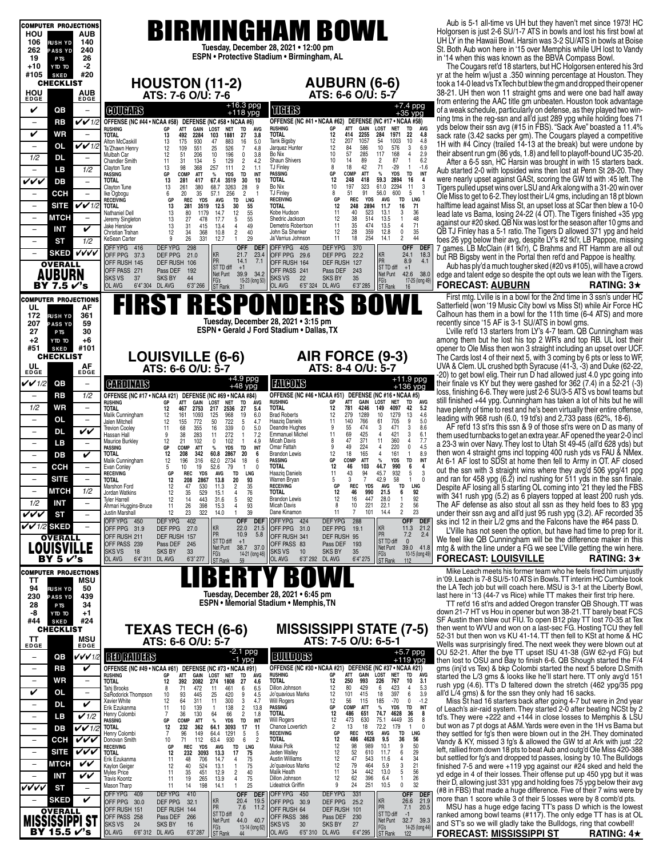| <b>COMPUTER PROJECTIONS</b>                                                                               |                                                                                                                                                                                                                                                                                                                                                                                | Aub is 5-1 all-time vs UH but they haven't met since 1973! HC                                                                                                                                                                       |
|-----------------------------------------------------------------------------------------------------------|--------------------------------------------------------------------------------------------------------------------------------------------------------------------------------------------------------------------------------------------------------------------------------------------------------------------------------------------------------------------------------|-------------------------------------------------------------------------------------------------------------------------------------------------------------------------------------------------------------------------------------|
| HOU<br>AUB<br>106<br>140<br><b>RUSH YD</b>                                                                | <b>BIRMINGHAM BOWL</b>                                                                                                                                                                                                                                                                                                                                                         | Holgorsen is just 2-6 SU/1-7 ATS in bowls and lost his first bowl at<br>UH LY in the Hawaii Bowl. Harsin was 3-2 SU/ATS in bowls at Boise                                                                                           |
| 262<br><b>PASS YD</b><br>240                                                                              | Tuesday, December 28, 2021 . 12:00 pm<br>ESPN • Protective Stadium • Birmingham, AL                                                                                                                                                                                                                                                                                            | St. Both Aub won here in '15 over Memphis while UH lost to Vandy                                                                                                                                                                    |
| 19<br>26<br>P <sub>TS</sub><br>-2<br>$+10$<br>סד סדץ                                                      |                                                                                                                                                                                                                                                                                                                                                                                | in '14 when this was known as the BBVA Compass Bowl.<br>The Cougars ret'd 18 starters, but HC Holgorsen entered his 3rd                                                                                                             |
| #20<br>#105<br><b>SKED</b><br><b>CHECKLIST</b>                                                            | <b>AUBURN (6-6)</b><br><b>HOUSTON (11-2)</b>                                                                                                                                                                                                                                                                                                                                   | yr at the helm w/just a .350 winning percentage at Houston. They<br>took a 14-0 lead vs TxTech but blew the gm and dropped their opener                                                                                             |
| HOU<br>AUB<br>EDGE<br><b>EDGE</b>                                                                         | ATS: 7-6 O/U: 7-6<br>ATS: 6-6 O/U: 5-7                                                                                                                                                                                                                                                                                                                                         | 38-21. UH then won 11 straight gms and were one bad half away                                                                                                                                                                       |
| QB<br>V                                                                                                   | +16.3 ppg<br>+118 ypg<br>TICHES<br><b>COUCHTS</b>                                                                                                                                                                                                                                                                                                                              | from entering the AAC title gm unbeaten. Houston took advantage<br>$+7.4$ ppg<br>$+35$ ypg<br>of a weak schedule, particularly on defense, as they played two win-                                                                  |
| $V$ $V$ 1/2<br><b>RB</b><br>$\overline{\phantom{m}}$                                                      | OFFENSE (NC #41 . NCAA #62)<br>DEFENSE (NC #17 • NCAA #58)<br>OFFENSE (NC #44 • NCAA #58) DEFENSE (NC #58 • NCAA #6)<br><b>RUSHING</b><br>GP<br>GAIN<br>LOST<br><b>NET</b><br>RUSHING<br><b>ATT</b><br>GAIN<br>LOST<br><b>NET</b><br>AVG<br><b>ATT</b><br>GP<br>TD                                                                                                             | ning tms in the reg-ssn and all'd just 289 ypg while holding foes 71<br>yds below their ssn avg (#15 in FBS). "Sack Ave" boasted a 11.4%<br>TD<br>AVG                                                                               |
| WR<br>V<br>$\overline{\phantom{0}}$<br>$\overline{\mathsf{v} \mathsf{v} \mathsf{1}/2}$                    | <b>TOTAL</b><br>12<br>2255<br>284<br>1971<br><b>TOTAL</b><br>13<br>492<br>2284<br>1881<br>27<br>3.8<br>414<br>103<br>1057<br>207<br>54<br>Alton McCaskill<br>13<br>930<br>47<br>883<br>16<br>5.0<br><b>Tank Bigsby</b><br>12<br>1003<br>175                                                                                                                                    | 22<br>4.8<br>sack rate (3.42 sacks per gm). The Cougars played a competitive<br>4.8<br>10<br>1H with #4 Cincy (trailed 14-13 at the break) but were undone by                                                                       |
| OL<br>$\qquad \qquad -$<br>1/2<br>DL<br>$\overline{\phantom{0}}$                                          | 586<br>$10$<br>12<br>84<br>576<br>12<br>109<br>551<br>25<br>526<br>$\overline{7}$<br>Jarquez Hunter<br>Ta'Zhawn Henry<br>4.8<br>57<br>285<br>168<br>12<br>117<br>51<br>206<br>10<br>196<br>$\mathbf 0$<br>3.8<br>Bo Nix<br>10<br>Mulbah Car<br>89<br>87<br><b>Shaun Shivers</b>                                                                                                | 6.9<br>3<br>their absent run gm (86 yds, 1.8) and fell to playoff-bound UC 35-20.<br>2.9<br>$\overline{4}$<br>6.2                                                                                                                   |
| LВ<br>1/2<br>$\qquad \qquad -$                                                                            | $\overline{2}$<br>14<br>$\overline{2}$<br>11<br>134<br>129<br>4.2<br>10<br><b>Chandler Smith</b><br>31<br>-5<br>42<br>18<br>71<br>$-29$<br>$\overline{2}$<br>13<br>98<br>368<br>257<br>111<br>1.1<br><b>TJ Finley</b><br>8<br>Clayton Tune<br>GP<br><b>YDS</b><br><b>PASSING</b><br>GP<br>COMP<br>ATT<br>%<br>YDS<br>PASSING<br>COMP<br><b>ATT</b><br>$\%$<br><b>TD</b><br>INT | After a 6-5 ssn, HC Harsin was brought in with 15 starters back<br>$-1.6$<br>$\mathbf{1}$<br>Aub started 2-0 with lopsided wins then lost at Penn St 28-20. They<br>TD<br>INT                                                       |
| vvv<br>DB<br>$\overline{\phantom{0}}$                                                                     | 67.4<br>TOTAL<br>12<br>248<br>418<br>59.3<br>2894<br>13<br>281<br>417<br>3519<br>30<br>10<br>TOTAL<br>2294<br>10<br>197<br>323<br>61.0<br>13<br>261<br>380<br>68.7<br>3263<br>28<br>Bo Nix<br>Clayton Tune<br>-9                                                                                                                                                               | were nearly upset against GASt, scoring the GW td with :45 left. The<br>16<br>4<br>3<br>11<br>Tigers pulled upset wins over LSU and Ark along with a 31-20 win over                                                                 |
| CCH<br>$\overline{\phantom{a}}$<br>$\overline{\phantom{0}}$                                               | 51<br>91<br>56.0<br>600<br>6<br>20<br>35<br>57.1<br>256<br>$\overline{2}$<br><b>TJ Finley</b><br>8<br>Ike Ogbogu<br><b>YDS</b><br>LNG<br><b>RECEIVING</b><br>GP<br><b>REC</b><br><b>YDS</b><br><b>AVG</b><br>TD<br><b>RECEIVING</b><br>GP<br><b>REC</b><br><b>AVG</b><br><b>TD</b>                                                                                             | 5<br>-1<br>Ole Miss to get to 6-2. They lost their L/4 gms, including an 18 pt blown<br>LNG                                                                                                                                         |
| $V$ $V$ 1/2<br><b>SITE</b><br>$\qquad \qquad -$<br>мтсн<br>$\qquad \qquad -$<br>$\overline{\phantom{m}}$  | 16<br>248<br>2894<br>11.7<br>13<br>281<br>3519<br>12.5<br>30<br>55<br>TOTAL.<br>12<br>TOTAL<br>55<br>3<br>Nathaniel Dell<br>13<br>80<br>1179<br>14.7<br>12<br>Kobe Hudson<br>11<br>40<br>523<br>13.1<br>38<br>514<br>478<br>17.7<br>5<br>Shedric Jackson<br>12<br>13.5                                                                                                         | halftime lead against Miss St, an upset loss at SCar then blew a 10-0<br>71<br>36<br>lead late vs Bama, losing 24-22 (4 OT). The Tigers finished +35 ypg<br>48                                                                      |
| V<br><b>INT</b><br>$\overline{\phantom{m}}$                                                               | 13<br>27<br>55<br>Jeremy Singleton<br>35<br>474<br>13.5<br>13<br>31<br>415<br>13.4<br>4<br>49<br>Demetris Robertson<br>11<br>4<br>Jake Herslow<br>28<br>359<br>12<br>12.8<br>0<br>34<br>368<br>10.8<br>2<br>40<br>John Sa Shenker<br>12<br>Christian Trahan                                                                                                                    | against our #20 sked. QB Nix was lost for the season after 10 gms and<br>71<br>QB TJ Finley has a 5-1 ratio. The Tigers D allowed 371 ypg and held<br>35                                                                            |
| ST<br>1/2<br>-                                                                                            | 254<br>$\overline{c}$<br>9<br>26<br>331<br>12.7<br>$\mathbf{1}$<br>29<br>Ja'Varrius Johnson<br>11<br>18<br>14.1<br>KeSean Carter<br><b>DEFYPG</b><br><b>OFF</b><br><b>DEFYPG</b><br>370<br>OFF YPG 416<br>298<br><b>DEF</b><br>OFFYPG 405                                                                                                                                      | 44<br>foes 26 ypg below their avg, despite LY's #2 tkl'r, LB Pappoe, missing<br><b>OFF</b><br><b>DEF</b><br>7 games. LB McClain (#1 tkl'r), C Brahms and RT Hamm are all out                                                        |
| VVVV<br>SKED<br>$\qquad \qquad -$                                                                         | KR<br>OFF PPG 37.3<br>21.7<br>23.4<br>KR<br>DEF PPG<br>21.0<br>OFF PPG 29.6<br>DEF PPG<br>22.2<br>PR<br>PR<br>7.1<br>14.1<br>OFF RUSH 145<br>DEF RUSH 106<br>OFF RUSH 164<br>DEF RUSH 127                                                                                                                                                                                      | 18.3<br>24.1<br>but RB Bigsby went in the Portal then ret'd and Pappoe is healthy.<br>8.9<br>4.1                                                                                                                                    |
| <b>OVERALL</b><br><b>AUBURN</b>                                                                           | ST TD diff<br>ST TD diff<br>$+1$<br>OFF PASS 271<br>OFF PASS 241<br>Pass DEF<br>192<br>Pass DEF<br>243<br>Net Punt<br>Net Punt<br>39.9 34.2<br><b>SKS VS</b><br>37<br><b>SKS BY</b><br>44<br>22<br><b>SKS BY</b><br>35                                                                                                                                                         | Aub has ply'd a much tougher sked (#20 vs #105), will have a crowd<br>$+1$<br>42.6 38.0<br>edge and talent edge so despite the opt outs we lean with the Tigers.                                                                    |
| BY 7.5 √'s                                                                                                | SKS VS<br>FG's<br>ST Rank<br>FG's<br>15-23 (long 50)<br>OL AVG<br>OL AVG<br>6'4" 304 DL AVG<br>6'3" 266<br>6'5" 324 DL AVG<br>6'3''285<br>ST Rank                                                                                                                                                                                                                              | 17-25 (long 49)<br><b>FORECAST: AUBURN</b><br><b>RATING:</b> $3\star$<br>16                                                                                                                                                         |
| <b>COMPUTER PROJECTIONS</b><br>UL<br>AF                                                                   | <b>FIRST RESPONDERS</b><br><b>BOWL</b>                                                                                                                                                                                                                                                                                                                                         | First mtg. L'ville is in a bowl for the 2nd time in 3 ssn's under HC<br>Satterfield (won '19 Music City bowl vs Miss St) while Air Force HC                                                                                         |
| 361<br>172<br><b>RUSH YD</b><br>207<br>59<br><b>PASS YD</b>                                               | Tuesday, December 28, 2021 • 3:15 pm                                                                                                                                                                                                                                                                                                                                           | Calhoun has them in a bowl for the 11th time (6-4 ATS) and more<br>recently since '15 AF is 3-1 SU/ATS in bowl gms.                                                                                                                 |
| 27<br>30<br>P <sub>TS</sub><br>+6                                                                         | ESPN • Gerald J Ford Stadium • Dallas, TX                                                                                                                                                                                                                                                                                                                                      | L'ville ret'd 13 starters from LY's 4-7 team. QB Cunningham was                                                                                                                                                                     |
| +2<br>סד סדץ<br>#101<br>#51<br><b>SKED</b>                                                                |                                                                                                                                                                                                                                                                                                                                                                                | among them but he lost his top 2 WR's and top RB. UL lost their<br>opener to Ole Miss then won 3 straight including an upset over UCF.                                                                                              |
| <b>CHECKLIST</b><br>UL<br>AF                                                                              | AIR FORCE (9-3)<br><b>LOUISVILLE (6-6)</b><br>ATS: 6-6 O/U: 5-7<br>ATS: 8-4 O/U: 5-7                                                                                                                                                                                                                                                                                           | The Cards lost 4 of their next 5, with 3 coming by 6 pts or less to WF,<br>UVA & Clem. UL crushed bpth Syracuse (41-3, -3) and Duke (62-22,                                                                                         |
| EDGE<br><b>EDGE</b><br>QB<br>$V$ V $1/2$<br>$\overline{\phantom{0}}$                                      | +4.9 ppg<br><b>FNOONS</b><br>CARDINALS                                                                                                                                                                                                                                                                                                                                         | -20) to get bowl elig. Their run D had allowed just 4.0 ypc going into<br>$+11.9$ ppg<br>their finale vs KY but they were gashed for 362 (7.4) in a 52-21 (-3)                                                                      |
| <b>RB</b><br>1/2<br>$\overline{\phantom{m}}$                                                              | OFFENSE (NC #46 . NCAA #51)<br>DEFENSE (NC #16 . NCAA #5)<br>OFFENSE (NC #17 · NCAA #21) DEFENSE (NC #69 · NCAA #84)                                                                                                                                                                                                                                                           | $+136$ ypg<br>loss, finishing 6-6. They were just 2-6 SU/3-5 ATS vs bowl teams but                                                                                                                                                  |
| 1/2<br>WR<br>$\qquad \qquad -$                                                                            | <b>RUSHING</b><br>GP<br>GAIN<br><b>NET</b><br><b>RUSHING</b><br><b>ATT</b><br>LOST<br>GP<br><b>ATT</b><br>GAIN<br>LOST<br>NET<br>TD<br>AVG<br><b>TOTAL</b><br>12<br>781<br>4246<br>149<br>4097<br>12<br>27<br>5.4<br><b>TOTAL</b><br>467<br>2753<br>217<br>2536<br>279<br>1289<br>10<br>1279<br>12                                                                             | still finished +44 ypg. Cunningham has taken a lot of hits but he will<br><b>AVG</b><br>TD<br>42<br>5.2<br>have plenty of time to rest and he's been virtually their entire offense.<br>13<br>4.6                                   |
| <b>OL</b><br>$\overline{\phantom{m}}$<br>$\overline{\phantom{a}}$                                         | 12<br>968<br>19<br>6.0<br><b>Brad Roberts</b><br>1093<br>125<br>Malik Cunningham<br>161<br>140<br>766<br>61<br>705<br>12<br>50<br>722<br>5<br>Haazig Daniels<br>11<br>155<br>772<br>Jalen Mitchell<br>4.7<br>55<br>9<br>474<br>3<br>471<br>11<br>339<br>$\mathbf 0$<br>Deandre Hughes<br>68<br>355<br>16<br>5.0<br><b>Trevion Cooley</b>                                       | leading with 968 rush (6.0, 19 td's) and 2,733 pass (62%, 18-6).<br>9<br>5.0<br>AF ret'd 13 st'rs this ssn & 9 of those st'rs were on D as many of<br>3<br>8.6                                                                      |
| VV<br>DL<br>$\overline{\phantom{m}}$<br>LВ<br>$\overline{\phantom{a}}$                                    | 69<br>425<br>421<br>38<br>283<br>272<br><b>Emmanuel Michel</b><br>11<br>$\overline{4}$<br>9<br>11<br>7.2<br>$\mathbf{1}$<br>Hassan Hall<br>47<br>371<br>360<br>12<br>102<br>$\mathbf{0}$<br>102<br>Micah Davis<br>8<br>11<br>21<br>4.9<br><b>Maurice Burkley</b><br>$\mathbf{1}$                                                                                               | 3<br>6.1<br>them used turnbacks to get an extra year. AF opened the year 2-0 incl<br>$7.7$<br>4.5<br>4                                                                                                                              |
| DB<br>V<br>$\overline{\phantom{m}}$                                                                       | 49<br>224<br>220<br>Omar Fattah<br>9<br>GP<br><b>YDS</b><br>TD<br>COMP<br>ATT<br>$\%$<br>INT<br>PASSING<br>18<br>165<br>161<br>12<br>60.8<br>2867<br>20<br><b>Brandon Lewis</b><br>12<br>208<br>342<br>6<br>TOTAL.                                                                                                                                                             | a 23-3 win over Navy. They lost to Utah St 49-45 (all'd 628 yds) but<br>$\Omega$<br>then won 4 straight gms incl topping 400 rush yds vs FAU & NMex.<br>8.9<br>$\mathbf{1}$                                                         |
| CCH<br>$\overline{\phantom{a}}$<br>$\overline{\phantom{m}}$                                               | 12<br>62.0<br>2734<br><b>PASSING</b><br>GP<br>COMP<br><b>ATT</b><br>%<br><b>YDS</b><br>196<br>316<br>18<br>6<br>Malik Cunningham<br><b>TOTAL</b><br>12<br>46<br>103<br>44.7<br>990<br>5<br>52.6<br>10<br>79<br>Evan Conley<br>19<br>$\Omega$<br>$\mathbf{1}$<br>94<br>45.7<br>932<br>REC<br><b>YDS</b><br><b>TD</b><br>Haazig Daniels<br>11<br>43<br>GP<br>AVG<br><b>LNG</b>   | <b>TD</b><br>INT<br>At 6-1 AF lost to SDSt at home then fell to Army in OT. AF closed<br>$\overline{4}$<br>6<br>out the ssn with 3 straight wins where they avg'd 506 ypg/41 ppg<br>3<br>5                                          |
| <b>SITE</b><br>$\overline{\phantom{a}}$                                                                   | <b>RECEIVING</b><br>12<br>208<br>7<br>42.9<br>58<br><b>TOTAL</b><br>2867<br>13.8<br>20<br>93<br>Warren Bryan<br>5<br>3<br>12<br>47<br>$\overline{2}$<br><b>TD</b><br>530<br>11.3<br>35<br><b>RECEIVING</b><br>GP<br><b>REC</b><br><b>YDS</b><br><b>AVG</b><br>Marshon Ford                                                                                                     | and ran for 458 ypg (6.2) incl rushing for 511 yds in the ssn finale.<br>0<br>$\overline{1}$<br>LNG<br>Despite AF losing all 5 starting OL coming into '21 they led the FBS                                                         |
| <b>MTCH</b><br>1/2<br>$\qquad \qquad -$<br>1/2<br><b>INT</b>                                              | 12<br>35<br>76<br><b>TOTAL</b><br>12<br>46<br>990<br>529<br>15.1<br>$\overline{4}$<br>21.5<br>6<br>Jordan Watkins<br>12<br>447<br>16<br>12<br>iyler Harrell<br>14<br>443<br>31.6<br>b<br>92<br>Brandon Lewis<br>28.U                                                                                                                                                           | 92<br>with 341 rush ypg (5.2) as 6 players topped at least 200 rush yds.<br>92<br>56                                                                                                                                                |
| vvv<br><b>ST</b>                                                                                          | $\frac{2}{2}$<br>221<br>26<br>93<br>22.1<br>Ahmari Huggins-Bruce<br>11<br>398<br>15.3<br>$\overline{4}$<br>Micah Davis<br>8<br>10<br>101<br>23<br>322<br>39<br>7<br>14.4<br>12<br>14.0<br>Dane Kinamon<br>11<br>Justin Marshall<br>$\mathbf{1}$                                                                                                                                | The AF defense as also stout all ssn as they held foes to 83 ypg<br>23<br>under their ssn avg and all'd just 95 rush ypg (3.2). AF recorded 35                                                                                      |
| VV 1/2 SKED                                                                                               | OFFYPG 450<br><b>DEFYPG</b><br>402<br>OFF YPG 424<br><b>DEFYPG</b><br>288<br><b>OFF</b><br><b>DEF</b><br>KR<br>KR<br>22.0<br>OFF PPG 31.9<br>21.5<br>DEF PPG<br>27.0<br>OFF PPG 31.0<br>DEF PPG 19.1                                                                                                                                                                           | OFF DEF<br>sks incl 12 in their $L/2$ gms and the Falcons have the #64 pass D.<br>21.2<br>11.3<br>L'Ville has not seen the option, but have had time to prep for it.                                                                |
| <b>OVERALL</b><br>LOUISVILLE                                                                              | PR<br>PR <sub></sub><br>10.9<br>5.8<br>OFF RUSH 211<br>DEF RUSH 157<br>OFF RUSH 341<br>DEF RUSH 95<br>ST TD diff<br><b>ST TD diff</b><br>$+1$<br>OFF PASS 239<br>Pass DEF<br>245<br>OFF PASS 83<br>Pass DEF<br>193<br>38.7 37.0<br>Net Punt                                                                                                                                    | 7.2<br>2.4<br>We feel like QB Cunningham will be the difference maker in this<br>$\mathbf 0$<br>39.0 41.8<br>mtg & with the line under a FG we see L'Ville getting the win here.                                                    |
| BY 5 $\nu$ 's                                                                                             | Net Punt<br>FG's<br>ST Rank<br><b>SKS BY</b><br><b>SKS VS</b><br>18<br>SKS BY<br>33<br>10<br>35<br><b>ISKS VS</b><br>FG's<br>ST Rank<br>14-21 (long 46)<br>OL AVG<br>6'4" 311 DL AVG<br>6'3" 277<br>OL AVG<br>6'3" 292 DL AVG<br>6'4" 275                                                                                                                                      | 10-15 (long 49)<br><b>FORECAST: LOUISVILLE</b><br>RATING: $3\star$<br>112                                                                                                                                                           |
| <b>COMPUTER PROJECTIONS</b>                                                                               | $\frac{1}{1}$                                                                                                                                                                                                                                                                                                                                                                  | Mike Leach meets his former team who he feels fired him uniustly<br>in '09. Leach is 7-8 SU/5-10 ATS in Bowls. TT interim HC Cumbie took                                                                                            |
| ΤТ<br><b>MSU</b><br>94<br>50<br><b>RUSH YD</b><br>230                                                     | Tuesday, December 28, 2021 • 6:45 pm                                                                                                                                                                                                                                                                                                                                           | the LA Tech job but will coach here. MSU is 3-1 at the Liberty Bowl,<br>last here in '13 (44-7 vs Rice) while TT makes their first trip here.                                                                                       |
| 439<br><b>PASS YD</b><br>28<br>34<br>P <sub>TS</sub>                                                      | <b>ESPN • Memorial Stadium • Memphis, TN</b>                                                                                                                                                                                                                                                                                                                                   | TT ret'd 16 st'rs and added Oregon transfer QB Shough. TT was<br>down 21-7 HT vs Hou in opener but won 38-21. TT barely beat FCS                                                                                                    |
| -8<br>$+1$<br>סד כדו<br>#24<br>#44<br><b>SKED</b>                                                         |                                                                                                                                                                                                                                                                                                                                                                                | SF Austin then blew out FIU. To open B12 play TT lost 70-35 at Tex                                                                                                                                                                  |
| <b>CHECKLIST</b><br><b>MSU</b><br>П                                                                       | <b>MISSISSIPPI STATE (7-5)</b><br><b>TEXAS TECH (6-6)</b><br>ATS: 7-5 O/U: 6-5-1<br>ATS: 6-6 O/U: 5-7                                                                                                                                                                                                                                                                          | then went to WVU and won on a last-sec FG. Hosting TCU they fell<br>52-31 but then won vs KU 41-14. TT then fell to KSt at home & HC                                                                                                |
| <b>EDGE</b><br>EDGE<br>$\overline{\phantom{a}}$                                                           | $-2.1$ ppg<br><b>BUILDOGS</b>                                                                                                                                                                                                                                                                                                                                                  | Wells was surprisingly fired. The next week they were blown out at<br>$+5.7$ ppg<br>OU 52-21. After the bye TT upset ISU 41-38 (GW 62-yd FG) but                                                                                    |
| VVV1/<br>QB<br>RB<br>V<br>$\overline{\phantom{m}}$                                                        | REDRADERS<br>-1 ypg<br>OFFENSE (NC #49 • NCAA #61) DEFENSE (NC #73 • NCAA #91)<br>OFFENSE (NC #30 • NCAA #21) DEFENSE (NC #37 • NCAA #21)                                                                                                                                                                                                                                      | $+119$ ypg<br>then lost to OSU and Bay to finish 6-6. QB Shough started the F/4<br>gms (inj'd vs Tex) & bkp Colombi started the next 5 before D.Smith                                                                               |
| WR<br>$\overline{\phantom{m}}$<br>$\overline{\phantom{a}}$                                                | <b>RUSHING</b><br>GAIN<br><b>NET</b><br>GP<br>ATT<br>LOST<br><b>RUSHING</b><br>GP<br>ATT<br>GAIN<br>LOST<br>NET<br>TD<br>avg<br><b>TOTAL</b><br>12<br>250<br>993<br>767<br>12<br>27<br>4.6<br>226<br><b>TOTAL</b><br>392<br>2082<br>274<br>1808<br>12<br>429<br>423<br>6                                                                                                       | TD<br><b>AVG</b><br>started the L/3 gms & looks like he'll start here. TT only avg'd 151<br>10<br>3.1<br>rush ypg (4.6). TT's D faltered down the stretch (462 ypg/35 ppg<br>5.3<br>4                                               |
| V<br><b>OL</b><br>$\overline{\phantom{m}}$                                                                | 6<br>Dillon Johnson<br>80<br>461<br>6.5<br>8<br>472<br>11<br>Tahj Brooks<br>71<br>12<br>101<br>415<br>397<br>9<br>Jo'quavious Marks<br>18<br>10<br>445<br>25<br>420<br>SaRodorick Thompson<br>93<br>4.5<br>12<br>56<br>115<br>185<br>$-70$<br>3<br><b>Will Rogers</b><br>12<br>311<br>11<br>300<br>4.7<br>64<br>Xavier White                                                   | all'd L/4 gms) & for the ssn they only had 16 sacks.<br>3.9<br>6<br>$-1.2$<br>0                                                                                                                                                     |
| V<br>DL<br>$\overline{\phantom{m}}$                                                                       |                                                                                                                                                                                                                                                                                                                                                                                |                                                                                                                                                                                                                                     |
|                                                                                                           | $\overline{c}$<br><b>PASSING</b><br>GP<br>COMP<br>ATT<br>%<br><b>YDS</b><br>11<br>10<br>139<br>138<br>13.8<br>Erik Ezukanma<br>$\mathbf{1}$<br>$\sqrt{2}$<br><b>TOTAL</b><br>12<br>486<br>651<br>74.7<br>4628<br>64<br>7<br>36<br>130<br>66<br>Henry Colombi<br>1.8                                                                                                            | Miss St had 16 starters back after going 4-7 but were in 2nd year<br>TD<br>INT<br>of Leach's air-raid system. They started 2-0 after beating NCSt by 2<br>36<br>8                                                                   |
| $\checkmark$ 1/2<br>LВ<br>$\overline{\phantom{a}}$<br>$\checkmark$ /1/2<br>DB<br>$\overline{\phantom{a}}$ | 12<br>473<br>630<br>75.1<br>4449<br>Will Rogers<br>TD<br>GP<br>COMP<br>ATT<br>%<br><b>YDS</b><br>INT<br>PASSING<br>2<br>18<br>72.2<br>179<br>12<br>64.1<br>3093<br><b>Chance Lovertich</b><br>13<br>232<br>362<br>17<br>11<br><b>TOTAL</b>                                                                                                                                     | td's. They were +222 and +144 in close losses to Memphis & LSU<br>35<br>8<br>but won as 7 pt dogs at A&M. Yards were even in the 1H vs Bama but<br>$\overline{1}$<br>$\mathbf{0}$                                                   |
| VVV<br>ССН<br>$\overline{\phantom{m}}$                                                                    | 64.4<br>1291<br><b>RECEIVING</b><br>GP<br><b>REC</b><br><b>YDS</b><br>AVG<br><b>TD</b><br>96<br>149<br>5<br>7<br>Henry Colombi<br>-5<br><b>TOTAL</b><br>12<br>486<br>4628<br>9.5<br>36<br>71<br>112<br>63.4<br>930<br>10<br>6<br>$\overline{2}$<br>Donovan Smith                                                                                                               | LNG<br>they settled for fg's then were blown out in the 2H. They dominated<br>56<br>Vandy & KY, missed 3 fg's & allowed the GW td at Ark with just :22                                                                              |
| VVV<br><b>SITE</b><br>$\overline{\phantom{a}}$                                                            | 98<br>10.1<br>9<br><b>TD</b><br>LNG<br>Makai Polk<br>12<br>989<br>GP<br><b>REC</b><br><b>YDS</b><br>AVG<br><b>RECEIVING</b><br>52<br>6<br><b>TOTAL</b><br>12<br>232<br>3093<br>13.3<br>17<br>75<br>Jaden Walley<br>12<br>610<br>11.7<br>47<br>12<br>543<br>48<br>706<br>14.7<br>$\overline{4}$<br>75<br><b>Austin Williams</b><br>11.6<br>11<br>Erik Ezukanma                  | 50<br>left, rallied from down 18 pts to beat Aub and outg'd Ole Miss 420-388<br>but settled for fg's and dropped td passes, losing by 10. The Bulldogs                                                                              |
| Vv<br>МТСН<br>$\qquad \qquad -$                                                                           | 40<br>12<br>79<br>464<br>12<br>524<br>13.1<br>75<br>Jo'quavious Marks<br>5.9<br>3<br>-1<br>Kaylon Geiger<br>35<br>34<br>442<br>13.0<br>5<br>11<br>451<br>12.9<br>2<br>40<br>Malik Heath<br>11<br><b>Myles Price</b>                                                                                                                                                            | finished 7-5 and were +119 ypg against our #24 sked and held the                                                                                                                                                                    |
| VV<br><b>INT</b><br>$\overline{\phantom{a}}$<br>vvvv<br><b>ST</b>                                         | 62<br>19<br>75<br>12<br>396<br>6.4<br>11<br>265<br>13.9<br>4<br>Dillon Johnson<br><b>Travis Koontz</b><br>24<br>251<br>10.5<br>0<br>11<br>14<br>198<br>14.1<br>25<br>Lideatrick Griffin<br>9<br>$\mathbf{1}$<br>Mason Tharp                                                                                                                                                    | 29<br>34<br>21<br>56<br>26<br>yd edge in 4 of their losses. Their offense put up 450 ypg but it was<br>their D, allowing just 331 ypg and holding foes 75 ypg below their avg<br>32                                                 |
| <b>SKED</b><br>V                                                                                          | OFFYPG 409<br><b>DEFYPG</b><br>OFF YPG 450<br><b>DEFYPG</b><br>331<br>410<br><b>OFF</b><br>DEF<br>KR<br>KR<br>20.4<br>OFF PPG 30.0<br>DEF PPG 32.1<br>19.5<br>OFF PPG 30.9<br>DEF PPG 25.2                                                                                                                                                                                     | (#8 in FBS) that made a huge difference. Five of their 7 wins were by<br><b>DEF</b><br><b>OFF</b><br>more than 1 score while 3 of their 5 losses were by 8 comb'd pts.<br>26.6<br>21.9                                              |
| <b>OVERALL</b><br><b>MISSISSIPPI ST</b>                                                                   | PR<br>PR<br>7.6<br>11.2<br>OFF RUSH 151<br>DEF RUSH 144<br>OFF RUSH 64<br>DEF RUSH 101<br>ST TD diff<br><b>ST TD diff</b><br>$\overline{0}$<br>OFF PASS 258<br>Pass DEF 266<br>OFF PASS 386<br>Pass DEF 230<br>44.0 40.7<br>Net Punt<br>Net Punt<br><b>SKS VS</b><br>- 24<br>SKS BY<br>30<br>SKS BY<br>27<br>16<br>SKS VS                                                      | MSU has a huge edge facing TT's pass D which is the lowest<br>20.5<br>7.1<br>$-1$<br>ranked among bowl teams (#117). The only edge TT has is at OL<br>32.7 39.3<br>and ST's so we will gladly take the Bulldogs, ring that cowbell! |

OL AVG 6'6" 312 DL AVG 6'3" 287

MISSISSIPPI ST BY 15.5  $\nu$ 's

St.com<br>Net Punt Net Punt 44.0 40.7<br>FG's 13-14 (long 62) 13-14 (long 62)

ST Rank 44

SKS VS 30 SKS BY 27<br>OL AVG 6'5" 310 DL AVG 6'4" 295  $6'5''310$ 

14-25 (long 44)

ST Rank 122

## **FORECAST: LOUISVILLE RATING: 3**H

MSU has a huge edge facing TT's pass D which is the lowest ranked among bowl teams (#117). The only edge TT has is at OL and ST's so we will gladly take the Bulldogs, ring that cowbell! **FORECAST: MISSISSIPPI ST RATING: 4**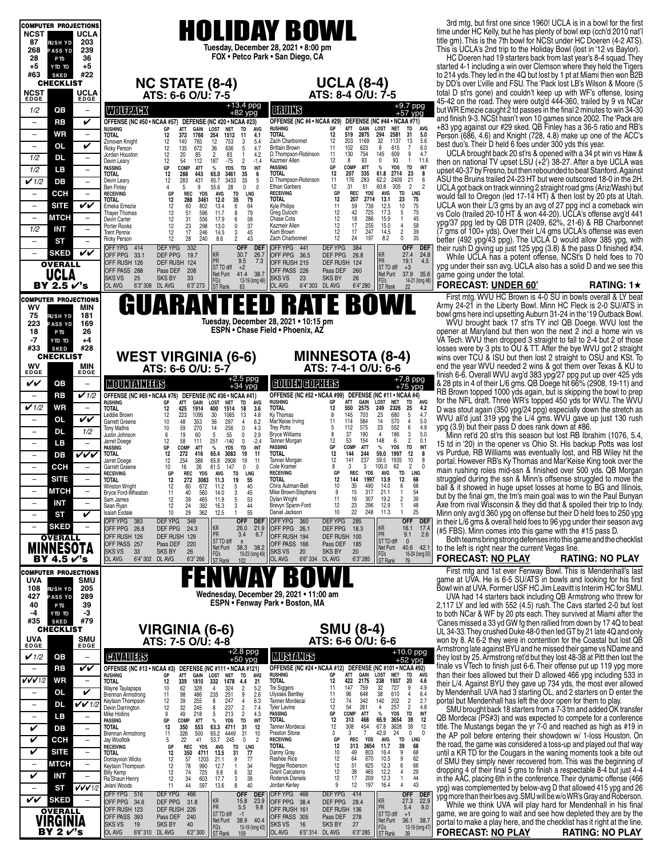| <b>COMPUTER PROJECTIONS</b>                                         |                                                                                                                                                                                                           |                                                                                                                     |                                                                                                                                                |                        |
|---------------------------------------------------------------------|-----------------------------------------------------------------------------------------------------------------------------------------------------------------------------------------------------------|---------------------------------------------------------------------------------------------------------------------|------------------------------------------------------------------------------------------------------------------------------------------------|------------------------|
|                                                                     |                                                                                                                                                                                                           |                                                                                                                     | 3rd mtg, but first one since 1960! UCLA is in a bowl for the first                                                                             |                        |
| <b>NCST</b><br>UCLA                                                 | <b>HOLIDAY BOWL</b>                                                                                                                                                                                       |                                                                                                                     | time under HC Kelly, but he has plenty of bowl exp (cch'd 2010 nat'l                                                                           |                        |
| 87<br>203<br><b>RUSH YD</b>                                         | Tuesday, December 28, 2021 . 8:00 pm                                                                                                                                                                      |                                                                                                                     | title gm). This is the 7th bowl for NCSt under HC Doeren (4-2 ATS).                                                                            |                        |
| 268<br>239<br><b>PASS YD</b><br>36<br>28<br>P <sub>TS</sub>         | FOX . Petco Park . San Diego, CA                                                                                                                                                                          |                                                                                                                     | This is UCLA's 2nd trip to the Holiday Bowl (lost in '12 vs Baylor).<br>HC Doeren had 19 starters back from last year's 8-4 squad. They        |                        |
| $+5$<br>$+5$<br>OT OTY                                              |                                                                                                                                                                                                           |                                                                                                                     | started 4-1 including a win over Clemson where they held the Tigers                                                                            |                        |
| #63<br>#22<br><b>SKED</b>                                           |                                                                                                                                                                                                           |                                                                                                                     | to 214 yds. They led in the 4Q but lost by 1 pt at Miami then won B2B                                                                          |                        |
| <b>CHECKLIST</b>                                                    | <b>NC STATE (8-4)</b>                                                                                                                                                                                     | <b>UCLA (8-4)</b><br>ATS: 8-4 O/U: 7-5                                                                              | by DD's over L'ville and FSU. The 'Pack lost LB's Wilson & Moore (5                                                                            |                        |
| NCST<br>UCLA<br>EDGE<br><b>EDGE</b>                                 | ATS: 6-6 O/U: 7-5                                                                                                                                                                                         |                                                                                                                     | total D st'rs gone) and couldn't keep up with WF's offense, losing<br>45-42 on the road. They were outg'd 444-360, trailed by 9 vs NCar        |                        |
| QB<br>1/2<br>$\overline{\phantom{m}}$                               | +13.4 ppg<br>+82 ypg<br><b>BRUINS</b><br>WOURNOK                                                                                                                                                          | $+9.7$ ppg<br>$+57$ ypg                                                                                             | but WR Emezie caught 2 td passes in the final 2 minutes to win 34-30                                                                           |                        |
| V<br>RB<br>$\overline{\phantom{0}}$                                 | OFFENSE (NC #50 • NCAA #57) DEFENSE (NC #20 • NCAA #23)                                                                                                                                                   | OFFENSE (NC #4 • NCAA #29) DEFENSE (NC #44 • NCAA #71)                                                              | and finish 9-3. NCSt hasn't won 10 games since 2002. The 'Pack are                                                                             |                        |
|                                                                     | <b>GAIN</b><br><b>LOST</b><br>TD<br><b>RUSHING</b><br>RUSHING<br>ATT<br><b>NET</b><br>GP<br>AVG                                                                                                           | ATT<br>GAIN<br>LOST NET<br>TD<br>AVG<br>GP<br>12                                                                    | +83 ypg against our #29 sked. QB Finley has a 36-5 ratio and RB's                                                                              |                        |
| WR<br>$\overline{\phantom{a}}$<br>$\overline{\phantom{m}}$          | 1766<br>254<br>1512<br>TOTAL<br><b>TOTAL</b><br>12<br>372<br>11<br>4.1<br>12<br>Zach Charbonnet<br>12<br>140<br>765<br>753<br>3<br>5.4<br>Zonovan Knight                                                  | 2875<br>31<br>5.0<br>519<br>294<br>2581<br>13<br>12<br>203<br>1169<br>32<br>1137<br>5.6                             | Person (686, 4.6) and Knight (728, 4.8) make up one of the ACC's                                                                               |                        |
| V<br>0L<br>$\overline{\phantom{a}}$                                 | 672<br>36<br>5<br>4.7<br>Ricky Person<br>12<br>135<br>636<br>Brittain Brown<br>$\overline{2}$<br>4.2<br>D. Thompson-Robinson<br>12<br>20<br>85<br>83<br>$\overline{1}$<br>Jordan Houston                  | $\overline{7}$<br>6.0<br>11<br>102<br>623<br>8<br>615<br>754<br>9<br>4.7<br>11<br>130<br>145<br>609                 | best duo's. Their D held 6 foes under 300 yds this year.<br>UCLA brought back 20 st'rs & opened with a 34 pt win vs Haw &                      |                        |
| 1/2<br><b>DL</b><br>$\overline{\phantom{m}}$                        | 12<br>54<br>187<br>$\overline{c}$<br>Kazmeir Allen<br>112<br>-75<br>$-1.4$<br>Devin Leary                                                                                                                 | 12<br>8<br>93<br>$\mathbf 0$<br>93<br>$\overline{1}$<br>11.6                                                        | then on national TV upset LSU (+2') 38-27. After a bye UCLA was                                                                                |                        |
| 1/2<br>LВ<br>$\overline{\phantom{a}}$                               | GP<br>COMP<br><b>ATT</b><br><b>YDS</b><br>TD<br>INT<br>PASSING<br>PASSING<br>$\%$<br>35<br>TOTAL<br><b>TOTAL</b><br>12<br>288<br>443<br>65.0<br>3461<br>6                                                 | %<br>TD<br>GP<br>COMP<br><b>ATT</b><br><b>YDS</b><br>INT<br>12<br>207<br>335<br>61.8<br>2714<br>23<br>8             | upset 40-37 by Fresno, but then rebounded to beat Stanford. Against                                                                            |                        |
| V1/2<br>DB<br>$\overline{\phantom{a}}$                              | 35<br>D. Thompson-Robinson<br>Devin Leary<br>12<br>283<br>431<br>65.7<br>3433<br>5<br>9<br>5<br>55.6<br>28<br>$\mathbf 0$<br>$\Omega$<br>Ethan Garbers<br>4                                               | $\frac{21}{2}$<br>176<br>283<br>62.2<br>2409<br>6<br>11<br>12<br>31<br>51<br>60.8<br>305                            | ASU the Bruins trailed 24-23 HT but were outscored 18-0 in the 2H.                                                                             |                        |
| CCH                                                                 | <b>Ben Finley</b><br>GP<br><b>REC</b><br><b>YDS</b><br><b>AVG</b><br>TD<br>LNG<br><b>RECEIVING</b><br><b>RECEIVING</b>                                                                                    | <b>TD</b><br><b>LNG</b><br>GP<br><b>REC</b><br><b>YDS</b><br><b>AVG</b>                                             | UCLA got back on track winning 2 straight road gms (Ariz/Wash) but<br>would fall to Oregon (led 17-14 HT) & then lost by 20 pts at Utah.       |                        |
| VV<br><b>SITE</b>                                                   | 35<br>TOTAL<br><b>TOTAL</b><br>12<br>288<br>3461<br>12.0<br>79<br>Kyle Philips<br>12<br>60<br>802<br>13.4<br>6<br>64<br>Emeka Emezie                                                                      | 12<br>207<br>2714<br>13.1<br>23<br>$\begin{array}{c} 75 \\ 75 \\ 75 \end{array}$<br>11<br>739<br>12.5<br>10         | UCLA won their L/3 gms by an avg of 27 ppg incl a comeback win                                                                                 |                        |
| <b>MTCH</b><br>$\overline{\phantom{a}}$                             | 12<br>596<br>11.7<br>8<br>79<br><b>Greg Dulcich</b><br>51<br>Thayer Thomas<br>556<br>17.9                                                                                                                 | 59<br>42<br>12<br>725<br>5<br>17.3<br>18<br>286<br>15.9<br>$\mathbf{1}$<br>45                                       | vs Colo (trailed 20-10 HT & won 44-20). UCLA's offense avg'd 441                                                                               |                        |
| 1/2<br>INT<br>$\overline{\phantom{a}}$                              | 12<br>31<br>6<br>58<br>Chase Cota<br>Devin Carter<br>12<br>298<br>37<br>Porter Rooks<br>23<br>13.0<br>0<br>Kazmeir Allen                                                                                  | 12<br>58<br>12<br>17<br>255<br>15.0                                                                                 | ypg/37 ppg led by QB DTR (2409, 62%, 21-6) & RB Charbonnet                                                                                     |                        |
|                                                                     | 12<br>17<br>246<br>Kam Brown<br><b>Trent Pennix</b><br>14.5<br>3<br>45<br>12<br>28<br>240<br>$\overline{2}$<br>43<br>Zach Charbonnet<br>8.6<br><b>Ricky Person</b>                                        | $\begin{smallmatrix} 4\\2\\0 \end{smallmatrix}$<br>39<br>12<br>17<br>247<br>14.5<br>35<br>12<br>24<br>197<br>8.2    | (7 gms of 100+ yds). Over their L/4 gms UCLA's offense was even<br>better (492 ypg/43 ppg). The UCLA D would allow 385 ypg, with               |                        |
| <b>ST</b><br>$\overline{\phantom{0}}$<br>$\overline{\phantom{a}}$   | OFFYPG 414<br><b>DEFYPG</b><br>332<br>OFFYPG 441<br><b>OFF</b><br><b>DEF</b>                                                                                                                              | <b>DEFYPG</b><br>384<br>OFF DEF                                                                                     | their rush D giving up just 125 ypg (3.8) & the pass D finished #34.                                                                           |                        |
| VV<br><b>SKED</b>                                                   | KR<br>30.7<br>26.7<br>OFF PPG 33.1<br>DEF PPG<br>OFF PPG 36.5<br>19.7<br>PR<br>9.5<br>7.3                                                                                                                 | 24.8<br>KR<br>27.4<br>DEF PPG<br>26.8<br>PR<br>4.5<br>19.1                                                          | While UCLA has a potent offense, NCSt's D held foes to 70                                                                                      |                        |
| <b>OVERALL</b>                                                      | OFF RUSH 126<br>DEF RUSH 124<br>OFF RUSH 215<br>ST TD diff<br>$+2$<br>OFF PASS 288<br>Pass DEF<br>208<br>OFF PASS 226                                                                                     | DEF RUSH 124<br>ST TD diff<br>$+3$<br>Pass DEF<br>260                                                               | ypg under their ssn avg. UCLA also has a solid D and we see this                                                                               |                        |
| UCLA                                                                | 41.4<br>38.7<br>Net Punt<br><b>SKS VS</b><br>25<br><b>SKS BY</b><br>33<br><b>SKS VS</b><br>23<br>FG's<br>13-19 (long 46)                                                                                  | 37.9 35.6<br>Net Punt<br><b>SKS BY</b><br>26<br>FG's<br>14-21 (long 48)                                             | game going under the total.                                                                                                                    |                        |
| BY 2.5 √'s                                                          | 6'4" 303 DL AVG<br>OL AVG<br>6'3" 308 DL AVG<br>6'3" 273<br><b>ST</b> Rank<br>OL AVG<br>63                                                                                                                | 6'4" 280<br>22<br>ST Rank                                                                                           | <b>FORECAST: UNDER 60'</b>                                                                                                                     | RATING: $1\star$       |
| <b>COMPUTER PROJECTIONS</b>                                         | GUARANTEEI                                                                                                                                                                                                | <b>D RATE BOW</b>                                                                                                   | First mtg. WVU HC Brown is 4-0 SU in bowls overall & LY beat<br>Army 24-21 in the Liberty Bowl. Minn HC Fleck is 2-0 SU/ATS in                 |                        |
| wv<br><b>MIN</b><br>181<br>75                                       |                                                                                                                                                                                                           |                                                                                                                     | bowl gms here incl upsetting Auburn 31-24 in the '19 Outback Bowl.                                                                             |                        |
| <b>RUSH YD</b><br>223<br>169<br><b>PASS YD</b>                      | Tuesday, December 28, 2021 . 10:15 pm                                                                                                                                                                     |                                                                                                                     | WVU brought back 17 st'rs TY incl QB Doege. WVU lost the                                                                                       |                        |
| 18<br>26<br>P <sub>TS</sub>                                         | ESPN • Chase Field • Phoenix, AZ                                                                                                                                                                          |                                                                                                                     | opener at Maryland but then won the next 2 incl a home win vs                                                                                  |                        |
| -7<br>$+4$<br>YTD TO                                                |                                                                                                                                                                                                           |                                                                                                                     | VA Tech. WVU then dropped 3 straight to fall to 2-4 but 2 of those                                                                             |                        |
| #33<br>#28<br><b>SKED</b><br><b>CHECKLIST</b>                       |                                                                                                                                                                                                           | <b>MINNESOTA (8-4)</b>                                                                                              | losses were by 3 pts to OU & TT. After the bye WVU got 2 straight<br>wins over TCU & ISU but then lost 2 straight to OSU and KSt. To           |                        |
| <b>WV</b><br><b>MIN</b>                                             | <b>WEST VIRGINIA (6-6)</b><br>ATS: 6-6 O/U: 5-7                                                                                                                                                           | ATS: 7-4-1 O/U: 6-6                                                                                                 | end the year WVU needed 2 wins & got them over Texas & KU to                                                                                   |                        |
| EDGE<br>EDGE                                                        |                                                                                                                                                                                                           |                                                                                                                     | finish 6-6. Overall WVU avg'd 383 ypg/27 ppg put up over 425 yds                                                                               |                        |
| VV<br>QB<br>$\overline{\phantom{m}}$                                | $+2.5$ ppg<br>$+34$ ypg<br>COLORICOPHERS<br><b>MOUNTAINEERS</b>                                                                                                                                           | +7.8 ppg<br>+75 ypg                                                                                                 | & 28 pts in 4 of their L/6 gms. QB Doege hit 66% (2908, 19-11) and                                                                             |                        |
| $\checkmark$ 1/2<br>RB                                              | OFFENSE (NC #69 · NCAA #76) DEFENSE (NC #36 · NCAA #41)                                                                                                                                                   | OFFENSE (NC #52 • NCAA #99) DEFENSE (NC #11 • NCAA #4)<br>' avg<br>ATT<br><b>NET</b>                                | RB Brown topped 1000 yds again, but is skipping the bowl to prep<br>for the NFL draft. Three WR's topped 450 yds for WVU. The WVU              |                        |
| $\checkmark$ 1/2<br>WR<br>$\overline{\phantom{m}}$                  | <b>RUSHING</b><br><b>RUSHING</b><br>ATT<br>GAIN<br>LOST<br><b>NET</b><br>TD<br><b>AVG</b><br>GР<br>TOTAL<br>TOTAL<br>425<br>1914<br>400<br>1514<br>18<br>3.6<br>12                                        | GAIN<br>LOST<br>TD<br>GP<br>550<br>2575<br>249<br>2326<br>25<br>12<br>4.2                                           | D was stout again (350 ypg/24 ppg) especially down the stretch as                                                                              |                        |
| VV<br>0L<br>$\overline{\phantom{m}}$                                | Ky Thomas<br>223<br>1095<br>1065<br>13<br>4.8<br>Leddie Brown<br>12<br>30<br>Mar'Keise Irving<br>353<br>56<br>297<br>6.2<br>48<br>$\overline{4}$<br>Garrett Greene<br>10                                  | 145<br>23<br>4.7<br>703<br>680<br>5<br>8<br>114<br>584<br>14<br>$\overline{4}$<br>5.0<br>11<br>570                  | WVU all'd just 319 ypg the L/4 gms. WVU gave up just 130 rush                                                                                  |                        |
| <b>DL</b><br>1/2<br>$\qquad \qquad -$                               | 256<br>59<br>270<br>14<br><b>Trey Potts</b><br>0<br>4.3<br><b>Tony Mathis</b><br>10                                                                                                                       | 112<br>575<br>23<br>6<br>4.9<br>5<br>552<br>$\overline{4}$                                                          | ypg (3.9) but their pass D does rank down at #86.                                                                                              |                        |
| LВ<br>$\overline{\phantom{m}}$                                      | 55<br>2.9<br><b>Bryce Williams</b><br>19<br>60<br>5<br>0<br>Justin Johnson<br>6<br>$-2.4$<br>58<br>Tanner Morgan<br>12<br>251<br>$-140$<br>0<br>Jarret Doege<br>111                                       | 190<br>186<br>3<br>5.0<br>8<br>37<br>12<br>148<br>$\overline{2}$<br>0.1<br>53<br>154<br>6                           | Minn ret'd 20 st'rs this season but lost RB Ibrahim (1076, 5.4,<br>15 td in '20) in the opener vs Ohio St. His backup Potts was lost           |                        |
| VVV<br>$\overline{\phantom{a}}$                                     | PASSING<br><b>YDS</b><br>INT<br><b>PASSING</b><br>GР<br>COMP<br>ATT<br>$\%$<br>TD<br>TOTAL<br>272<br><b>TOTAL</b><br>12<br>416<br>65.4<br>3083<br>19<br>11                                                | GP<br>COMP<br><b>ATT</b><br>$\%$<br><b>YDS</b><br>TD<br>INT<br>12<br>59.0<br>144<br>244<br>1997<br>12<br>8          | vs Purdue, RB Williams was eventually lost, and RB Wiley hit the                                                                               |                        |
| DB                                                                  | 19<br>Tanner Morgan<br>12<br>386<br>65.8<br>2908<br>Jarret Doege<br>254<br>11                                                                                                                             | 141<br>12<br>237<br>59.5<br>1935<br>10<br>-8                                                                        | portal. However RB's Ky Thomas and Mar'Keise King took over the                                                                                |                        |
| ссн                                                                 | 26<br>10<br>16<br>61.5<br>147<br>0<br>Cole Kramer<br>Garrett Greene<br>0<br>REC<br>GP<br><b>YDS</b><br>TD<br>LNG<br><b>RECEIVING</b><br>AVG<br><b>RECEIVING</b>                                           | 100.0<br>62<br>$\overline{2}$<br>8<br>3<br>3<br>$\Omega$<br>REC<br>YDS<br><b>TD</b><br><b>LNG</b><br>GP<br>AVG      | main rushing roles mid-ssn & finished over 500 yds. QB Morgan                                                                                  |                        |
| <b>SITE</b><br>$\overline{\phantom{m}}$                             |                                                                                                                                                                                                           |                                                                                                                     |                                                                                                                                                |                        |
|                                                                     | 12<br>272<br><b>TOTAL</b><br><b>TOTAL</b><br>3083<br>11.3<br>19<br>55                                                                                                                                     | 144<br>12<br>1997<br>13.9<br>12<br>68                                                                               | struggled during the ssn & Minn's offsense struggled to move the                                                                               |                        |
| <b>MTCH</b>                                                         | 12<br>5<br>40<br>Chris Autman-Bell<br><b>Winston Wright</b><br>672<br>60<br>11.2<br>560<br>Mike Brown-Stephens<br>Bryce Ford-Wheaton<br>11<br>40<br>14.0<br>3<br>45                                       | 10<br>35<br>490<br>6<br>68<br>14.0<br>15<br>317<br>21.1<br>54<br>Q                                                  | ball & it showed in huge upset losses at home to BG and Illinois,                                                                              |                        |
| <b>INT</b><br>$\overline{\phantom{0}}$                              | 12<br>465<br>5<br>53<br>39<br>Dylan Wright<br>11.9<br>Sam James<br>3<br>12<br>392<br>Brevyn Spann-Ford<br>24<br>16.3<br>Sean Ryan                                                                         | $\sqrt{2}$<br>39<br>11<br>16<br>307<br>19.2<br>23<br>$\mathbf{1}$<br>48<br>12<br>296<br>12.9                        | but by the final gm, the tm's main goal was to win the Paul Bunyan<br>Axe from rival Wisconsin & they did that & spoiled their trip to Indy.   |                        |
| V<br>ST<br>$\overline{\phantom{0}}$                                 | $\frac{44}{55}$<br>10<br>362<br>12.5<br>29<br>Daniel Jackson<br><b>Isaiah Esdale</b><br>$\mathbf{1}$                                                                                                      | 22<br>25<br>10<br>248<br>11.3<br>$\mathbf{1}$                                                                       | Minn only avg'd 360 ypg on offense but their D held foes to 250 ypg                                                                            |                        |
| <b>SKED</b><br>$\overline{\phantom{0}}$<br>$\overline{\phantom{m}}$ | <b>DEFYPG</b><br>349<br>OFF YPG<br>383<br><b>OFF</b><br>OFFYPG 360<br><b>DEF</b><br>KR<br>26.0<br>21.9                                                                                                    | <b>DEFYPG</b><br>285<br><b>OFF</b><br><b>DEF</b><br>16.1                                                            | in their L/6 gms & overall held foes to 96 ypg under their season avg                                                                          |                        |
| OVERALL                                                             | OFF PPG 26.8<br>DEF PPG<br>OFF PPG 26.1<br>24.3<br>PR<br>3.4<br>6.7<br>DEF RUSH 129<br>OFF RUSH 194<br>OFF RUSH 126                                                                                       | KR<br>17.4<br>DEF PPG<br>18.3<br>PR<br>2.6<br>9.1<br>DEF RUSH 100                                                   | (#5 FBS). Minn comes into this game with the #15 pass D.                                                                                       |                        |
|                                                                     | ST TD diff<br>$\boldsymbol{\mathsf{x}}$<br>OFF PASS 257<br>Pass DEF<br>220<br>OFF PASS 166<br>Net Punt<br>38.3 38.2                                                                                       | ST TD diff<br>$\mathbf{0}$<br>Pass DEF<br>185<br>Net Punt<br>40.6<br>42.1                                           | Both teams bring strong defenses into this game and the checklist                                                                              |                        |
| NESOTA<br>BY 4.5 r′'s                                               | <b>SKS VS</b><br>33<br><b>SKS BY</b><br>26<br>20<br>SKS VS<br>19-23 (long 49)<br><b>OL AVG</b><br>6'4" 302 DL AVG<br>6'3" 266<br>OL AVG<br>6'6" 334<br>102                                                | 20<br>SKS BY<br>FG's<br>16-24 (long 50)<br>DL AVG<br>6'3" 285                                                       | to the left is right near the current Vegas line.<br><b>FORECAST: NO PLAY</b>                                                                  | <b>RATING: NO PLAY</b> |
|                                                                     | FG's<br>ST Rank                                                                                                                                                                                           | ST Rank<br>79                                                                                                       |                                                                                                                                                |                        |
| <b>COMPUTER PROJECTIONS</b><br>UVA<br><b>SMU</b>                    |                                                                                                                                                                                                           |                                                                                                                     | First mtg and 1st ever Fenway Bowl. This is Mendenhall's last<br>game at UVA. He is 6-5 SU/ATS in bowls and looking for his first              |                        |
| 108<br>205<br><b>RUSHYD</b>                                         |                                                                                                                                                                                                           |                                                                                                                     | Bowl win at UVA. Former USF HC Jim Leavitt is Interim HC for SMU.                                                                              |                        |
| 427<br>289<br><b>PASS YD</b><br>39<br>40                            | Wednesday, December 29, 2021 . 11:00 am<br>ESPN • Fenway Park • Boston, MA                                                                                                                                |                                                                                                                     | UVA had 14 starters back including QB Armstrong who threw for                                                                                  |                        |
| P <sub>TS</sub><br>-3<br>-4<br>YTD TO                               |                                                                                                                                                                                                           |                                                                                                                     | 2,117 LY and led with 552 (4.5) rush. The Cavs started 2-0 but lost<br>to both NCar & WF by 20 pts each. They survived at Miami after the      |                        |
| #35<br>#79<br><b>SKED</b>                                           |                                                                                                                                                                                                           |                                                                                                                     | 'Canes missed a 33 yd GW fg then rallied from down by 17 4Q to beat                                                                            |                        |
| <b>CHECKLIST</b>                                                    | VIRGINIA (6-6)                                                                                                                                                                                            | <b>SMU (8-4)</b>                                                                                                    | UL 34-33. They crushed Duke 48-0 then led GT by 21 late 4Q and only                                                                            |                        |
| $UVA EDE$<br><b>SMU</b><br>EDGE                                     | ATS: 7-5 O/U: 4-8                                                                                                                                                                                         | ATS: 6-6 O/U: 6-6                                                                                                   | won by 8. At 6-2 they were in contention for the Coastal but lost QB                                                                           |                        |
| $\checkmark$ 1/2<br>QB<br>$\overline{\phantom{a}}$                  | <b>MUSTANGS</b><br><b>CAVALLES</b>                                                                                                                                                                        | $+10.0$ ppg                                                                                                         | Armstrong late against BYU and he missed their game vs NDame and<br>they lost by 25. Armstrong ret'd but they lost 48-38 at Pitt then lost the |                        |
| VV<br>RB                                                            | $+2.8$ ppg<br>$+50$ ypg<br>OFFENSE (NC #13 . NCAA #3)<br>DEFENSE (NC #111 . NCAA #121)                                                                                                                    | $+52$ ypg<br>OFFENSE (NC #24 • NCAA #12) DEFENSE (NC #101 • NCAA #92)                                               | finale vs VTech to finish just 6-6. Their offense put up 119 ypg more                                                                          |                        |
| VVV1/2<br>WR<br>$\overline{\phantom{m}}$                            | <b>RUSHING</b><br><b>RUSHING</b><br>GР<br>ATT<br>GAIN<br>LOST<br>TD<br>NET<br>AVG<br><b>TOTAL</b><br><b>TOTAL</b><br>1810<br>12<br>4.4                                                                    | <b>LOST</b><br><b>NET</b><br>TD<br>AVG<br>GP<br>ATT<br>GAIN<br>12<br>422<br>2175<br>238<br>1937<br>20<br>4.6        | than their foes allowed but their D allowed 466 ypg including 533 in                                                                           |                        |
| V<br>OL<br>$\overline{\phantom{m}}$                                 | 332<br>1478<br>21<br>339<br>5.2<br><b>Tre Siggers</b><br>62<br>324<br>$\overline{2}$<br>10<br>328<br>4<br>Wayne Taulapapa                                                                                 | 147<br>759<br>32<br>727<br>9<br>4.9<br>11<br>$\overline{4}$                                                         | their L/4. Against BYU they gave up 734 yds, the most ever allowed<br>by Mendenhall. UVA had 3 starting OL, and 2 starters on D enter the      |                        |
| $\overline{\phantom{a}}$                                            | 2.6<br>$\frac{251}{247}$<br><b>Ulysses Bentley</b><br>9<br>98<br>486<br>235<br>11<br>Brennan Armstrong<br>255<br>Tanner Mordecai<br>12<br>$\overline{4}$<br>6.3<br>Keytaon Thompson<br>8                  | 648<br>38<br>6.4<br>11<br>96<br>610<br>342<br>140<br>202<br>$\overline{c}$<br>2.7<br>12<br>74                       | portal but Mendenhall has left the door open for them to play.                                                                                 |                        |
| $V$ $V$ 1/2<br>DL                                                   | $\frac{39}{32}$<br>49<br>237<br>7.4<br>245<br>12<br>$\overline{2}$<br><b>Tyler Lavine</b><br>Devin Darrington<br>8<br>213<br>$\overline{2}$<br>4.3<br><b>PASSING</b><br>218<br>Mike Hollins<br>9<br>5     | $\overline{2}$<br>4.8<br>12<br>54<br>261<br>4<br>257<br>COMP<br><b>ATT</b><br>$\%$<br><b>YDS</b><br>TD<br>INT<br>GP | SMU brought back 18 starters from a 7-3 tm and added OK transfer                                                                               |                        |
| LB<br>$\overline{\phantom{a}}$<br>$\qquad \qquad -$                 | TOTAL<br>PASSING<br>GР<br>COMP<br>ATT<br>%<br>YDS<br>TD<br>INT                                                                                                                                            | 12<br>66.9<br>39<br>313<br>468<br>3654<br>12                                                                        | QB Mordecai (PS#3) and was expected to compete for a conference                                                                                |                        |
| V<br>DB<br>$\overline{\phantom{m}}$                                 | 350<br>Tanner Mordecai<br>12<br>553<br>4711<br>12<br><b>TOTAL</b><br>63.3<br>31<br>500<br>Preston Stone<br>11<br>326<br>65.2<br>4449<br>31<br>10<br>Brennan Armstrong                                     | 12<br>308<br>454<br>67.8<br>3628<br>39<br>12<br>$\overline{7}$<br>$\mathbf 0$<br>3<br>3<br>42.9<br>24<br>0          | title. The Mustangs began the yr 7-0 and reached as high as #19 in                                                                             |                        |
| V<br>CCH<br>$\overline{\phantom{m}}$                                | 5<br>245<br>$\overline{2}$<br><b>RECEIVING</b><br>22<br>41<br>53.7<br>0<br>Jay Woolfolk<br><b>REC</b><br>TOTAL.<br><b>YDS</b><br>LNG<br>GP<br><b>AVG</b><br>TD<br><b>RECEIVING</b>                        | REC<br><b>YDS</b><br>TD<br>LNG<br>GP<br>AVG<br>39<br>12<br>313<br>3654<br>11.7<br>68                                | the AP poll before entering their showdown w/ 1-loss Houston. On<br>the road, the game was considered a toss-up and played out that way        |                        |
| V<br><b>SITE</b><br>$\overline{\phantom{m}}$                        | 12<br>350<br>13.5<br>31<br>77<br>4711<br>Danny Gray<br><b>TOTAL</b>                                                                                                                                       | 9<br>68<br>10<br>49<br>803<br>16.4                                                                                  | until a KR TD for the Cougars in the waning moments took a bite out                                                                            |                        |
| <b>MTCH</b><br>$\overline{\phantom{a}}$<br>$\overline{\phantom{m}}$ | 12<br>77<br>57<br>1203<br>21.1<br>9<br>Rashee Rice<br><b>Dontayvion Wicks</b><br>12<br>990<br>78<br>12.7<br>$\mathbf{1}$<br>34<br>Reggie Roberson<br>Keytaon Thompson                                     | 12<br>64<br>62<br>670<br>10.5<br>9<br>12<br>51<br>66<br>625<br>12.3<br>6                                            | of SMU they simply never recovered from. This was the beginning of                                                                             |                        |
| V<br><b>INT</b>                                                     | 32<br>12<br>725<br>74<br>9.8<br>6<br>Grant Calcaterra<br><b>Billy Kemp</b><br>603<br>Roderick Daniels                                                                                                     | 12<br>38<br>29<br>465<br>12.2<br>$\overline{4}$<br>44<br>209<br>12.3<br>$\mathbf{1}$                                | dropping 4 of their final 5 gms to finish a respectable 8-4 but just 4-4                                                                       |                        |
| VVV1/2<br>ST<br>$\qquad \qquad -$                                   | 39<br>12<br>17.7<br>3<br>34<br>Ra'Shaun Henry<br>8<br>11<br>44<br>597<br>40<br>13.6<br>Jordan Kerley<br>Jelani Woods                                                                                      | 12<br>17<br>12<br>43<br>9<br>197<br>16.4<br>$\overline{4}$                                                          | in the AAC, placing 6th in the conference. Their dynamic offense (466)<br>ypg) was complemented by below-avg D that allowed 415 ypg and 26     |                        |
| VV                                                                  | <b>DEFYPG</b><br>OFF YPG 516<br>466<br><b>OFF</b><br>OFF YPG 466<br><b>DEF</b>                                                                                                                            | <b>DEFYPG</b><br>414<br><b>OFF</b><br><b>DEF</b>                                                                    | ypg more than their foes avg. SMU will be w/o WR's Gray and Roberson.                                                                          |                        |
| <b>SKED</b>                                                         | KR<br>15.8<br>23.9<br>OFF PPG 34.6<br>DEF PPG<br>OFF PPG 38.4<br>31.8<br>PR<br>5.5<br>9.8<br>OFF RUSH 161<br>OFF RUSH 123<br>DEF RUSH 226                                                                 | 27.3<br>22.9<br>KR<br>DEF PPG<br>28.4<br>PR<br>9.0<br>5.4<br>DEF RUSH 136                                           | While we think UVA will play hard for Mendenhall in his final                                                                                  |                        |
| <b>OVERALL</b><br>VIRGINIA                                          | ST TD diff<br>$-1$<br>OFF PASS 393<br>Pass DEF<br>240<br>OFF PASS 305<br>Net Punt<br>38.9 40.4<br><b>SKS VS</b><br>19<br><b>SKS BY</b><br>40<br><b>SKS VS</b><br>16<br>FG's<br>ST Rank<br>15-19 (long 43) | ST TD diff<br>$+1$<br>Pass DEF 278<br>Net Punt<br>36.1 38.7<br>SKS BY<br>27<br>FG's<br>13-19 (long 47)              | game, we are going to wait and see how depleted they are by the<br>portal to make a play here, and the checklist has it right at the line.     |                        |

#### **FORECAST: UNDER 60' RATING: 1**H

### **FORECAST: NO PLAY RATING: NO PLAY**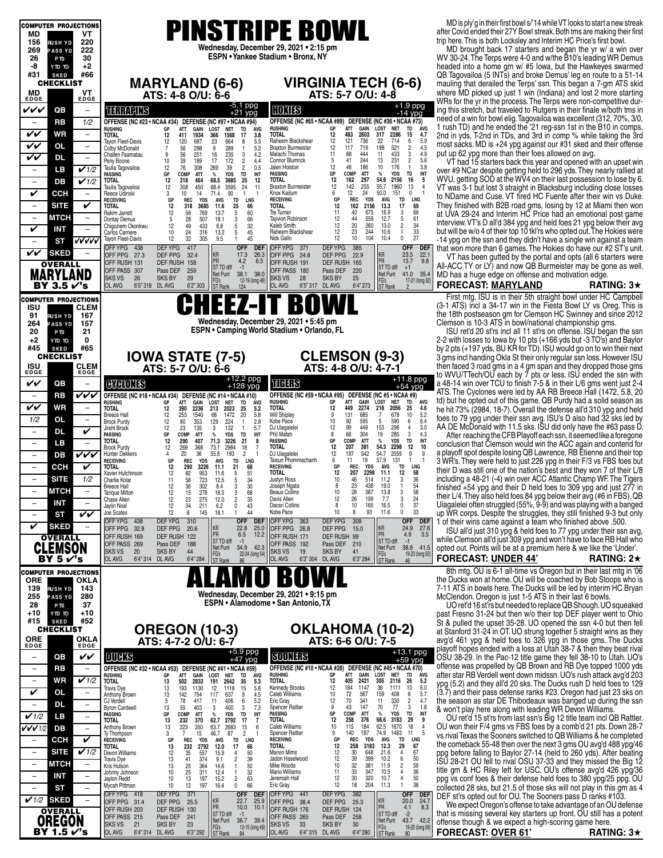| <b>COMPUTER PROJECTIONS</b>                                                                                                        |                                                                                                                                                                                                                                                                                                                                                                                                                                                         | MD is ply'g in their first bowl s/'14 while VT looks to start a new streak                                                                       |
|------------------------------------------------------------------------------------------------------------------------------------|---------------------------------------------------------------------------------------------------------------------------------------------------------------------------------------------------------------------------------------------------------------------------------------------------------------------------------------------------------------------------------------------------------------------------------------------------------|--------------------------------------------------------------------------------------------------------------------------------------------------|
| VT<br>MD.<br>220<br>156<br><b>RUSH YD</b>                                                                                          | <b>PINSTRIPE BOWL</b>                                                                                                                                                                                                                                                                                                                                                                                                                                   | after Covid ended their 27Y Bowl streak. Both tms are making their first<br>trip here. This is both Locksley and Interim HC Price's first bowl.  |
| 222<br>269<br><b>PASS YD</b><br>30<br>26<br><b>PTS</b>                                                                             | Wednesday, December 29, 2021 . 2:15 pm<br>ESPN . Yankee Stadium . Bronx, NY                                                                                                                                                                                                                                                                                                                                                                             | MD brought back 17 starters and began the yr w/ a win over<br>WV 30-24. The Terps were 4-0 and w/the B10's leading WR Demus                      |
| $+2$<br>-8<br>OT OTY<br>#66<br>#31                                                                                                 |                                                                                                                                                                                                                                                                                                                                                                                                                                                         | headed into a home gm w/ #5 lowa, but the Hawkeyes swarmed                                                                                       |
| <b>SKED</b><br><b>CHECKLIST</b>                                                                                                    | <b>VIRGINIA TECH (6-6)</b><br><b>MARYLAND</b> (6-6)                                                                                                                                                                                                                                                                                                                                                                                                     | QB Tagovailoa (5 INTs) and broke Demus' leg en route to a 51-14<br>mauling that derailed the Terps' ssn. This began a 7-gm ATS skid              |
| MD<br>VT<br>EDGE<br>EDGE                                                                                                           | ATS: 5-7 O/U: 4-8<br>ATS: 4-8 O/U: 6-6                                                                                                                                                                                                                                                                                                                                                                                                                  | where MD picked up just 1 win (Indiana) and lost 2 more starting<br>WRs for the yr in the process. The Terps were non-competitive dur-           |
| vvv<br>QB                                                                                                                          | $-5.1$ ppg<br>$+1.9$ ppg<br>-14 ypg<br>HOMES<br><b>TERRAPINS</b><br>$+21$ ypg<br>OFFENSE (NC #65 • NCAA #89) DEFENSE (NC #36 • NCAA #73)                                                                                                                                                                                                                                                                                                                | ing this stretch, but traveled to Rutgers in their finale w/both tms in<br>need of a win for bowl elig. Tagovailoa was excellent (312, 70%, 3/0, |
| 1/2<br>RB<br>$\overline{\phantom{m}}$<br>WR<br>VV<br>$\overline{\phantom{a}}$                                                      | OFFENSE (NC #23 • NCAA #34) DEFENSE (NC #97 • NCAA #94)<br>TD ÁVG<br><b>RUSHING</b><br>GР<br>ATT<br>GAIN<br>LOST<br><b>NET</b><br>TD<br><b>AVG</b><br><b>RUSHING</b><br>GP<br>ATT<br>GAIN<br>LOST NET<br>2603<br>15<br>4.7<br><b>TOTAL</b><br>12<br>483<br>317<br>2286<br><b>TOTAL</b><br>12<br>411<br>1934<br>366<br>1568<br>17<br>3.8                                                                                                                 | 1 rush TD) and he ended the '21 reg-ssn 1st in the B10 in comps,<br>2nd in yds, T-2nd in TDs, and 3rd in comp % while taking the 3rd             |
| VV<br><b>OL</b><br>$\qquad \qquad -$                                                                                               | 736<br>$6\overline{6}$<br>22<br>$\begin{array}{c} 5.9 \\ 4.5 \end{array}$<br>12<br>121<br>714<br>Tayon Fleet-Davis<br>12<br>120<br>687<br>23<br>664<br>8<br>5.5<br>Raheem Blackshear<br>719<br>198<br>$\overline{2}$<br>521<br>289<br>5.2<br><b>Braxton Burmeister</b><br>12<br>117<br>Colby McDonald<br>7<br>56<br>298<br>9<br>$\mathbf{1}$                                                                                                            | most sacks. MD is +24 ypg against our #31 sked and their offense                                                                                 |
| VV<br><b>DL</b><br>$\overline{\phantom{a}}$                                                                                        | 4.9<br>3<br>444<br>433<br>56<br>235<br>4.2<br>11<br>88<br>11<br>9<br>251<br>16<br>3<br>Malachi Thomas<br>Challen Faamatau<br>$\overline{2}$<br>$5.\overline{6}$<br>244<br>231<br>$\overline{2}$<br>13<br>39<br>41<br>10<br>189<br>17<br>172<br>4.4<br><b>Connor Blumrick</b><br>5<br>Peny Boone<br>$\overline{2}$<br>3.8<br>186<br>12<br>$10$<br>176<br>46<br>$\mathbf{1}$<br>12<br>76<br>308<br>269<br>39<br>0.5<br>Jalen Holston<br>Taulia Tagovailoa | put up 62 ypg more than their foes allowed on avg.<br>VT had 15 starters back this year and opened with an upset win                             |
| $\checkmark$ 1/2<br>LВ<br>$\overline{\phantom{m}}$<br>$\sqrt{1/2}$<br>DB<br>$\overline{\phantom{m}}$                               | TD<br>INT<br>GP<br><b>YDS</b><br><b>TD</b><br>INT<br><b>PASSING</b><br>GP<br>COMP<br><b>ATT</b><br>$\%$<br><b>YDS</b><br>PASSING<br>COMP<br><b>ATT</b><br>%<br>12<br>162<br>297<br>54.6<br>16<br>5<br><b>TOTAL</b><br>2156<br>TOTAL<br>12<br>318<br>464<br>68.5<br>3685<br>25<br>12                                                                                                                                                                     | over #9 NCar despite getting held to 296 yds. They nearly rallied at<br>WVU, getting SOD at the WV4 on their last possession to lose by 6.       |
| V<br><b>CCH</b><br>$\overline{\phantom{a}}$                                                                                        | 12<br>142<br>255<br>55.7<br>13<br>1960<br>Taulia Tagovailoa<br>12<br>308<br>450<br>68.4<br>3595<br>24<br>11<br><b>Braxton Burmeister</b><br>$\overline{4}$<br>50.0<br>12<br>24<br>$\mathbf 0$<br>6<br>151<br>10<br>14<br>71.4<br>90<br>$\mathbf{1}$<br>Knox Kadum<br>Reece Udinski<br>3<br>-1                                                                                                                                                           | VT was 3-1 but lost 3 straight in Blacksburg including close losses<br>to NDame and Cuse. VT fired HC Fuente after their win vs Duke.            |
| <b>SITE</b><br>V<br>$\qquad \qquad -$                                                                                              | LNG<br>GP<br><b>REC</b><br><b>YDS</b><br>LNG<br><b>RECEIVING</b><br>GP<br><b>REC</b><br><b>YDS</b><br><b>AVG</b><br>TD<br><b>RECEIVING</b><br><b>AVG</b><br><b>TD</b><br>17<br>12<br>162<br>2156<br>13.3<br>69<br><b>TOTAL</b><br><b>TOTAL</b><br>12<br>318<br>3685<br>11.6<br>25<br>66<br>69<br>5<br>11<br>40<br>675<br>16.9<br>3<br>12<br>56<br>769<br>13.7<br>60<br><b>Tre Turner</b><br>Rakim Jarrett                                               | They finished with B2B road gms, losing by 12 at Miami then won<br>at UVA 29-24 and Interim HC Price had an emotional post game                  |
| <b>MTCH</b><br>$\overline{\phantom{0}}$<br>$\qquad \qquad -$<br>V<br><b>INT</b><br>$\overline{\phantom{a}}$                        | 61<br>44<br>559<br>12.7<br>5<br>507<br>12<br>5<br>28<br>18.1<br>3<br>66<br><b>Tayvion Robinson</b><br>Dontay Demus<br>34<br>20<br>260<br>$\overline{c}$<br>12<br>13.0<br>12<br>49<br>433<br>5<br>32<br>Kaleb Smith<br>Chigoziem Okonkwu<br>8.8                                                                                                                                                                                                          | interview. VT's D all'd 384 ypg and held foes 21 ypg below their avg                                                                             |
| vvvv<br>ST                                                                                                                         | 33<br>12<br>23<br>10.6<br>45<br>244<br>Carlos Carriere<br>10<br>24<br>316<br>13.2<br>5<br>Raheem Blackshear<br>$\mathbf{1}$<br>27<br>$\mathbf 0$<br>45<br>12<br>10<br>104<br>10.4<br>12<br>32<br>305<br>9.5<br>Nick Gallo<br>Tayon Fleet-Davis<br>1                                                                                                                                                                                                     | but will be w/o 4 of their top 10 tkl'rs who opted out. The Hokies were<br>-14 ypg on the ssn and they didn't have a single win against a team   |
| VV<br><b>SKED</b>                                                                                                                  | <b>DEFYPG</b><br>385<br><b>OFF</b><br>OFFYPG 438<br><b>DEFYPG</b><br>417<br><b>OFF</b><br><b>DEF</b><br>OFFYPG 371<br><b>DEI</b><br>KR<br>KR<br>22.<br>17.3<br>23.5<br>26.3<br>OFF PPG 27.3<br>DEF PPG<br>32.4<br>OFF PPG 24.8<br>DEF PPG<br>22.9<br>PR<br>PR<br>13.7<br>9.8                                                                                                                                                                            | that won more than 6 games. The Hokies do have our #2 ST's unit.<br>VT has been gutted by the portal and opts (all 6 starters were               |
| <b>OVERALL</b><br>MARYLAND                                                                                                         | 4.2<br>6.5<br>OFF RUSH 131<br>DEF RUSH 158<br>OFF RUSH 191<br>DEF RUSH 165<br>ST TD diff<br>ST TD diff<br>$-1$<br>$+1$<br>OFF PASS 307<br>Pass DEF 259<br>OFF PASS 180<br>Pass DEF 220<br>41.0 35.4<br>38.1<br>38.0<br>Net Punt<br>Net Punt                                                                                                                                                                                                             | All-ACC TY or LY) and now QB Burmeister may be gone as well.<br>MD has a huge edge on offense and motivation edge.                               |
| BY 3.5 $v$ 's                                                                                                                      | <b>SKS VS</b><br><b>SKS BY</b><br>26<br>29<br><b>SKS VS</b><br>28<br><b>SKS BY</b><br>25<br>FG's<br>FG's<br>ST Rank<br>12-19 (long 48)<br>17-21 (long 52)<br>6'5" 318 DL AVG<br>6'2" 303<br>6'4" 273<br>OL AVG<br>OL AVG<br>6'5" 317 DL AVG<br>ST Rank<br>$\overline{\phantom{0}}$<br>124                                                                                                                                                               | <b>FORECAST: MARYLAND</b><br><b>RATING: 3<math>\star</math></b>                                                                                  |
| <b>COMPUTER PROJECTIONS</b>                                                                                                        | EEZ-IT B(                                                                                                                                                                                                                                                                                                                                                                                                                                               | First mtg. ISU is in their 5th straight bowl under HC Campbell<br>(3-1 ATS) incl a 34-17 win in the Fiesta Bowl LY vs Oreg. This is              |
| <b>ISU</b><br>CLEM<br>91<br><b>RUSH YD</b><br>167                                                                                  | Wednesday, December 29, 2021 . 5:45 pm                                                                                                                                                                                                                                                                                                                                                                                                                  | the 18th postseason gm for Clemson HC Swinney and since 2012<br>Clemson is 10-3 ATS in bowl/national championship gms.                           |
| 264<br>157<br><b>PASS YD</b><br>20<br>21<br>P <sub>TS</sub>                                                                        | ESPN • Camping World Stadium • Orlando, FL                                                                                                                                                                                                                                                                                                                                                                                                              | ISU ret'd 20 st'rs incl all 11 st'rs on offense. ISU began the ssn                                                                               |
| 0<br>$+2$<br>OT OTY<br>#45<br>#65<br><b>SKED</b>                                                                                   |                                                                                                                                                                                                                                                                                                                                                                                                                                                         | 2-2 with losses to lowa by 10 pts (+166 yds but -3 TO's) and Baylor<br>by 2 pts (+197 yds, BU KR for TD). ISU would go on to win their next      |
| <b>CHECKLIST</b><br><b>ISU</b><br>CLEM                                                                                             | <b>CLEMSON (9-3)</b><br><b>IOWA STATE (7-5)</b><br>ATS: 4-8 O/U: 4-7-1<br>ATS: 5-7 O/U: 6-6                                                                                                                                                                                                                                                                                                                                                             | 3 gms incl handing Okla St their only regular ssn loss. However ISU<br>then faced 3 road gms in a 4 gm span and they dropped those gms           |
| <b>EDGE</b><br><b>EDGE</b><br>VV<br>QB                                                                                             | +12.2 ppg<br>+128 ypg<br>$+11.8$ ppg<br>TICHTES<br><b>CYCLONES</b>                                                                                                                                                                                                                                                                                                                                                                                      | to WVU/TTech/OU each by 7 pts or less. ISU ended the ssn with<br>a 48-14 win over TCU to finish 7-5 & in their L/6 gms went just 2-4             |
| vvv<br><b>RB</b><br>$\overline{\phantom{a}}$                                                                                       | $+54$ ypg<br>OFFENSE (NC #59 . NCAA #95) DEFENSE (NC #5 . NCAA #9)<br>OFFENSE (NC #18 • NCAA #34) DEFENSE (NC #14 • NCAA #10)<br><b>AVG</b>                                                                                                                                                                                                                                                                                                             | ATS. The Cyclones were led by AA RB Breece Hall (1472, 5.8, 20<br>td) but he opted out of this game. QB Purdy had a solid season as              |
| VV<br><b>WR</b><br>$\qquad \qquad -$                                                                                               | GAIN<br>TD<br><b>RUSHING</b><br>GP<br>ATT<br>LOST<br><b>NET</b><br>LOST<br><b>NET</b><br><b>RUSHING</b><br>GP<br>ATT<br>GAIN<br>TD<br><b>AVG</b><br>2274<br>2056<br>25<br>4.6<br>TOTAL<br>12<br>449<br>218<br><b>TOTAL</b><br>12<br>390<br>2236<br>213<br>2023<br>25<br>5.2<br>10<br><b>Will Shipley</b><br>131<br>685<br>7<br>678<br>12<br>253<br>1540<br>68<br>1472<br>20<br>5.8<br>9<br><b>Breece Hall</b>                                           | he hit 73% (2984, 18-7). Overall the defense all'd 310 ypg and held                                                                              |
| <b>OL</b><br>1/2<br>$\overline{\phantom{a}}$<br>V<br><b>DL</b><br>$\overline{\phantom{m}}$                                         | $\begin{array}{c} 5.2 \\ 6.4 \\ 3.0 \end{array}$<br>595<br>10<br>92<br>5<br>590<br>6<br>12<br>80<br>353<br>129<br>224<br>$\mathbf{1}$<br>2.8<br>Kobe Pace<br><b>Brock Purdy</b><br>449<br>132<br>12<br>99<br>153<br>296<br>$\overline{4}$<br>12<br>23<br>135<br>3<br>$\overline{1}$<br>5.7<br>DJ Uiagalelei<br>Jirehl Brock                                                                                                                             | foes to 79 ypg under their ssn avg. ISU's D also had 32 sks led by<br>AA DE McDonald with 11.5 sks. ISU did only have the #63 pass D.            |
| LВ<br>$\qquad \qquad -$                                                                                                            | 66<br>304<br>285<br>4.3<br>Phil Mafah<br>19<br>3<br>8<br>GP<br>COMP<br>ATT<br><b>YDS</b><br>TD<br>INT<br>PASSING<br>$\%$<br><b>ATT</b><br>%<br><b>YDS</b><br><b>TD</b><br>INT<br>12<br>290<br>407<br>3226<br>21<br><b>PASSING</b><br>GP<br>COMP<br><b>TOTAL</b><br>71.3<br>8<br><b>TOTAL</b><br>12<br>207<br>381<br>54.3<br>2298<br>12<br>10                                                                                                            | After reaching the CFB Playoff each ssn, it seemed like a foregone<br>conclusion that Clemson would win the ACC again and contend for            |
| vvv<br>DB<br>$\overline{\phantom{a}}$                                                                                              | 12<br>269<br>368<br>2984<br>18<br>73.1<br><b>Brock Purdy</b><br>12<br>342<br>54.7<br>2059<br>9<br>9<br>20<br>36<br>55.6<br>193<br>$\overline{2}$<br>DJ Uiagalelei<br>187<br>Hunter Dekkers<br>4<br>Taisun Phommachanh<br>6<br>19<br>57.9<br>$\mathbf{1}$<br>GP<br><b>REC</b><br><b>YDS</b><br><b>TD</b><br>LNG<br>11<br>131<br><b>RECEIVING</b><br>AVG                                                                                                  | a playoff spot despite losing QB Lawrence, RB Etienne and their top<br>3 WH's. They were held to just 226 ypg in their F/3 vs FBS foes but       |
| V<br><b>CCH</b><br>$\overline{\phantom{a}}$                                                                                        | 290<br>LNG<br><b>TOTAL</b><br>12<br>3226<br>11.1<br>21<br>68<br><b>RECEIVING</b><br>GP<br><b>REC</b><br><b>YDS</b><br>AVG<br><b>TD</b><br>82<br>58<br>953<br>TOTAL<br>12<br>207<br>2298<br>11.1<br>12<br>58<br>12<br>11.6<br>5<br>51<br>Xavier Hutchinson                                                                                                                                                                                               | their D was still one of the nation's best and they won 7 of their L/8                                                                           |
| <b>SITE</b><br>1/2<br>$\qquad \qquad -$<br><b>MTCH</b><br>$\overline{\phantom{0}}$                                                 | 36<br>3<br>11<br>723<br>12.5<br>5<br>34<br>10 <sup>°</sup><br>46<br>514<br>11.2<br><b>Justyn Ross</b><br>Charlie Kolar<br>54<br>36<br>302<br>30<br>23<br>438<br>19.0<br>$\mathbf{1}$<br>12<br>8.4<br>3<br>Joseph Ngata<br>8<br>Breece Hall<br>68<br>387<br>13.8<br>3<br>58<br><b>Tarique Milton</b><br>12<br>15<br>278<br>18.5<br>3<br><b>Beaux Collins</b><br>10<br>28                                                                                 | including a 48-21 (-4) win over ACC Atlantic Champ WF. The Tigers<br>finished +54 ypg and their D held foes to 309 ypg and just 277 in           |
| INT<br>$\overline{\phantom{0}}$                                                                                                    | 3<br>$\frac{24}{37}$<br>Chase Allen<br>12<br>23<br>275<br>12.0<br>$\overline{\mathbf{c}}$<br>35<br>Davis Allen<br>12<br>26<br>199<br>7.7<br>$\mathbf 0$<br>34<br>43<br>Dacari Collins<br>10<br>165<br>16.5<br>Jaylin Noel<br>12<br>211<br>6.2<br>0<br>8                                                                                                                                                                                                 | their L/4. They also held foes 84 ypg below their avg (#6 in FBS). QB<br>Uiagalelei often struggled (55%, 9-9) and was playing with a banged     |
| VV<br>ST                                                                                                                           | 33<br>44<br>10<br>93<br>11.6<br>0<br>12<br>8<br>145<br>18.1<br>Kobe Pace<br>8<br>Joe Scates<br>$\mathbf{1}$<br>OFFYPG 438<br><b>DEFYPG</b><br>OFF YPG 363<br><b>DEFYPG</b><br>309<br>310<br><b>OFF</b><br><b>OFF</b><br><b>DEF</b><br><b>DEF</b>                                                                                                                                                                                                        | up WR corps. Despite the struggles, they still finished 9-3 but only<br>1 of their wins came against a team who finished above .500.             |
| V<br><b>SKED</b><br><b>OVERALL</b>                                                                                                 | KR<br>PR<br>22.8<br>25.0<br>ΚR<br>24.9<br>27.6<br>OFF PPG 32.8<br>DEF PPG<br>OFF PPG 26.8<br>DEF PPG<br>20.6<br>15.0<br>6.5<br>PR<br>4.9<br>3.5<br>12.2<br>OFF RUSH 169<br>DEF RUSH 122<br>OFF RUSH 171<br>DEF RUSH 99<br>ST TD diff<br>$-1$<br>$-1$                                                                                                                                                                                                    | ISU all'd just 310 ypg & held foes to 77 ypg under their ssn avg.<br>while Clemson all'd just 309 ypg and won't have to face RB Hall who         |
| CLEMSON                                                                                                                            | ST TD diff<br>Pass DEF<br>OFF PASS 269<br>188<br>OFF PASS 192<br>Pass DEF 210<br>Net Punt<br>34.9<br>42.3<br>38.8 41.5<br>Net Punt<br><b>SKS VS</b><br>20<br><b>SKS BY</b><br>44<br><b>SKS VS</b><br>19<br><b>SKS BY</b><br>41<br>FG's<br>22-24 (long 54)<br>19-23 (long 50)                                                                                                                                                                            | opted out. Points will be at a premium here & we like the 'Under'.                                                                               |
| BY 5 $\checkmark$ 's                                                                                                               | FG's<br>ST Rank<br>OL AVG<br>6'4" 314 DL AVG<br>6'4" 284<br>6'3" 304 DL AVG<br>6'3" 284<br>OL AVG<br><b>ST Rank</b><br>46<br>86                                                                                                                                                                                                                                                                                                                         | <b>FORECAST: UNDER 44'</b><br>RATING: $2\star$<br>8th mtg. OU is 6-1 all-time vs Oregon but in their last mtg in '06                             |
| COMPUTER PROJECTIONS<br><b>ORE</b><br>OKLA                                                                                         | $\bullet$                                                                                                                                                                                                                                                                                                                                                                                                                                               | the Ducks won at home. OU will be coached by Bob Stoops who is<br>7-11 ATS in bowls here. The Ducks will be led by interim HC Bryan              |
| 139<br><b>RUSHYD</b><br>143<br>280<br>255<br><b>PASS YD</b>                                                                        | Wednesday, December 29, 2021 . 9:15 pm<br>ESPN • Alamodome • San Antonio, TX                                                                                                                                                                                                                                                                                                                                                                            | McClendon. Oregon is just 1-5 ATS in their last 6 bowls.                                                                                         |
| 37<br>28<br>P <sub>TS</sub><br>+10<br>+10<br>OT OTY                                                                                |                                                                                                                                                                                                                                                                                                                                                                                                                                                         | UO ret'd 16 st'rs but needed to replace QB Shough. UO squeaked<br>past Fresno 31-24 but then w/o their top DEF player went to Ohio               |
| #52<br>#15<br><b>SKED</b><br><b>CHECKLIST</b>                                                                                      | <b>OKLAHOMA (10-2)</b><br><b>OREGON (10-3)</b>                                                                                                                                                                                                                                                                                                                                                                                                          | St & pulled the upset 35-28. UO opened the ssn 4-0 but then fell<br>at Stanford 31-24 in OT. UO strung together 5 straight wins as they          |
| ORE<br>OKLA<br><b>EDGE</b><br><b>EDGE</b>                                                                                          | ATS: 4-7-2 O/U: 6-7<br>ATS: 6-6 O/U: 7-5                                                                                                                                                                                                                                                                                                                                                                                                                | avg'd 461 ypg & held foes to 326 ypg in those gms. The Ducks<br>playoff hopes ended with a loss at Utah 38-7 & then they beat rival              |
| VV<br>QB<br>$\overline{\phantom{a}}$                                                                                               | $+5.9$ ppg<br>$+47$ ypg<br>$+13.1$ ppg<br><b>SOONERS</b><br>DUCHS<br>$+59$ ypg                                                                                                                                                                                                                                                                                                                                                                          | OSU 38-29. In the Pac-12 title game they fell 38-10 to Utah. UO's<br>offense was propelled by QB Brown and RB Dye topped 1000 yds                |
| RB<br>$\overline{\phantom{m}}$<br>$\qquad \qquad -$<br>V1/2<br>WR<br>$\overline{\phantom{a}}$                                      | OFFENSE (NC #10 • NCAA #28) DEFENSE (NC #45 • NCAA #70)<br>OFFENSE (NC #32 • NCAA #53) DEFENSE (NC #41 • NCAA #59)<br><b>RUSHING</b><br>GP<br>ATT<br>GAIN<br>LOST<br><b>NET</b><br>TD AVG<br><b>RUSHING</b><br>ATT<br>GAIN<br>LOST<br><b>NET</b><br>TD<br>GP<br><b>AVG</b><br><b>TOTAL</b><br>12<br>405<br>2421<br>305<br>2116<br>26<br>5.2<br><b>TOTAL</b><br>13<br>2833<br>2642 35<br>5.3<br>502<br>191                                               | after star RB Verdell went down midssn. UO's rush attack avg'd 203                                                                               |
| V<br><b>OL</b><br>$\overline{\phantom{m}}$                                                                                         | Kennedy Brooks<br>184<br>1147<br>36<br>10<br>6.0<br>5.8<br>12<br>1111<br>13<br>193<br>1130<br>12<br>1118<br>15<br><b>Travis Dye</b><br>10<br>72<br>567<br>159<br>408<br>6<br>$\frac{5.7}{4.7}$<br>13<br>9<br>Caleb Williams<br>142<br>754<br>117<br>637<br>4.5<br>Anthony Brown                                                                                                                                                                         | ypg (5.2) and they all'd 20 sks. The Ducks rush D held foes to 129<br>(3.7) and their pass defense ranks #23. Oregon had just 23 sks on          |
| <b>DL</b><br>$\overline{\phantom{m}}$<br>$\overline{\phantom{0}}$                                                                  | 330<br>12<br>70<br>341<br>11<br>$\frac{2}{3}$<br>406<br>5.2<br><b>Eric Gray</b><br>78<br>417<br>6<br>CJ Verdell<br>5<br>11<br>43<br>147<br>70<br>77<br>1.8<br>13<br>400<br>3<br>7.3<br><b>Spencer Rattler</b><br>g<br>55<br>403<br><b>Byron Cardwell</b><br>3<br>COMP<br>INT<br><b>PASSING</b><br>GP<br><b>ATT</b><br>%<br><b>YDS</b><br>TD<br><b>YDS</b><br>INT<br><b>PASSING</b><br>GP<br>COMP<br>ATT<br>TD                                           | the season as star DE Thibodeaux was banged up during the ssn<br>& won't play here along with leading WR Devon Williams.                         |
| V1/2<br>LB<br>VVV1/2<br>DB<br>$\overline{\phantom{0}}$                                                                             | %<br><b>TOTAL</b><br>12<br>258<br>376<br>68.6<br>3183<br>29<br>9<br>13<br>232<br>62.7<br>2792<br>TOTAL<br>370<br>17<br>$\overline{7}$<br>10<br>62.5<br>18<br>$\overline{4}$<br>223<br>63.7<br>2683<br>Caleb Williams<br>115<br>184<br>1670<br>13<br>350<br>15<br>6<br>Anthony Brown                                                                                                                                                                     | OU ret'd 15 st'rs from last ssn's Big 12 title team incl QB Rattler.<br>OU won their F/4 gms vs FBS foes by a comb'd 21 pts. Down 28-7           |
| V<br><b>CCH</b><br>$\qquad \qquad -$                                                                                               | $\overline{7}$<br>9<br>140<br>187<br>74.9<br>1483<br>11<br>-5<br>15<br>$\overline{2}$<br><b>Spencer Rattler</b><br>46.7<br>87<br>3<br>Ty Thompson<br>- 1<br>GP<br><b>REC</b><br>TD<br><b>RECEIVING</b><br>GP<br>REC<br><b>YDS</b><br><b>AVG</b><br>TD<br>LNG<br><b>RECEIVING</b><br>YDS<br>AVG<br>LNG<br>67<br><b>TOTAL</b><br>12                                                                                                                       | vs rival Texas the Sooners switched to QB Williams & he completed<br>the comeback 55-48 then over the next 3 gms OU avg'd 488 ypg/46             |
| V1/2<br><b>SITE</b><br>$\overline{\phantom{a}}$                                                                                    | 13<br>232<br>258<br>3183<br>12.3<br>29<br>TOTAL<br>2792<br>12.0<br>17<br>66<br>35<br>50<br>12<br>30<br>21.6<br>4<br>67<br>12<br>557<br>15.9<br>4<br>Marvin Mims<br>648<br>Devon Williams<br>41<br>374<br>39<br>12<br>39<br>399<br>10.2<br>6<br>13<br>9.1<br>2<br>Jadon Haselwood<br><b>Travis Dye</b>                                                                                                                                                   | ppg before falling to Baylor 27-14 (held to 260 yds). After beating                                                                              |
| $\overline{\phantom{a}}$<br>мтсн<br>$\overline{\phantom{m}}$<br><b>INT</b><br>$\overline{\phantom{a}}$<br>$\overline{\phantom{0}}$ | 50<br>59<br>36<br>32<br>13<br>50<br>10<br>381<br>11.9<br>2<br>25<br>364<br>14.6<br>$\mathbf{1}$<br>Mike Woods<br>Kris Hutson<br>10<br>25<br>311<br>32<br><b>Mario Williams</b><br>11<br>33<br>347<br>10.5<br>4<br>12.4<br>Johnny Johnson<br>$\mathbf{1}$                                                                                                                                                                                                | ISU 28-21 OU fell to rival OSU 37-33 and they missed the Big 12<br>title gm & HC Riley left for USC. OU's offense avg'd 426 ypg/36               |
| ST<br>$\qquad \qquad -$<br>$\qquad \qquad -$                                                                                       | 50<br>13<br>63<br>Jeremiah Hall<br>12<br>30<br>320<br>10.7<br>4<br>10<br>197<br>15.2<br>$\overline{c}$<br>Jaylon Redd<br>38<br>66<br>12<br>18<br>204<br>11.3<br>10<br>12<br>197<br>16.4<br>$\mathbf 0$<br>Eric Gray<br>1.<br>Mycah Pittman                                                                                                                                                                                                              | ppg vs conf foes & their defense held foes to 380 ypg/25 ppg. OU<br>collected 28 sks, but 21.5 of those sks will not play in this gm as 4        |
| V1/2<br><b>SKED</b>                                                                                                                | OFFYPG 418<br><b>DEFYPG</b><br>OFFYPG 441<br><b>DEFYPG</b><br>382<br>371<br><b>OFF</b><br><b>OFF</b><br><b>DEF</b><br>DEF<br>KR<br>KR<br>22.7<br>20.0<br>24.7<br>DEF PPG 25.5<br>25.9<br>OFF PPG 38.4<br>DEF PPG<br>OFF PPG 31.4<br>25.3<br>PR<br>10.0<br>PR<br>8.3<br>10.1<br>4.1                                                                                                                                                                      | DEF st'rs opted out for OU. The Sooners pass D ranks #103.<br>We expect Oregon's offense to take advantage of an OU defense                      |
| <b>OVERALL</b><br>OREGON                                                                                                           | OFF RUSH 203<br>DEF RUSH 130<br>OFF RUSH 176<br>DEF RUSH 124<br>ST TD diff<br>ST TD diff<br>$-2$<br>$-1$<br>OFF PASS 215<br>Pass DEF 241<br>OFF PASS 265<br>Pass DEF 258<br>Net Punt<br>36.7 39.4<br>43.7 42.2<br>Net Punt<br><b>SKSVS</b>                                                                                                                                                                                                              | that is missing several key starters up front. OU still has a potent<br>offense though & we expect a high-scoring game here.                     |
| BY 1.5 r⁄'s                                                                                                                        | 21<br><b>SKS BY</b><br>23<br><b>SKS VS</b><br>33<br><b>SKS BY</b><br>30<br>FG's<br>ST Rank<br>FG's<br>ST Rank<br>19-25 (long 56)<br>12-15 (long 49)<br>OL AVG<br>6'4" 314 DL AVG<br>6'3" 292<br>6'4" 315 DL AVG<br>6'4" 280<br>ol avg<br>80<br>84                                                                                                                                                                                                       | <b>FORECAST: OVER 61'</b><br>RATING: $3\star$                                                                                                    |

#### **FORECAST: UNDER 44' RATING: 2**H

**FORECAST: OVER 61' RATING: 3**H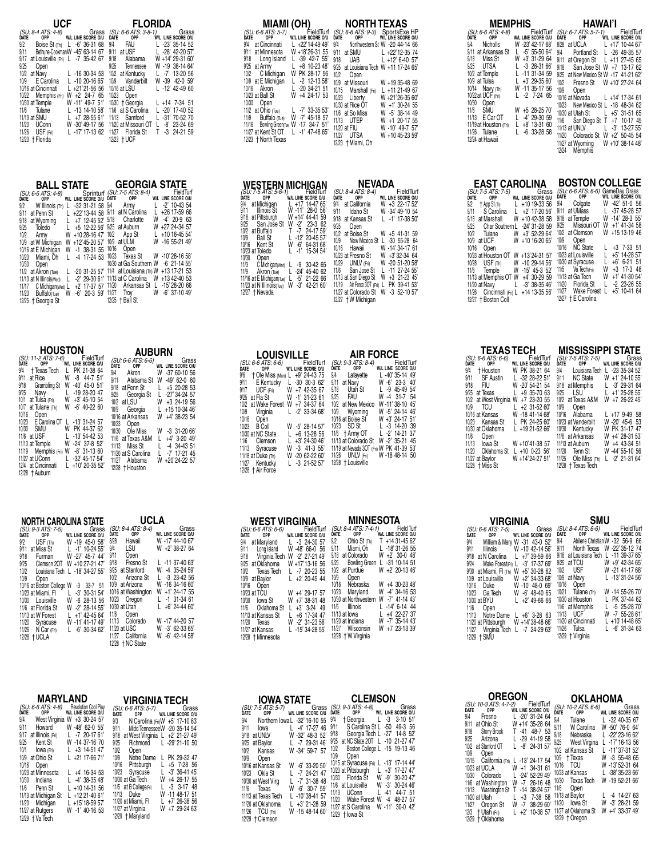| UCF<br><b>FLORIDA</b><br>(SU: 6-6 ATS: 3-8-1) Grass<br>DATE OPP WIL LINE SCORE ON<br>(SU: 8-4 ATS: 4-8)<br>DATE OPP W/L<br>Grass<br>W/L LINE SCORE O/U<br>Grass<br>9/2 Boise St (Th) L -6' 36-31 68<br>9/4<br>FAU<br>L -23' 35-14 52<br>9/11 Bethune-CookmanW -45' 63-14 67<br>9/11 at USF<br>L -28' 42-20 57'<br>W +14' 29-31 60'<br>9/17 at Louisville (Fri) L -7 35-42 67<br>9/18 Alabama<br>W -19 38-14 64<br>9/25<br>9/25 Tennessee<br>Open<br>$L - 1630 - 3453$<br>$L - 7'$ 13-20 56<br>10/2 at Navy<br>10/2 at Kentucky<br>W -39 42-0 59'<br>E Carolina<br>$L - 1020 - 1665$<br>10/9 Vanderbilt<br>10/9<br>10/16 at Cincinnati<br>$L - 12'$ 42-49 60<br>10/16 at LSU<br>L +21'21-56 56<br>10/23 Open<br>10/22 Memphis (Fri)<br>W +2 24-7 65<br>10/30 + Georgia<br>10/30 at Temple<br>W -11' 49-7 51'<br>L +14 7-34 51<br>11/6 at S Carolina<br>Tulane<br>L -13 14-10 58'<br>L -20' 17-40 52<br>11/6 |
|------------------------------------------------------------------------------------------------------------------------------------------------------------------------------------------------------------------------------------------------------------------------------------------------------------------------------------------------------------------------------------------------------------------------------------------------------------------------------------------------------------------------------------------------------------------------------------------------------------------------------------------------------------------------------------------------------------------------------------------------------------------------------------------------------------------------------------------------------------------------------------------------------------|
| L -31' 70-52 70<br>11/13 at SMU<br>$L + 728 - 5561'$<br>11/13 Samford<br>11/20 UConn<br>$L - 8'$ 23-24 69<br>W -30' 49-17 56 11/20 at Missouri OT<br>11/26 USF (Fri)<br>$L - 17' 17 - 1362$<br>$T -3$ 24-21 59<br>11/27 Florida St                                                                                                                                                                                                                                                                                                                                                                                                                                                                                                                                                                                                                                                                         |

| Sprinturf (SU: 7-5 ATS: 8-4)<br>W/L LINE SCORE O/U DATE OPP<br>W/L LINE SCORE O/U<br>9/4<br>$-2'$ 10-43 54<br>L<br>Armv<br>9/2 W Illinois (Th)<br>$-32$ 31 $-21$ 58<br>L<br>9/11 at N Carolina<br>$+26$ 17-59 66<br>L<br>9/11<br>$L + 22'$ 13-4458<br>at Penn St<br>Charlotte<br>$-4'$ 20 $-9$<br>9/18<br>W<br>63<br>at Wvoming<br>9/18<br>$L + 7$ 12-45 52'<br>W +27'24-34 57<br>9/25 at Auburn<br>$L + 5$ 12-22 56'<br>Toledo<br>9/25<br>+10 16-45 54'<br>10/2<br>App St<br>L<br>10/2<br>$+1028-1647'$<br>W<br>Army<br>W -16 55-21 49'<br>10/9 at ULM<br>10/9 at W Michigan<br>W +12'45-20 57'<br>-1 38-31 55 10/16<br>Open<br>10/16 at E Michigan<br>W<br>Texas St W -10'28-16 58'<br>10/23<br>$-4$ 17-24 53<br>10/23 Miami, Oh<br>10/30 at Ga Southern W<br>$-6$ 21-14 55<br>10/30<br>Open<br>+13 17-21 53<br>11/4 at Louisiana (Th) W<br>11/2<br>at Akron (Tue)<br>$-20$ 31-25 57'<br>L<br>11/13 at C Carolina<br>W +13 42-40 53<br>11/10 at N Illinois(Wed)<br>L<br>$-2'$ 29-30 61'<br>$-15'28-2066$<br>11/20<br>Arkansas St<br>L<br>11/17 C Michigan (Wed) L<br>$+2'$ 17-37 57 | <b>BALL STATE</b>                                         |                            | <b>GEORGIA STATE</b>                     |
|---------------------------------------------------------------------------------------------------------------------------------------------------------------------------------------------------------------------------------------------------------------------------------------------------------------------------------------------------------------------------------------------------------------------------------------------------------------------------------------------------------------------------------------------------------------------------------------------------------------------------------------------------------------------------------------------------------------------------------------------------------------------------------------------------------------------------------------------------------------------------------------------------------------------------------------------------------------------------------------------------------------------------------------------------------------------------------------|-----------------------------------------------------------|----------------------------|------------------------------------------|
|                                                                                                                                                                                                                                                                                                                                                                                                                                                                                                                                                                                                                                                                                                                                                                                                                                                                                                                                                                                                                                                                                       | (SU: 6-6 ATS: 4-8)<br>Date opp<br>11/23 Buffalo(Tue)<br>W | 11/27<br>$-6'$ 20 $-3$ 59' | FieldTurf<br>W<br>$-6'$ 37-10 49<br>Troy |

| HOUSTON                                                                                                                                                                                                                                                                                                                                                                                                                                                                                                                                                                                                                                                                       | <b>AUBURN</b>                                                                                                                                                                                                                                                                                                                                                                                                                                                                                                                                                                                                     |
|-------------------------------------------------------------------------------------------------------------------------------------------------------------------------------------------------------------------------------------------------------------------------------------------------------------------------------------------------------------------------------------------------------------------------------------------------------------------------------------------------------------------------------------------------------------------------------------------------------------------------------------------------------------------------------|-------------------------------------------------------------------------------------------------------------------------------------------------------------------------------------------------------------------------------------------------------------------------------------------------------------------------------------------------------------------------------------------------------------------------------------------------------------------------------------------------------------------------------------------------------------------------------------------------------------------|
| (SU: 11-2 ATS: 7-6)<br>FieldTurf<br>ÒATE<br>OPP<br>W/L LINE SCORE O/U<br>9/4<br>PK 21-38 64<br>† Texas Tech<br>L<br>at Rice<br>W<br>$-8$ 44-7 51<br>9/11<br>9/18<br>$-40'$ 45-0 51<br>Grambling St<br>W<br>9/25<br>-19 28-20 47<br>Navv<br>L<br>10/1<br>$+3'$ 45-10 54<br>at Tulsa (Fri)<br>W<br>$-6'$ 40-22 60<br>10/7<br>at Tulane (Th)<br>W<br>10/16<br>Open<br>10/23<br>E Carolina OT<br>$-13'31-2457$<br>I.<br>10/30<br>SMU<br>PK 44-37 62<br>W<br>11/6<br>at USF<br>L<br>$-13'54-4253$<br>W -24' 37-8 52'<br>11/13 at Temple<br>11/19 Memphis (Fri) W<br>$-8'$ 31-13 60<br>11/27 at UConn<br>L -32' 45-17 54'<br>12/4 at Cincinnati<br>+10' 20-35 52'<br>12/28 + Auburn | (SU: 6-6 ATS: 6-6)<br>Grass<br>DATE<br>OPP<br>W/L LINE SCORE O/U<br>9/4<br>$-3760-1056$<br>Akron<br>W<br>9/11<br>Alabama St<br>$-49'$ 62-0 60<br>W<br>9/18<br>at Penn St<br>$+5$ 20-28 53<br>L<br>9/25<br>$-27'34-2457$<br>Georgia St<br>L<br>10/2<br>at LSU<br>W<br>$+3$ 24-19 56<br>10/9<br>Georgia<br>$+1510-3446'$<br>10/16 at Arkansas<br>$+4'$ 38-23 54<br>W<br>10/23<br>Open<br>Ole Miss<br>10/30<br>$-3$ 31-20 66<br>W<br>$+4'$ 3-20 49<br>11/6<br>at Texas A&M<br>Miss St<br>11/13<br>$-4$ 34-43 51<br>11/20 at S Carolina<br>$-7'$ 17-21 45<br>+20'24-22 57<br>Alabama<br>11/27<br>W<br>12/28 + Houston |

| NORTH CAROLINA STATE      |                                 | UCLA                           |                             |
|---------------------------|---------------------------------|--------------------------------|-----------------------------|
| (SU: 9-3 ATS: 7-5)        | Grass                           | (SU: 8-4 ATS: 8-4)<br>Date opp | Grass<br>W/L LINE SCORE O/U |
| OPP<br>DATE               | W/L LINE SCORE O/U              |                                |                             |
| USF (Th)<br>9/2           | W -19 45-0 58                   | 8/28<br>Hawaii                 | W -17' 44-10 67'            |
| 9/11<br>at Miss St        | $L -1'$ 10-24 55'               | 9/4<br>LSU                     | W +2' 38-27 64              |
| 9/18<br>Furman            | W -27' 45-7 44'                 | 9/11<br>Open                   |                             |
| 9/25<br>Clemson 20T       | W +10 27-21 47                  | 9/18<br>Fresno St              | $L - 11$ 37-40 63           |
| 10/2                      | Louisiana Tech L -18' 34-27 55' | at Stanford<br>9/25            | $-4$ 35-24 59<br>W          |
| 10/9<br>Open              |                                 | 10/2<br>Arizona St             | $-3$ 23-42 56               |
| 10/16 at Boston College W | $-3$ $33-7$ 51                  | at Arizona<br>10/9             | W -16 34-16 60              |
| 10/23 at Miami. Fl        | $-3'$ 30-31 54<br>L             | 10/16 at Washington            | +1' 24-17 55<br>W           |
| Louisville<br>10/30       | $-6$ 28-13 56<br>W              | 10/23 Oregon                   | $-1$ 31-34 61<br>L          |
| 11/6 at Florida St        | $-2'$ 28-14 55'<br>W            | 10/30 at Utah                  | $+6'$ 24-44 60'             |
| 11/13 at W Forest         | $+1'$ 42-45 64'                 | 11/6<br>Open                   |                             |
| 11/20<br>Syracuse         | W -11' 41-17 49'                | Colorado<br>11/13              | W -17' 44-20 57             |
| 11/26 N Car (Fri)         | $L - 6'$ 30-34 62'              | 11/20 at USC                   | W -3' 62-33 65'             |
| 12/28 + UCLA              |                                 | 11/27<br>California            | W -6' 42-14 58'             |
|                           |                                 | 12/28 + NC State               |                             |

| Grass<br>(SU: 6-6 ATS: 5-7)<br>W/L LINE SCORE O/U<br>OPP <sup>1</sup><br>DATE<br>W/L LINE SCORE O/U<br>9/4<br>West Virginia<br>$+3$ 30-24 57<br>W<br>9/3<br>N Carolina (Fri) W +5' 17-10 63'<br>9/11<br>W -48' 62-0 55'<br>Howard<br>Midd TennesseeW -20 35-14 54<br>9/11<br>9/17<br>at Illinois (Fri)<br>$-7$ 20-17 61<br>at West Virginia $L +2' 21-27 49'$<br>9/18<br>9/25<br>Kent St<br>W -14 37-16 70<br>9/25<br>$L - 29' 21 - 1050$<br>Richmond<br>10/2<br>10/1<br>$+3$ 14-51 47<br>Open<br>lowa (Fri)<br>at Ohio St<br>$L + 2117 - 6671'$<br>10/9<br>Notre Dame<br>10/9<br>PK 29-32 47<br>10/16<br>$+5$ 7-28 56<br>Pittsburgh<br>10/16<br>Open<br>$-3'$ 36-41 45<br>10/23<br>L<br>Syracuse<br>10/23 at Minnesota<br>$L +4' 16-34 53$<br>10/30 at Ga Tech<br>$+4$ 26-17 55<br>W<br>$-4'$ 38-35 48<br>10/30<br>Indiana<br>11/5 at B CollegerFri)<br>$-3$ 3-17 48<br>$L + 1014 - 3156$<br>11/6<br>Penn St<br>$-11$ 48-17 51<br>11/13 Duke<br>W<br>$L + 1221 - 4061'$<br>11/13 at Michigan St<br>11/20 at Miami. Fl<br>$L + 7' 26 - 3856$<br>Michigan<br>L +15' 18-59 57'<br>11/20<br>11/27 at Virginia<br>W +7 29-24 63<br>11/27 at Rutgers<br>W -1' 40-16 53 | MARYLAND                                                                         | VIRGINIA TECH    |
|-------------------------------------------------------------------------------------------------------------------------------------------------------------------------------------------------------------------------------------------------------------------------------------------------------------------------------------------------------------------------------------------------------------------------------------------------------------------------------------------------------------------------------------------------------------------------------------------------------------------------------------------------------------------------------------------------------------------------------------------------------------------------------------------------------------------------------------------------------------------------------------------------------------------------------------------------------------------------------------------------------------------------------------------------------------------------------------------------------------------------------------------------------------------|----------------------------------------------------------------------------------|------------------|
|                                                                                                                                                                                                                                                                                                                                                                                                                                                                                                                                                                                                                                                                                                                                                                                                                                                                                                                                                                                                                                                                                                                                                                   | <b>Revolution Cool Play</b><br>(SU: 6-6 ATS: 4-8)<br>Date opp<br>12/29 + Va Tech | 12/29 + Maryland |

| MIAMI (OH)<br>(SU: 6-6 ATS: 5-7)<br>FieldTurf<br>OPP<br>W/L LINE SCORE O/U<br>ĎATE<br>at Cincinnati<br>$L + 22'14 - 4949'$<br>9/4<br>at Minnesota<br>W +18'26-31 55<br>9/11<br>9/18<br>Long Island<br>L -39 42-7 55'<br>$+8$ 10-23 48<br>at Army<br>9/25<br>C Michigan<br>PK 28-17 56<br>10/2<br>W<br>10/9 at E Michigan<br>$-2$ 12-13.58<br>L<br>$-20$ 34-21 51<br>Akron<br>10/16<br>L<br>+4 24-17 53<br>10/23 at Ball St<br>W<br>10/30<br>Open<br>11/2 at Ohio (Tue)<br>$L - 7'$ 33-35 53 | NORTH TEXAS<br>SportsExe HP<br>W/L LINE SCORE O/U<br>(SU: 6-6 ATS: 9-3)<br>Date opp<br>9/4<br>Northwestern St W -20 44-14 66<br>9/11<br>at SMU<br>L +22'12-35 74<br>UAB<br>9/18<br>$L + 12' 6 - 40 57'$<br>9/25<br>at Louisiana Tech W +11 17-24 65<br>10/2<br>Open<br>at Missouri<br>10/9<br>W +19 35-48 69<br>10/15<br>Marshall (Fri)<br>$L + 1121 - 4967$<br>10/23<br>Liberty<br>W +21'26-35 60'<br>10/30 at Rice OT<br>W +1' 30-24 55<br>11/6 at So Miss<br>$-5'$ 38-14 49<br>W |
|---------------------------------------------------------------------------------------------------------------------------------------------------------------------------------------------------------------------------------------------------------------------------------------------------------------------------------------------------------------------------------------------------------------------------------------------------------------------------------------------|-------------------------------------------------------------------------------------------------------------------------------------------------------------------------------------------------------------------------------------------------------------------------------------------------------------------------------------------------------------------------------------------------------------------------------------------------------------------------------------|
| $-7'$ 45-18 57<br>Buffalo (Tue)<br>W<br>11/9<br>Bowling Green(Tue) W -17 34-7 51'<br>11/16<br>11/27 at Kent St OT<br>$L - 1'$ 47-48 65'<br>12/23 + North Texas                                                                                                                                                                                                                                                                                                                              | 11/13<br>UTEP<br>$+1$ 20-17 55<br>W<br>11/20 at FIU<br>W -10' 49-7 57'<br><b>UTSA</b><br>11/27<br>W +10 45-23 59<br>12/23 + Miami, Oh                                                                                                                                                                                                                                                                                                                                               |

| <b>WESTERN MICHIGAN</b><br>$(SU: 7 - 5 ATS: 5 - 6 - 1)$<br>FieldTurf<br>WIL LINE SCORE O/U<br>OPP<br>DATE<br>9/4<br>at Michigan<br>$L + 17$ 14-47 65'<br>9/11<br>W -11' 28-0 56'<br>Illinois St<br>9/18<br>at Pittsburgh<br>W +14' 44-41 59<br>9/25 San Joše St<br>$-2^{1}$<br>$23-3$<br>W<br>62<br>10/2<br>at Buffalo<br>т<br>$-7$<br>24-17 59<br>10/9<br><b>Ball St</b><br>$L - 12' 20 - 45 57'$<br>$-6'$<br>10/16<br>W<br>64-31 68'<br>Kent St | NEVADA<br>(SU: 8-4 ATS: 8-4)<br>FieldTurf<br>DATE<br>OPP<br>W/L LINE SCORE O/U<br>9/4<br>at California<br>W<br>+3 22-17 52<br>9/11<br>W -34' 49-10 54<br>Idaho St<br>$L -1'$ 17-38 50'<br>9/18<br>at Kansas St<br>9/25<br>Open<br>10/2<br>at Boise St<br>W +5 41-31 59<br>10/9<br>New Mexico St<br>$-30$ 55-28 64<br>L<br>W -14' 34-17 61<br>10/16<br>Hawaii |
|---------------------------------------------------------------------------------------------------------------------------------------------------------------------------------------------------------------------------------------------------------------------------------------------------------------------------------------------------------------------------------------------------------------------------------------------------|--------------------------------------------------------------------------------------------------------------------------------------------------------------------------------------------------------------------------------------------------------------------------------------------------------------------------------------------------------------|
| 15-34 54'<br>10/23 at Toledo<br>$-1'$<br>10/30<br>Open<br>11/3 C Michigan (Wed)<br>30-42 65<br>-9<br>11/9<br>$-24'$<br>45-40 62<br>Akron (Tue)<br>L<br>11/16 at E Michigan(Tue)<br>11/23 at N Illinois(Tue)<br>-5'<br>21-22 66<br>L<br>W<br>$-3'$<br>42-21 60<br>12/27 + Nevada                                                                                                                                                                   | W +3'32-34 64<br>10/23 at Fresno St<br>10/29<br>UNLV (Fri)<br>W -20 51-20 58'<br>11/6<br>$-11$ 27-24 55<br>San Jose St<br>L<br>11/13 at San Diego St<br>W<br>+3 21-23 45<br>Air Force 30T (Fri) L<br>PK 39-41 53<br>11/19<br>11/27 at Colorado St<br>$-3$ 52-10 57<br>W<br>12/27 + W Michigan                                                                |

| <b>LOUISVILLE</b>                   |                             | <b>AIR FORCE</b>                         |                    |
|-------------------------------------|-----------------------------|------------------------------------------|--------------------|
| (SU: 6-6 ATS: 6-6)                  | FieldTurf                   | (SU: 9-3 ATS: 8-4)                       | FieldTurf          |
| <b>OPP</b><br><b>DATE</b>           | W/L LINE SCORE O/U          | OPP<br>DATE                              | W/L LINE SCORE O/U |
| 9/6 + Ole Miss (Mon) L +9' 24-43 75 |                             | 9/4 Lafayette L -40' 35-14 49'           |                    |
| 9/11 E Kentucky L -30 30-3 62'      |                             | at Navv<br>9/11                          | W -6' 23-3 40'     |
| 9/17 UCF (Fri)                      | W +7 42-35 67               | Utah St<br>9/18                          | $L - 9$ 45-49 54   |
| 9/25<br>at Fla St                   | W -1' 31-23 61              | 9/25 FAU                                 | W -4 31-7 54       |
| at Wake Forest<br>10/2              | W +7 34-37 64               | 10/2 at New Mexico                       | W-11'38-10 45'     |
| 10/9 Virginia                       | $L -2' 33-3468'$            | 10/9 Wyoming                             | W -5' 24-14 46'    |
| 10/16<br>Open                       |                             | 10/16 at Boise St                        | W +3' 24-17 51'    |
| 10/23<br>B Coll                     | W -5' 28-14 57'             | 10/23 SD St                              | $L - 3$ 14-20 39   |
| 10/30 at NC State                   | $L + 6$ 13-28 56            | 11/6 † Army OT                           | $L - 2'$ 14-21 37  |
| 11/6<br>Clemson                     | $+3'$ 24-30 46 <sup>'</sup> | 11/13 at Colorado St                     | W -2' 35-21 45     |
| 11/13 Syracuse                      | W -3 41-3 55'               | 11/19 at Nevada 30T (Fri) W PK 41-39 53' |                    |
| 11/18 at Duke (Th)                  | W -20 62-22 60'             | 11/26 UNLV (Fri)                         | W-18 48-14 50      |
| 11/27 Kentucky                      | $L - 3$ 21-52 57            | 12/28 + Louisville                       |                    |
| 12/28 + Air Force                   |                             |                                          |                    |

|                                           | WEST VIRGINIA                         | MINNESOTA                                |                                     |
|-------------------------------------------|---------------------------------------|------------------------------------------|-------------------------------------|
| (SU: 6-6 ATS: 6-6)<br>OPP<br>DATE         | FieldTurf<br>W/L LINE SCORE O/U       | (SU: 8-4 ATS: 7-4-1)<br>DATE<br>OPP      | Field Turf<br>W/L LINE SCORE O/U    |
| 9/4<br>at Maryland                        | $L - 3$ 24-30 57                      | 9/2<br>Ohio St (Th)                      | T +14 31-45 62                      |
| 9/11<br>Long Island                       | W -48' 66-0 56                        | 9/11<br>Miami. Oh<br>at Colorado<br>9/18 | L -18' 31-26 55<br>$W + 2'$ 30-0 48 |
| 9/18 Virginia Tech<br>9/25<br>at Oklahoma | W -2' 27-21 49'<br>W +17'13-16 56     | <b>Bowling Green</b><br>9/25             | $L - 31$ 10-14 51                   |
| 10/2<br>Texas Tech                        | L -7 20-23 55                         | at Purdue<br>10/2                        | W +2' 20-13 46'                     |
| 10/9 at Baylor                            | $+2'$ 20-45 44                        | 10/9<br>Open<br>10/16<br>Nebraska        | W +4 30-23 48                       |
| 10/16<br>Open<br>10/23 at TCU             | W +4' 29-17 57                        | 10/23<br>Marvland                        | W -4' 34-16 53                      |
| 10/30<br>lowa St                          | W +7' 38-31 48                        | 10/30 at Northwestern                    | W -7' 41-14 43'                     |
| Oklahoma St<br>11/6                       | $+3'$ 3-24 49<br>L                    | Illinois<br>11/6                         | L -14' 6-14 44                      |
| 11/13 at Kansas St<br>Texas<br>11/20      | $+6$ 17-34 47<br>L<br>W -2' 31-23.56' | 11/13 at lowa<br>11/20 at Indiana        | $L +4'$ 22-27 37<br>W -7' 35-14 43' |
| 11/27 at Kansas                           | L -15' 34-28 55'                      | Wisconsin<br>11/27                       | W +7 23-13 39                       |
| 12/28 + Minnesota                         |                                       | 12/28 + W Virginia                       |                                     |

| <b>IOWA STATE</b>                                                                                                                                                                                                                                                                                                                                                                                                                                                                                                                                                                         | <b>CLEMSON</b>                                                                                                                                                                                                                                                                                                                                                                                                                                                                                                                                                                                                                                     |
|-------------------------------------------------------------------------------------------------------------------------------------------------------------------------------------------------------------------------------------------------------------------------------------------------------------------------------------------------------------------------------------------------------------------------------------------------------------------------------------------------------------------------------------------------------------------------------------------|----------------------------------------------------------------------------------------------------------------------------------------------------------------------------------------------------------------------------------------------------------------------------------------------------------------------------------------------------------------------------------------------------------------------------------------------------------------------------------------------------------------------------------------------------------------------------------------------------------------------------------------------------|
| (SU: 7-5 ATS: 5-7)<br>Date opp<br>Grass<br>W/L LINE SCORE O/U<br>9/4<br>Northern lowa L -32' 16-10 55<br>9/11<br>$-4'$ 17-27 46<br>L.<br>lowa<br>9/18<br>W -32' 48-3 52'<br>at UNLV<br>9/25<br>$L - 729 - 3146'$<br>at Baylor<br>Kansas<br>W -34' 59-7 57<br>10/2<br>10/9<br>Open<br>W -6' 33-20 50'<br>10/16 at Kansas St<br>$-7$ 24-21 47<br>10/23<br>Okla St<br>$-7'$ 31-38 48<br>10/30 at West Virg<br>$-6'$ 30-7 59'<br>W<br>11/6<br>Texas<br>$-10'$ 38-41 57<br>11/13 at Texas Tech<br>11/20 at Oklahoma<br>$+3'$ 21-28 59<br>11/26 TCU (Fri)<br>W -15 48-14 60'<br>12/29 + Clemson | (SU: 9-3 ATS: 4-8)<br>DATE OPP<br>Grass<br>W/L LINE SCORE O/U<br>9/4<br>$-3$<br>3-10 51<br>L<br>† Georgia<br>S Carolina St L -50 49-3 56<br>9/11<br>Georgia Tech L -27' 14-8 52'<br>9/18<br>at NC State 20T L -10 21-27 47<br>9/25<br>Boston College L -15 19-13 46<br>10/2<br>10/9<br>Open<br>10/15 at Syracuse (Fri) L -13' 17-14 44'<br>10/23 at Pittsburgh L<br>$+3'$ 17-27 47<br>Florida St<br>-9'<br>W<br>$30 - 20$ 47<br>10/30<br>$-3'$<br>W<br>11/6 at Louisville<br>30-24 46<br>11/13<br><b>UConn</b><br>$-41$<br>44-7 51<br>L<br>11/20<br>Wake Forest W<br>48-27 57<br>$-4$<br>11/27 at S Carolina<br>W -11' 30-0 42'<br>12/29 + Iowa St |

| <b>MEMPHIS</b>                                                                                                                                                                                                                                                                                                  |                                                                                                                                                                                                                                                                         | HAWAI'I                                                                                                                                                                                                                                                                                                                                                                                                                                                                                                                                                                                                                                                                                    |
|-----------------------------------------------------------------------------------------------------------------------------------------------------------------------------------------------------------------------------------------------------------------------------------------------------------------|-------------------------------------------------------------------------------------------------------------------------------------------------------------------------------------------------------------------------------------------------------------------------|--------------------------------------------------------------------------------------------------------------------------------------------------------------------------------------------------------------------------------------------------------------------------------------------------------------------------------------------------------------------------------------------------------------------------------------------------------------------------------------------------------------------------------------------------------------------------------------------------------------------------------------------------------------------------------------------|
| (SU: 6-6 ATS: 4-8)<br>Date opp<br>9/4<br>Nicholls<br>9/11<br>at Arkansas St<br>9/18<br>Miss St<br>9/25<br>UTSA<br>10/2 at Temple<br>10/9 at Tulsa<br>10/14<br>Navy (Th)<br>10/22 at UCF (Fri)<br>10/30<br>Open<br>11/6<br>SMU<br>E Car OT<br>11/13<br>11/19 at Houston (Fri)<br>11/26 Tulane<br>12/24 at Hawaii | FieldTurf<br>W/L LINE SCORE O/U<br>W -23' 42-17 68'<br>$L -5' 55 - 5064'$<br>+3' 31-29 64<br>W<br>$L - 328 - 3166'$<br>$L - 11$ 31-34 59<br>$+3'$ 29-35 60'<br>W -11 35-17 56<br>$L - 2$ 7-24 65<br>W +5 28-25 70<br>$-4'$ 29-30 59<br>+8' 13-31 60<br>$L - 6$ 33-28 58 | (SU: 6-7 ATS: 5-7-1)<br>FieldTurf<br>WIL LINE SCORE O/U<br>OPP<br>DATE<br>at UCLA<br>8/28<br>$L + 17'$ 10-44 67'<br>9/4<br>L -26 49-35 57<br>Portland St<br>9/11<br>at Oregon St<br>$+11$ 27-45 65<br>L<br>9/18<br>San Jose St W +7 13-17 62<br>9/25<br>at New Mexico St W -17 41-21 62'<br>10/2<br>W +10' 27-24 64<br>Fresno St<br>10/9<br>Open<br>10/16 at Nevada<br>$L + 14'$ 17-34 61<br>10/23<br>New Mexico St L -18 48-34 62<br>10/30 at Utah St<br>$+5'$ 31-51 65<br>$\mathbf{L}$<br>11/6<br>San Diego St<br>T<br>10-17 45<br>$+7$<br>11/13 at UNLV<br>L<br>$-3'$ 13-27 55<br>11/20<br>$W + 2'$ 50-45 54<br>Colorado St<br>W +10' 38-14 48'<br>11/27 at Wyoming<br>Memphis<br>12/24 |

| <b>EAST CAROLINA</b>                  |                      | <b>BOSTON COLLEGE</b>                                           |                         |
|---------------------------------------|----------------------|-----------------------------------------------------------------|-------------------------|
| (SU: 7-5 ATS: 7-5)                    | Grass                | (SU: 6-6 ATS: 6-6) GameDay Grass<br>DATE OPP WIL LINE SCORE O/U |                         |
| OPP<br>DATE                           | W/L LINE SCORE O/U   | DATE                                                            |                         |
| 9/2<br>t App St (Th) L +10 19-33 56   |                      | 9/4 Colgate                                                     | W -42' 51-0 56          |
| S Carolina L +2' 17-20 56'<br>9/11    |                      | 9/11                                                            | at UMass L -37 45-28 57 |
| 9/18 at Marshall                      | $W + 1042 - 3858$    | at Temple<br>9/18                                               | W -14' 28-3 55'         |
| 9/25 Char Southern L -24' 31-28 59    |                      | Missouri OT<br>9/25                                             | $W$ +1' 41-34 58        |
| 10/2 Tulane                           | W +3' 52-29 64'      | 10/2<br>at Clemson                                              | W +15 13-19 46          |
| 10/9<br>at UCF                        | W +10 16-20 65       | 10/9 Open                                                       |                         |
| 10/16<br>Open                         |                      | 10/16 NC State                                                  | $L + 3$ 7-33 51         |
| 10/23 at Houston OT W +13'24-31 57    |                      | 10/23 at Louisville                                             | $+5'$ 14-28.57          |
| 10/28 USF (Th) W -10 29-14 56'        |                      | 10/30 at Syracuse                                               | $+6'$ 6-21 51<br>L      |
| 11/6 Temple W -15' 45-3 52'           |                      | 11/5 Va Tech Fri                                                | $+3$ 17-3 48<br>W       |
| 11/13 at Memphis OT W +4' 30-29 59    |                      | 11/13 at Ga Tech                                                | W<br>+1' 41-30 54'      |
| 11/20 at Navv                         | $L - 3' 38 - 35 46'$ | 11/20 Florida St                                                | $-2$ 23-26 55<br>L      |
| 11/26 Cincinnati (Fri) L +14 13-35 56 |                      | 11/27 Wake Forest                                               | $+5'$ 10-41 64<br>L     |
| 12/27 + Boston Coll                   |                      | 12/27 + E Carolina                                              |                         |

|       |                   | <b>TEXASTECH</b>                                                                | <b>MISSISSIPPI STATE</b>                                |                     |
|-------|-------------------|---------------------------------------------------------------------------------|---------------------------------------------------------|---------------------|
|       |                   | ( <i>SU: 6-6 ATS: 6-6)</i><br>DATE OPP W/L LINE SCORE O/U<br>W/L LINE SCORE O/U | (SU: 7-5 ATS: 7-5) Grass<br>DATE OPP WIL LINE SCORE OIU |                     |
|       |                   | 9/4 + Houston W PK 38-21 64                                                     | 9/4 Louisiana Tech L -23 35-34 52'                      |                     |
|       | 9/11 SF Austin    | L -32 28-22 51'                                                                 | 9/11 NC State W +1' 24-10 55'                           |                     |
| 9/18  | - FIU             | W -20'54-21.54                                                                  | 9/18 at Memphis L -3' 29-31 64                          |                     |
|       | 9/25 at Texas     | $L + 935 - 7063$                                                                | 9/25                                                    | LSU L +1' 25-28 55' |
|       |                   | 10/2 at West Virginia W +7 23-20 55                                             | 10/2<br>at Texas A&M                                    | $W + 726-2245$      |
| 10/9  | <b>TCU</b>        | $L + 2$ 31-52 60                                                                | 10/9<br>Open                                            |                     |
|       | 10/16 at Kansas   | W -18 41-14 68'                                                                 | 10/16 Alabama                                           | $L + 179 - 4958$    |
|       | 10/23 Kansas St   | L PK 24-25.60                                                                   | 10/23 at Vanderbilt                                     | W -20' 45-6 53      |
|       | 10/30 at Oklahoma | $L + 1921 - 5266$                                                               | 10/30 Kentucky                                          | W PK 31-17 47       |
|       | 11/6 Open         |                                                                                 | 11/6 at Arkansas                                        | W +4' 28-31 53'     |
|       |                   | 11/13 lowa St W +10'41-38 57                                                    | 11/13 at Auburn                                         | W +4 43-34 51       |
| 11/20 |                   | Oklahoma St L +10 0-23 56'                                                      | 11/20 Tenn St                                           | W -44' 55-10 56     |
|       |                   | 11/27 at Baylor W +14'24-27 51'                                                 | 11/25 Ole Miss (Th)                                     | $L - 2' 21 - 3164'$ |
|       | 12/28 + Miss St   |                                                                                 | 12/28 + Texas Tech                                      |                     |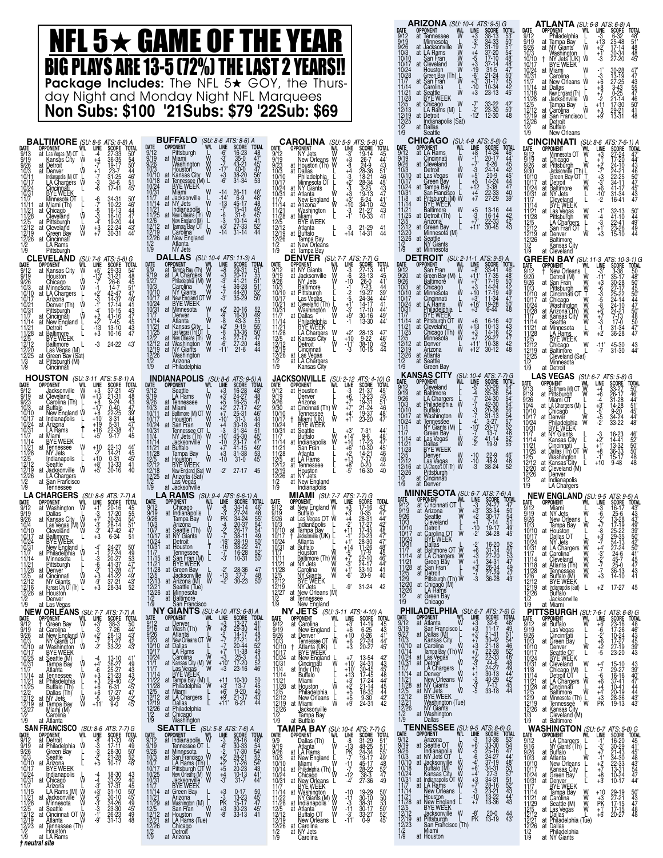|                                                                                                                                                                                                                                                                                                                                                                                                                                                                                                                                                                                                                                                                                                                                                                                                                                                                                 | <b>NFL 5 <math>\star</math> GAME OF THE YEAR</b><br><b>BIG PLAYS ARE 13-5 (72%) THE LAST 2 YEARS!!</b><br>Package Includes: The NFL 5* GOY, the Thurs-<br>day Night and Monday Night NFL Marquees<br><b>Non Subs: \$100 '21Subs: \$79 '22Sub: \$69</b>                                                                                                                                                                                                                                                                                                                                                                                                                                                                                                                                                                                                                                                                                                                                        |                                                                                                                                                                                                                                                                                                                                                                                                                                                                                                                                                                                                                                                                                                                                                                                                                                                                                                                                                                                                                                                                                                                      | <b>ARIZONA</b> (SU: 10-4 ATS: 9-5) G<br><b>OPPONENT</b><br>₩<br><b>SCORE</b><br>LINE<br><b>TOTAL</b><br>53701-1478<br>442-5044<br>442-5044<br>45<br>at Tennessee<br>Minnesota<br>⋚<br>Jacksonville<br>LA Rams<br>37-20<br>おさざらはよう<br>at<br>San Fran<br>at Cleveland<br>17-10<br>$37 - 14$<br>$31-5$<br>$21-24$<br>$31-17$<br>Houston<br>Green Bay (Th) L<br>San Fran<br>at San Fran<br>Carolina<br>at Seattle<br>$^{10-34}_{23-13}$<br>w<br>at BYE WEEK<br>at Chicago<br>LA Rams (M)<br>W<br>33-22<br>23-30<br>12-30<br>$\frac{-7}{2}$<br>-12'<br>$\frac{42}{50}$<br>48<br>Ļ<br>Second Transport<br>at Dallas<br>Seattle<br><b>JIC</b>                                                                                                                                                                                                                                                                                                              | <b>ATLANTA</b> (SU: 6-8 ATS: 6-8) A<br>TOTAI<br>OPPONENT<br>W/L<br>line<br>SCORE<br>Philade <u>l</u> phia<br>$9/12$<br>$9/19$<br>$9/26$<br>$10/3$<br>$10/17$<br>$10/24$<br>$10/31$<br>$\frac{48}{148}$<br>$\frac{48}{45}$<br>$-3$<br>$+13$<br>$+2$<br>$6 - 32$<br>25-48<br>Tampa Bay<br>NY Giants<br>ŵ<br>17-14<br>at<br>Washington<br>NY Jets (UK) W<br>PYE WEEK<br>$^{+1}_{-3}$<br>$\frac{30-34}{27-20}$<br>W<br>at Miami<br>4774355460148<br>-3<br>$\frac{10}{21}$<br>$\frac{11}{7}$<br>$\frac{11}{14}$<br>Carolina<br>New Orleans W<br>$+6$<br>at<br>at<br>Dallas<br>+8<br>11/18<br>New England (Th)<br>Jacksonville<br>Ŵ<br>$\frac{11/28}{12/5}$<br>$\frac{12/12}{12/19}$<br>$\frac{12/26}{1/2}$<br>$\frac{1}{2}$<br>at<br><u>T</u> ampa Bay<br>$+11$<br>17-30<br>29-21<br>13-31<br>₩<br>$^{+3}_{+9'}$<br>at<br>Carolina<br>San Francisco L<br>Detroit<br>at                                                                                                                |
|---------------------------------------------------------------------------------------------------------------------------------------------------------------------------------------------------------------------------------------------------------------------------------------------------------------------------------------------------------------------------------------------------------------------------------------------------------------------------------------------------------------------------------------------------------------------------------------------------------------------------------------------------------------------------------------------------------------------------------------------------------------------------------------------------------------------------------------------------------------------------------|-----------------------------------------------------------------------------------------------------------------------------------------------------------------------------------------------------------------------------------------------------------------------------------------------------------------------------------------------------------------------------------------------------------------------------------------------------------------------------------------------------------------------------------------------------------------------------------------------------------------------------------------------------------------------------------------------------------------------------------------------------------------------------------------------------------------------------------------------------------------------------------------------------------------------------------------------------------------------------------------------|----------------------------------------------------------------------------------------------------------------------------------------------------------------------------------------------------------------------------------------------------------------------------------------------------------------------------------------------------------------------------------------------------------------------------------------------------------------------------------------------------------------------------------------------------------------------------------------------------------------------------------------------------------------------------------------------------------------------------------------------------------------------------------------------------------------------------------------------------------------------------------------------------------------------------------------------------------------------------------------------------------------------------------------------------------------------------------------------------------------------|-----------------------------------------------------------------------------------------------------------------------------------------------------------------------------------------------------------------------------------------------------------------------------------------------------------------------------------------------------------------------------------------------------------------------------------------------------------------------------------------------------------------------------------------------------------------------------------------------------------------------------------------------------------------------------------------------------------------------------------------------------------------------------------------------------------------------------------------------------------------------------------------------------------------------------------------------------|----------------------------------------------------------------------------------------------------------------------------------------------------------------------------------------------------------------------------------------------------------------------------------------------------------------------------------------------------------------------------------------------------------------------------------------------------------------------------------------------------------------------------------------------------------------------------------------------------------------------------------------------------------------------------------------------------------------------------------------------------------------------------------------------------------------------------------------------------------------------------------------------------------------------------------------------------------------------------------|
| <b>BALTIMORE</b> (SU: 8-6 ATS: 6-8) A<br>SCORE<br>27-33<br>36-35<br>19-17<br>TOTAL<br>at Las Vegas (M) OT L<br>Kansas City W<br>50'<br>54<br>50'<br>44<br>$9/13$<br>$9/19$<br>$9/26$<br>$10/3$<br>$10/11$<br>$10/17$<br>$+7$<br>$+7$<br>$-7$<br>$-3$<br>$-6$<br>Detroit<br>Ŵ<br>at Denver<br>$\frac{23.7}{31.25}$<br>$\frac{34.6}{17.41}$<br>$\frac{46}{51}$ , 45<br>Indianapolis (M) OT<br>₩<br>LA Chargers<br>Cincinnati<br><b>BYE WEEK</b><br>34-31<br>10-22<br>16-13<br>16-10<br>19-20<br>22-24<br>30-31<br>$+325$<br>50'<br>46'<br>44'<br>43'<br>44'<br>Minnesota OT<br>at<br>Miami (Th)<br>Chicago<br>$\frac{11}{21}$<br>$\frac{11}{28}$<br>at<br>Ŵ<br>Clevelănd<br>12/5<br>12/12<br>12/19<br>12/26<br>1/2<br>1/9<br>Pittsburgh<br>₩<br>Cleveland<br>at<br>Green Bay<br>at Cincinnati<br>LA Rams<br>Pittsburgh                                                            | <b>BUFFALO</b> (SU: 8-6 ATS: 8-6) A<br>DATE<br>9/12<br>9/26<br>9/26<br>10/10<br>10/18<br>10/24<br>10/31<br>11/7<br><b>OPPONENT</b><br>Pittsburgh<br>at Miami<br>Washington<br>⋚≦≷≋<br><b>LINE</b><br>SCORE <sup>®</sup><br><b>TOTAL</b><br>4874575653<br>16-23<br>$-5.5 - 7.7$<br>at<br>$40 - 0$<br>Houston.<br>Kansas City<br>Tennessee (M) L<br>BYE WEEK<br>38-20<br>31-34<br>at<br>at<br>Miami<br>48484848451511<br>$-14$<br>$-14$<br>$-13$<br>$7$<br>26-11<br>6-9<br>45-17<br>15-41<br>Jacksonville<br>NY Jets<br>₩<br>11/14<br>at<br>11/21<br>at Write<br>at New Orleans (Th)<br>at New England (M)<br>at Tampa Bay OT<br>at New England<br>at New England<br>ķν<br>- သံသင်္ဘ<br>- 14<br>$\frac{11}{25}$<br>$\frac{12}{6}$<br>$\frac{12}{12}$<br>$\frac{12}{12}$<br>$\frac{12}{12}$<br>$\frac{12}{12}$<br>$\frac{12}{12}$<br>$\frac{31-6}{10-14}$<br>$27-33$<br>$31-14$<br>₩<br>Atlanta<br>NY Jets                                                                                       | <b>CAROLINA</b> (SU: 5-9 ATS: 5-9) G<br>DATE<br><b>OPPONENT</b><br><b>PONENT WILLY WILLY VIEW</b><br>NY Jets W<br>New Orleans W<br>Houston (Th) W<br>ڸ<br>؊ڛڞڞڂڛڿۺڂڂۻڂ<br>SCORE TOTAL<br>19-14<br>$9/12$<br>$9/19$<br>$9/23$<br>$10/3$<br>$10/17$<br>$10/24$<br>$10/21$<br>$^{45}_{44'}$<br>4311445434711<br>at<br>28-36<br>at<br>Dallas<br>Philadelphia<br>Minnesota OT<br>$\frac{78}{28}$ -21<br>28-34<br>$3 - 25$<br>at NY Giants<br>w<br>$\frac{10}{2}$<br>$\frac{11}{2}$<br>19-13<br>at Atlanta<br>New England<br>$6 - 24$<br>₩<br>11/14<br>$\frac{42}{43}$<br>41<br>34-10<br>21-27<br>10-33<br>at Arizona<br>11/21<br>Washington<br>$\frac{11/28}{12/5}$<br>$\frac{12/12}{12/19}$<br>$\frac{12/26}{1/2}$<br>$\frac{1}{2}$<br>at Miami<br><b>BYE WEEK</b><br>21-29<br>14-31<br>$-3$<br>+14<br>Atlanta<br>at Buffalo<br>Tampa Bay<br>at New Orleans<br>at Tampa Bay                                                                                                                                                                                                                                              | <b>CHICAGO</b> (SU: 4-9 ATS: 5-8) G<br><b>OPPONENT</b><br>at LA Rams<br><i>Cincinnati</i><br>at Cleveland<br>Detroit<br>$\frac{W}{I}$<br>LINE<br><b>SCORE</b><br><b>TOTAL</b><br>DATE<br>9/12<br>9/19<br>9/26<br>9/10/17<br>10/17<br>10/24<br>10/31<br>11/8<br>11/18<br>$14 - 34$<br>$20 - 17$<br>$^{+8}_{-1}$<br>Ŵ<br>$+7355$<br>$+555$<br>$+124$<br>$+7$<br>$6-26$<br>₩<br>₩<br>$24 - 14$<br>$20 - 9$<br>at Las Vegas<br>Green Bay<br>at Tampa Bay<br>$14 - 24$<br>3-38<br>22-33<br>27-29<br>at San Francisco<br>at Pittsburgh (M) W<br>BYE WEEK<br>at Detroit (Th)<br>w<br>L<br>11/21<br>13-16<br>16-14<br>22-33<br>30-45<br>$+5$<br>$+3$<br>$+7$<br>$+11$<br>$\frac{42}{42}$<br>43<br>$\frac{11}{25}$<br>$\frac{12}{5}$<br>$\frac{12}{12}$<br>$\frac{12}{20}$<br>at Deirona<br>at Green Bay<br>at Green Bay<br>Minnesota (M)<br>at Seattle<br>at Minnesota<br>at Minnesota<br>$\frac{12}{2}$<br>$\frac{1}{2}$<br>$\frac{1}{2}$<br>$\frac{1}{9}$ | at Buffalo<br>New Orleans<br><b>CINCINNATI</b> (SU: 8-6 ATS: 7-6-1) A<br>TOTAL<br>44'<br>44'<br>45'<br>45'<br>45'<br>43'<br>47'<br><b>OPPONENT</b><br>line<br>SCORE<br>9/12<br>9/19<br>9/26<br>9/30<br>10/17<br>10/24<br>10/31<br>11/7<br>17-20<br>Providency Minimesons<br>at Chicago W<br>at Pittsburgh W<br>dacksonwille (Th) L<br>Creen Bay OT<br>Creen Bay OT<br>Metroit<br>24-10<br>$+3.3$<br>$+6.3$<br>$+6.0$<br>$-2.2$<br>22-25<br>34-11<br>NY Jets<br>31-34<br>16-41<br>at<br>Cleveland<br>$\begin{array}{c} 11/14 \\ 11/21 \\ 11/28 \\ 12/5 \\ 12/12 \\ 12/19 \\ 13/19 \end{array}$<br>BYE WEEK<br>50'<br>44<br>49'<br>49<br>44<br>at<br>Las Vegas<br>ittsburgh<br>41-10<br>-4<br>-3<br>$\frac{22-41}{23-26}$<br>LA Chargers<br>San Fran OT<br>at Denver<br>$^{+1'}_{+3}$<br>₩<br>12/26<br>Baltimore<br>Kansas City<br>$\frac{1}{2}$<br>$\frac{1}{9}$<br>at Cleveland                                                                                                  |
| <b>CLEVELAND</b> (SU: 7-6 ATS: 5-8) G<br>THE OPPONENT WILLINE SCORE TOTA<br>1/19 at Kansas City Willine SCORE TOTA<br>1/19 Houston W -13 31-21 48<br>1/26 Chicago W -7 20-5<br>$9/12$<br>$9/19$<br>$9/26$<br>$10/3$<br>$10/10$<br>$10/17$<br>$10/21$<br>26-6<br>14-7<br>Ŵ<br>at Minnesota<br>$+2^{2}$<br>$-3$<br>$-1^{3}$<br>42-47<br>at LA Chargers<br>$\frac{14}{17}$ -37<br>Arizona<br>Ŵ<br>Denver (Th)<br>$-4$<br>$+2$<br>$+3$<br>$+3$<br>10/31<br>$10-15$<br>$41-16$<br>Pittsburgh<br>Ŵ<br>Cincinnati<br>$7-45$<br>13-10<br>10-16<br>New England<br>at<br>11/21<br>11/28<br>Detroit<br>at<br>Baltimore<br><b>BYE WEEK</b><br>24-22 43'<br>Baltimore<br>-3<br>Las Vegas (M)<br>at Green Bay (Sat)<br>at Pittsburgh (M)<br>Cincinnati<br>12/25<br>1/3<br>1/9                                                                                                                 | <b>DALLAS</b> (SU: 10-4 ATS: 11-3) A<br><b>Example 12-4</b> and 12-5 and 12-5 and 12-5 and 12-5 and 12-5 and 12-5 and 12-5 and 12-5 and 12-5 and 12-5 and 12-5 and 12-5 and 12-5 and 12-5 and 12-5 and 12-5 and 12-5 and 12-5 and 12-5 and<br>DATE<br>9/9<br>9/19<br>9/27<br>10/10<br>10/17<br>10/24<br>10/31<br>11/7<br>TOTAL<br>51<br>50<br>50<br>50<br><u> Agoogloofic</u><br>20-16<br>16-30<br>52955550774844<br>Denver<br>Ŵ<br>$43 - 3$<br>9-19<br>Atlanta<br>Huanna<br>Hansas City<br>Las Vegas (Th) OT<br>at New Orleans (Th) W<br>at Washington<br>Washington<br>Washington<br>Arizona<br>11/21<br>11/25<br>12/21<br>12/19<br>12/26<br>1/9<br>33-36<br>27-17<br>27-20<br>21-6<br>Arizona<br>at Philadelphia                                                                                                                                                                                                                                                                           | <b>DENVER</b> (SU: 7-7 ATS: 7-7) G<br>OPPONENT WILL LINE SCORE TO<br>3 at NY Giants Will 13 27-13<br>3 at Jacksonville W -6 23-13<br>3 NY, Jets W -10 26-9<br>SCORE TOTAL<br>$\frac{9}{12}$<br>9/26<br>10/3<br>10/17<br>10/21<br>10/31<br>11/1<br>26-0<br>7-23<br>Baltimore<br>$-50.5$<br>$19-27$<br>$24-34$<br>at Pittsburgh<br>Altsburg<br>Las Vegas<br>t Cleveland (Th) L<br>Mashington W<br>14-17<br>at<br>17-10<br>30-16<br>13-30<br>at<br>11/14<br>Philadelphia<br>BYE WEEK<br>11/21<br>EA Chargers<br>at Kansas City<br>Detroit W<br>$\frac{11}{28}$<br>$\frac{12}{5}$<br>$\frac{12}{12}$<br>$\frac{12}{12}$<br>$\frac{12}{12}$<br>$\frac{12}{12}$<br>$\frac{12}{12}$<br>$\frac{12}{12}$<br>$+2^{+}_{+10}$<br>$-11^{+}_{-3}$<br>28-13<br>9-22<br>38-10<br>10-15<br>$\frac{46}{42}$<br>44<br>Cincinnati<br>L<br>at Las Vegas<br>at LA Chargers<br>Kansas City                                                                                                                                                                                                                                                  | <b>DETROIT</b> (SU: 2-11-1 ATS: 9-5) A<br><b>SCORE</b><br><b>OPPONENT</b><br>TOTAL<br>WI.<br>W<br>San Fran<br>at Green Bay (M)<br>at Green Bay (M)<br>at Chicago<br>at Minnesota<br>cincinnati<br>at LA Bams<br>W<br>33-41<br>46345024970348<br>$+8^\circ$<br>$+11^\circ$<br>$+7^\circ$<br>9/20<br>9/26<br>9/26<br>10/10<br>10/17<br>10/24<br>10/31<br>11/7<br>17-35<br>17-19<br>$14-24$<br>$17-19$<br>$11-34$<br>$19-28$<br>6-44<br>₩<br>W<br>L<br>at LA Rams<br>Philadelphia<br>BYE WEEK<br>11/14<br>at Pittsburgh OT W<br>at Cleveland W<br>chicago (Th) W<br>Minnesota<br>at Denver<br>Arizona<br>16-16<br>10-13<br>14-16<br>29-27<br>10-38<br>30-12<br>$+6$<br>$+13$<br>$+3$<br>$+7$<br>$+11$<br>$+12$<br>11/21<br>43<br>42<br>42<br>48<br>11/25<br>12/5<br>12/19<br>12/26<br>1/2<br>1/9<br>at Atlanta<br>at Seattle<br>Green Bay                                                                                                              | <b>GREEN BAY</b> (SU: 11-3 ATS: 10-3-1) G<br>W/L<br>LINE<br><b>TOTAL<br/>50487045044475044475044475048607747</b><br>DATE<br>9/120<br>9/20<br>9/26<br>10/10 10/17<br>10/24<br>10/28<br>11/7<br>OPPONENT<br>SCORE<br>PONENI<br>New Orleans<br>Detroit (M) W<br>And Fran<br>at<br>San Fran<br>Pittsburgh<br>Cincinnati OT<br>at<br>⋚<br>14<br>at Chicago<br>24-10<br>Washington<br>Arizona (Th)<br>at<br>Kansas City<br>at<br>11/14<br>seattle<br>$\frac{31}{36}$ - $\frac{34}{36}$ -28<br>$\frac{11}{2}$<br>$\frac{11}{2}$<br>$\frac{28}{2}$<br>at<br>$\frac{1}{12}$<br>Minnesota<br>Ŵ<br>LA Rams<br>BYE WEEK<br>W<br>$\frac{12}{12}/19$<br>$\frac{12}{12}/25$<br>$\frac{11}{7}$<br>45-30<br>31-30<br>Chicago<br>at Baltimore<br>Cleveland (Sat)<br>Minnesota<br>at Detroit                                                                                                                                                                                                        |
| <b>HOUSTON</b> (SU: 3-11 ATS: 5-8-1) A<br>TE OPPONENT WILL LINE SCORE TOTA<br>TOTAL<br>$\frac{9}{12}$<br>$\frac{9}{12}$<br>$\frac{9}{23}$<br>$\frac{10}{3}$<br>Jącksonville<br>$+3$<br>$+13$<br>$+8$<br>$+17$<br>45444739447745<br>Cleveland<br>Carolina (Th)<br>-31<br>at<br>$-24$<br>$0 - 40$<br>Buffalo<br>at<br>New England W<br>$+3+10$<br>$+10$<br>$+10$<br>$+5$<br>22-25<br>3-31<br>5-31<br>22-38<br>9-17<br>at<br>Indianapolis<br>10/24<br>10/31<br>at Arizona<br>LA Rams<br>$\frac{117}{11/14}$<br>Miami<br>at<br><b>BYE WEEK</b><br>$22 - 13$<br>W<br>$+10$<br>$+2$<br>$+10$<br>$+8$<br>$+5$<br>$445$<br>$45$<br>$41$<br>$40$<br>11/21<br>at<br>Tennessee<br>14-21<br>0-31<br>11/28<br>12/5<br>NY Jets<br>Indianapolis<br>$\frac{13-33}{30-16}$<br>Seattle<br>Ŵ<br>at Jacksonville<br>LA Chargers<br>12/19<br>12/26<br>1/2<br>1/9<br>San Francisco<br>at<br>lennessee | <b>INDIANAPOLIS</b> <i>(SU: 8-6 ATS: 9-5) A</i><br>ATE OPPONEN <u>I</u> WIL LINE SCORE TOTAL<br>DATE<br>OPPONENT<br>Seattle<br>LA Rams<br><b>TOTAL</b><br>9/19<br>9/26<br>9/26<br>10/11<br>10/17<br>10/24<br>10/31<br>11/4<br>$+3$<br>$+3$<br>$+5$<br>$+7$<br>$-10$<br>Ŵ<br>$16 - 25$<br>$\frac{47}{46}$<br>at Tennessee<br>Tennessee<br>Miami W<br>Baltimore (M) OT W<br>Houston<br>San Fran<br>$27-17$<br>at<br>ät<br>25-31<br>Houston<br>San Fran<br>43<br>at<br>$+3$<br>$-10$<br>$+7$<br>$-10$<br>$-10$<br>$-10$<br>Tennessee OT L<br>NY Jets (Th) W<br>31-34<br>45-30<br>45-30<br>23-17<br>41-15<br>31-38<br>31-0<br>51457495345<br>11/14<br>Jacksonville′<br>₩<br>$\frac{11}{21}$<br>$\frac{11}{25}$<br>$\frac{12}{5}$<br>$\frac{12}{12}$<br>$\frac{12}{18}$<br>Buffalo<br>at<br>at Pampa Bay<br>at Houston<br>BYE WEEK<br>New England (Sat)<br>at Arizona (Sat)<br>$-2'$ 27-17 45<br>$\frac{12}{2}$<br>$\frac{1}{2}$<br>$\frac{1}{2}$<br>$\frac{1}{9}$<br>Las Vegas<br>at Jacksonville | JACKSONVILLE (SU: 2-12 ATS: 4-10) G<br>LINE<br>DATE<br><b>OPPONENT</b><br>SCORE TOTAL<br>$\frac{9}{12}$<br>$\frac{9}{19}$<br>$\frac{9}{26}$<br>$-37$<br>at Houston<br>45'451'46'7'<br>Denver<br>$+6$<br>$+7$<br>$\frac{10-31}{21-24}$<br>$\frac{10-37}{23-20}$<br>Arizona<br>$\frac{9}{30}$<br>$\frac{10}{10}$<br>$\frac{10}{10}$<br>$\frac{10}{24}$<br>$\frac{10}{31}$<br>$\frac{11}{7}$<br>$\frac{11}{10}$<br>at Cincinnati (Th) W<br>$+7$<br>$+4$<br>$+1$<br>Tennessee<br>Miami (UK)<br>RYE WEEK<br>Ŵ<br>$-5.5 + 3.5 + 5.5 + 5.5$<br>7-31<br>9-6<br>17-23<br>10-30<br>14-21<br>7-37<br>0-20<br>16-30<br>at<br>Seattle<br>Ŵ<br>W<br>Buffalo<br>Indianapolis<br>San Fran<br>at<br>11/21<br>11/28<br>12/19<br>12/19<br>12/26<br>1/9<br>Atlanta<br>LA Rams<br>at<br>at<br>Tennessee<br>Houston<br>NY Jets<br>at<br>at New England<br>Indianapolis                                                                                                                                                                                                                                                                     | <b>KANSAS CITY</b> (SU: 10-4 ATS: 7-7) G<br>ATE OPPONENT WIL LINE SCORE TOTAL<br>$\frac{L_1}{2}$<br>9/12<br>9/19<br>9/26<br>10/10<br>10/17<br>10/24<br>Cleveland<br>at Baltimore<br>LA Chargers<br>at Philadelphia<br>$-4$<br>$-7$<br>Ŵ<br>Buffalo<br>Washington<br>Tennessee<br>Ŵ<br>$\frac{10^{7}}{2}$<br>$20 - 17$<br>NY Giants (M)<br>11/1<br>$\frac{13}{13}$<br>41-14<br>19-9<br>Green Bay<br>₩<br>W<br>at Las Vegas<br>11/21<br>11/28<br>12/12<br>12/16<br>12/26<br>1/2<br>Dallas<br>BYE WEEK<br>Denver<br>Las Vegas W<br>at LA Changes OT (Th) W<br>at Cincinnati<br>22-9<br>48-9<br>38-24<br>$-10$<br>$-10$<br>$-3$<br>$\frac{46}{48}$<br>52<br>at Cincinnati                                                                                                                                                                                                                                                                               | <b>LAS VEGAS</b> (SU: 6-7 ATS: 5-8) G<br>TE OPPONENT WILL BE SCORE TO 1<br>3 Salimore (M) OT W +4 33-27 5<br>at Prisburgh W +6 26-77 4<br>26 Mianu OT W +6 26-72 44<br>26 Mianu OT +6 27: 28 44<br>40 at LA Charges (M) - +2, 14-26<br>41<br><b>TOTA</b><br>Date<br>9/13<br>9/26<br>9/26<br>10/4<br>10/17<br>10/24<br>10/31<br>11/14<br>11/14<br>50°<br>46°<br>44°<br>48°<br>$+33.5$<br>Chicago<br>$9 - 20$<br>Ŵ<br>34-24<br>33-22<br>at<br>Denver<br>hiladelphia<br>!YE WEEK<br>$-3$<br>$+2$<br>$+1$<br>462500<br>48<br>48<br>at NY Giants<br>Kansas City<br>$14-41$<br>$13-32$<br>$36-33$<br>$15-17$<br>11/21<br>11/25<br>12/12<br>12/20<br>12/26<br>1/2<br>Cincinnati<br>Ŵ<br>Dallas (Th) OT<br>$^{+8}_{-1}$<br>at<br>Washington<br>Kansas City<br>$9 - 48$<br>$+10$<br>at<br>at<br>Cleveland (M)<br>Denver<br>at Indianapolis<br>LA Chargers                                                                                                                                 |
| LA CHARGERS (SU: 8-6 ATS: 7-7) A<br>DATE<br>OPPONENT<br>LINE<br>SCORE<br>TOTAL<br>Ŵ<br>455541751<br>$\frac{9}{12}$<br>$\frac{9}{19}$<br>$+3$<br>$+3$<br>$+3$<br>$+3$<br>at Washington<br>20-16<br>17-20<br>Dallas<br>at Kansas City W<br>Las Vegas (M) W<br>30-24<br>28-14<br>47-42<br>6-34<br>9/26<br>10/4<br>10/10<br>Cleveland<br>10/17<br>at<br><b>Baltimore</b><br><b>BYE WEEK</b><br>10/24<br>24-27<br>27-24<br>20-27<br>20-27<br>41-37<br>41-22<br>37-21<br>37-21<br>28-34<br>50<br>49<br>53<br>47<br>47<br>-4'<br>10/31<br>New England L<br>W<br>estropolation<br>Philadelphia<br>11/7<br>at<br>11/14<br>Minnesota<br>11/21<br>Pittsburgh<br>11/28<br>12/5<br>12/12<br>Denver<br>at<br>Ŵ<br>$\frac{49}{52}$<br>Cincinnati<br>at<br>NY Giants<br>12/16<br>Kansas City OT (Th) L<br>$+3$<br>12/26<br>at Houston<br>Denver<br>$1/\overline{9}$<br>at Las Vegas             | <b>LA RAMS</b> (SU: 9-4 ATS: 6-6-1) A<br><b>OPPONENT</b><br>W/I<br>W<br><b>LINE</b><br>PK<br>PK<br>014634455449554495077250<br>$\frac{9}{12}$<br>$\frac{9}{12}$<br>$\frac{9}{26}$<br>$\frac{10}{3}$<br>$\frac{10}{7}$<br>$\frac{10}{17}$<br>Chicago<br>$34 - 14$<br>$27 - 24$<br>$34 - 24$<br>Indianapolis<br>at<br>₩<br>Tampa Bay<br>Arizona<br>$\frac{-4}{-7}$<br>Ŵ<br>W<br>Seattle (Th)<br>NY Giants<br>a<br>at<br>$-16$<br>$-16$<br>$-7$<br>$-3$<br>10/24<br>Detroit<br>28-19<br>38-22<br>$\frac{10}{3}$ 1<br>11/7<br>at Houston<br>$\frac{16}{28}$<br>10-31<br>Tennessee<br>San Fran (M)<br>BYE WEEK<br>$\frac{11}{11/21}$<br>at<br>at Green Bay<br>$-2^{2}$<br>$+2^{3}$<br>$\frac{11}{2}$<br>$\frac{12}{5}$<br>$\frac{12}{12}$<br>$\frac{12}{21}$<br>28-36<br>37-7<br>30-23<br>Ŵ<br>$\frac{48}{50}$<br>Jacksonville<br>at Arizona (M)<br>Seattle (Tue)<br>at Minnesota<br>$\frac{12}{2}$<br>$\frac{1}{2}$<br>$\frac{1}{2}$<br>$\frac{1}{9}$<br>Baltimore<br>San Francisco<br>at         | <b>MIAMI</b> (SU. 7-7 ATS: 7-7) G<br><b>TOTAL</b><br>DATE<br>OPPONEN<br>LINE<br><b>SCORE</b><br>17-16<br>0-35<br>at New England W<br>Buffalo<br>$\frac{9}{12}$<br>$\frac{9}{19}$<br>$\frac{9}{26}$<br>$+3$ <sub>+3</sub> <sup>2</sup><br>$\frac{43}{47}$<br>at Las Vegas OT W<br>$^{+4}_{-2}$<br>28-31<br>$442$<br>$448$<br>$47$<br>$47$<br>$\frac{10}{3}$<br>$\frac{10}{10}$<br>$\frac{10}{17}$<br>$\frac{10}{24}$<br>17-27<br>$\frac{1}{1}$<br>17-45<br>at<br>Tampa Bay<br>$\frac{20}{28}$ -23<br>28-30<br>Jacksonville (UK)<br>$+1$ '<br>Atlanta<br>48<br>45<br>44<br>44<br>41<br>10/31<br>$11 - 26$<br>at<br>Buffalo<br>$+14$<br>$-5$<br>$-13$<br>$-5$<br>$-6$<br>Ŵ<br>$\frac{11}{7}$<br>$\frac{11}{7}$<br>$17-9$<br>$22-10$<br>$24-17$<br>$33-10$<br>$20-9$<br>Houston<br>Baltimore (Th) W<br>NY Jets<br>$\frac{11}{21}$<br>$\frac{11}{28}$<br>$\frac{12}{12}$<br>$\frac{12}{12}$<br>$\frac{12}{12}$<br>NY Jets<br>at<br>Ŵ<br>Carolina<br>NY Giants<br>40<br><b>BYE WEEK</b><br>$31 - 24$<br>-9'<br>42<br>NY Jets<br>$\frac{12}{2}$<br>$\frac{27}{1/9}$<br>at New Orleans (M)<br>at<br>Tennessee<br>New England | MINNESOTA (SU: 6-7 ATS: 7-6) A<br>SCORE TOTAL<br>$\frac{9}{12}$<br>$\frac{9}{19}$<br>$+3.3 + 2.1 + 2.2$<br>at<br>Cincinnati OT<br>$24 - 27$<br>$33 - 34$<br>$30 - 17$<br>47'<br>50'<br>54'<br>51'<br>w<br>at<br>Arizona<br>Ŵ<br>$\frac{9}{26}$<br>$\frac{10}{3}$<br>Seattle<br>Cleveland<br>$+1$<br>$7 - 14$<br>$\frac{49}{45}$<br>$-10$<br>$-2$ <sup>'</sup><br>19-17<br>34-28<br>10/10<br>10/17<br>Detroit<br>at Carolina OT<br>BYE WEEK<br>Dallas<br>Ŵ<br>10/24<br>$-2^{2} +6$<br>$+3$<br>16-20<br>31-34<br>27-20<br>34-31<br>36-34<br>27-29<br>36-28<br>5250<br>537<br>43<br>43<br>$\frac{10}{2}$<br>$\frac{11}{7}$<br>Baltimore OT W<br>LA Chargers W<br>Green Bay W<br>at<br>11/14<br>at<br>11/21<br>11/28<br>12/5<br>12/20<br>12/26<br>1/9<br>1/9<br>Green Băy<br>$^{+1}_{+3}$<br>$-7$<br>$-3$<br>San Fran<br>aț<br>Detroit<br>at<br>Pittsburgh (Th) W<br>Chicago (M)<br>at<br>LA Rams`<br>at Green Bay<br>Chicago                           | NEW ENGLAND (SU: 9-5 ATS: 9-5) A<br>DATE<br><b>OPPONENT</b><br>W/L.<br>line<br>SCORE<br>9/12<br>9/19/26<br>10/10/12<br>10/11/14<br>11/14<br>11/28<br>12/12<br>12/12<br>$\frac{16}{16}$ -17<br>25-6<br>13-28<br>-3<br>Miami<br>Ŵ<br>at NY Jets<br>$-5.2$<br>$-7.3$<br>$-7.3$<br>New Orleans<br>Ŵ<br>17-19<br>Tampa Bay<br>25-22<br>29-35<br>54-13<br>at Houston<br>Dallas OT<br>Ŵ<br>54-13<br>27-24<br>NY Jets<br>LA Chargers<br>⋚<br>$\frac{4}{3}$<br>$\frac{3}{7}$<br>$\frac{7}{7}$<br>$\frac{7}{3}$<br>at<br>$24 - 6$<br>at<br>Carolina<br>$45-7$<br>$25-0$<br>$36-13$<br>Cleveland<br>Atlanta (Th)<br>at<br>Tennessee <sup>®</sup><br>14-10<br>at Buffalo (M)<br>BYE WEEK<br>$+2$ '<br>17-27<br>- 45<br>at Indianapolis (Sat)<br>L<br>12/26<br>Buffalo<br>$\frac{1}{2}$<br>$\frac{1}{9}$<br>Jacksonville<br>at Miami                                                                                                                                                          |
| <b>NEW ORLEANS</b> (SU: 7-7 ATS: 7-7) A<br>LINE<br>SCORE TOTAL<br><b>OPPONENT</b><br>Date<br>₩,<br>9/12<br>$+3$<br>50<br>443<br>42<br>43<br>Green Bav<br>9/19<br>7-26<br>28-13<br>21-27<br>33-22<br>Carolina<br>at New England W<br>NY Giants OT<br>$^{+2}_{-7}$<br>$^{+2}_{-2}$<br>9/26<br>Ŵ<br>Washington<br>BYE WEEK<br>10/10<br>at<br>10/17<br>13-10<br>36-27<br>25-27<br>21-23<br>29-40<br>10/25<br>Seattle (M)<br>at<br>Ŵ<br>$+4'$<br>10/31<br>49<br>43<br>42<br>45<br>45<br>Tampa Bay<br>-6<br>11/7<br>Atlanta<br>Ŵ<br>$-5+5-5$<br>11/14<br>Tennessee<br>11/21<br>Philadelphia<br>at<br>$\frac{6}{17}$ -27<br>17-27<br>30-9<br>9-0<br>$\frac{11}{25}$<br>Buffalo (Th)<br>Dallas (Th)<br>Ŵ<br>12/12<br>NY Jets<br>at<br>12/19<br>$+11'$<br>at Tampa Bay<br>W<br>12/27<br>Miami (M)<br>Carolina<br>1/9<br>at Atlanta                                                       | NY GIANTS (SU: 4-10 ATS: 6-8) A<br>DATE<br>9/12<br>9/16<br>9/26<br>10/10<br>10/17<br>10/24<br>11/1<br>Denver<br>41<br>$+332$<br>$+77$<br>$+77$<br>$+3$<br>$+10$<br><br><br><br><br><br><br><br><br><br><br><br><br><br><br><br><br><br><br><br><br><br><br><br><br><br><br>Ŵ<br>at Wash (Th)<br>29-30<br>41<br>4842529462526<br>Atlanta<br>New Orleans OT W<br>at<br>20-44<br>11-38<br>Dallas<br>at<br>LA Rams<br>Carolina<br>$25-3$<br>17-20<br>23-16<br>at Kansas City (M) W<br>Las Vegas<br>BYE WEEK<br>11/1<br>11/7<br>11/14<br>11/22<br>11/28<br>12/12<br>12/19<br>12/26<br>1/2<br>Tampa Bay (M) L<br>Philadelphia W<br>10-30<br>13-7<br>9-20<br>21-37<br>6-21<br>$+11$<br>$+3$<br>$+6$<br>$+9$<br>50<br>45<br>43<br>44<br>44<br>at<br>Miami<br>at<br>LA Chargers<br>at<br>$+11$<br>at Dallas<br>at Philadelphia<br>at Chicago<br>Washington                                                                                                                                             | <b>NY JETS</b> (SU: 3-11 ATS: 4-10) A<br>E OPPONENT (SU: 3-11 ATS: 4-10) A<br>2 at Carolina<br>8 at Denver 1 + 3 14-19 45<br>8 at Denver 1 + 10 0-26 41<br>73 dennessee OT W + 6 27-24 44<br>74 digning (LK) L + 3 20-27 45<br><b>DATE</b><br>9/12<br>9/19<br>9/26<br>10/3<br>10/10<br>10/24<br>10/31<br>11/4<br>11/14<br>Atlanta (UK)<br>BYE WEEK<br>13-54<br>34-31<br>30-45<br>30-45<br>17-24<br>17-24<br>30<br>30-30<br>9-30<br>24-31<br>4244444444242<br>$+7$<br>at New England L<br>Cincinnati W<br>at<br>Indy (Th)<br>Buffalo<br>$\frac{11}{21}$<br>$\frac{12}{21}$<br>$\frac{12}{12}$<br>$\frac{12}{20}$<br>$\frac{12}{20}$<br>$\frac{12}{20}$<br>Miami<br>₩<br>Houston<br>at<br>Philadelphia<br>New Orleans<br>Ŵ<br>at Miami<br>Jacksonville<br>Tampa Bay<br>at Buffalo                                                                                                                                                                                                                                                                                                                                      | <b>PHILADELPHIA</b> (SU: 6-7 ATS: 7-6) G<br>ATE OPPONENT WILLINE SCORE TOTAL<br>DATE<br>at Atlanta<br>48'<br>49<br>$+3$<br>$+3$<br>$+3$<br>$\frac{9}{19}$<br>$\frac{9}{27}$<br>$\frac{10}{3}$<br>$\frac{10}{10}$<br>$\frac{10}{14}$<br>San Francisco L<br>$11 - 17$<br>Dallas (M)<br>Kansas City<br>at<br>21-41<br>30-42<br>$+7$<br>$\frac{21-18}{22-28}$<br>at Carolina<br>$+3$<br>$+2$<br>$-3$<br>Tampa Bay (Th) W<br>Las Vegás<br>$\begin{array}{c}\n10/24 \\ 10/31 \\ 11/7 \\ 11/14\n\end{array}$<br>aț<br>at<br>44-6<br>24-27<br>30-13<br>30-13<br>40-29<br>7-13<br>33-18<br>±±دئ يئ مان<br>LA Chargers<br>Denver<br>New Orleans W<br>at<br>$11/21$<br>$11/28$<br>$12/12$<br>$12/21$<br>$12/26$<br>$1/2$<br>NY Giants<br>at<br>Ŵ<br>at NY Jets<br>BYE WEEK<br>Washington (Tue)<br>NY Giants<br>at Washington<br>Dallas                                                                                                                         | PITTSBURGH (SU. 7-6-1 ATS: 6-8) G<br>WĀ<br>W<br><b>DATE</b><br>OPPONENT<br>LINE<br>SCORE TOTAL<br>$\frac{9}{12}$<br>$\frac{9}{26}$<br>$\frac{9}{26}$<br>$\frac{10}{10}$<br>$\frac{10}{17}$<br>$\frac{10}{24}$<br>at Buffalo<br>23-16<br>$+6$<br>$-6$<br>$-2$<br>48464533<br>-26<br>Las Vegas<br>Cincinnati<br>10-24<br>17-27<br>27-19<br>23-20<br>at Green Bay<br>$+6$<br>$+2$<br>$-5$<br>₩<br>Denver<br>Seattle OT<br>BYE WEEK<br>$\frac{10}{2}$<br>$\frac{11}{8}$<br>$\frac{11}{14}$<br>W<br>$^{+4'}$<br>15-10<br>29-27<br>439907444433<br>Cleveland<br>at<br>Chicago (M)<br>Detroit OT<br>16-16<br>$-6 + 6$<br>Ŵ<br>$\frac{11}{21}$<br>$\frac{11}{26}$<br>$\frac{12}{9}$<br>$\frac{12}{9}$<br>$\frac{12}{12}$<br>LA Chargers<br>37-41<br>at<br>10-41<br>20-19<br>28-36<br>19-13<br>+4<br>at<br>Cincinnati<br>Ŵ<br>$+4$<br>Baltimore<br>Minnesota (Th) L<br>$+3$ <sub>PK</sub><br>at<br>Tennessee<br>12/26<br>at Kansas City<br>$\frac{1}{3}$<br>Cleveland (M)<br>at Baltimore |
| )<br><b>SAN FRANCISCO</b> <i>(SU: 8-6 ATS: 7-7) G</i><br>ate opponent – w/l li <u>n</u> e score total<br>SCORE TOTAL<br>DATE<br>9/12<br>41-33<br>at Detroit<br>မှာ မှတ်လုပ်<br>46<br>552<br>48<br>48<br>Ŵ<br>9/19<br>at Philadelphia<br>$17 - 11$<br>28-30<br>21-28<br>10-17<br>9/26<br>Green Bay<br>Seattle<br>10/10<br>at<br>Árizona<br>BYE WEEK<br>10/17<br>18-30<br>33-22<br>10/24<br>-4<br>Indianapolis<br>Ŵ<br>4 ين پڻ وٺ پٺ پٺ<br>40<br>10/31<br>11/7<br>at Chicago<br>$17-31$<br>450054504548<br>Arizona<br>LA Rams (M) W<br>Jacksonville W<br>11/15<br>31-10<br>30-10<br>34-26<br>23-30<br>11/21<br>at<br>W<br>11/28<br>Minnesota<br>Seattle<br>Cincinnati OT W<br>26-23<br>31-13<br>12/12<br>at<br>-9'<br>12/19<br>Atlanta<br>W<br>Tennessee (Th)<br>12/23<br>1/2<br>at<br>Houston<br>LA Rams<br>1/9<br>at<br>t neutral site                                          | <b>SEATTLE</b> (SU: 5-8 ATS: 7-6) A<br><b>OPPONENT</b> WIL LINE SCORE TOTAL<br>2 at Indianapolis W -3 28-16 48<br>DATE<br>$\frac{9}{12}$<br>$\frac{9}{19}$<br>Indianapolis<br>Tennessee OT<br>بام انج‡ ان انجاب<br>54<br>54<br>52<br>54<br>43<br>44<br>44<br>$\frac{9/26}{10/3}$<br>$\frac{10/7}{10/17}$<br>$\frac{10/25}{10/25}$<br>Minnesota<br>San Francisco<br>LA Rams (Th)<br>at<br>Ŵ<br>at<br>$\frac{77}{20}$ -23<br>20-23<br>10-13<br>31-7<br>Pittsburgh OT W<br>New Orleans (M) W<br>Jacksonville W<br>at<br>$\frac{10}{2}$<br>BYE WEEK<br>$0 - 17$<br>11/14<br>$rac{1}{2}$<br>Green Bay<br>50<br>45<br>47<br>45<br>41<br>at<br>$13-23$<br>$15-17$<br>$30-23$<br>$33-13$<br>11/21<br>11/29<br>Arizona<br>Washington (M)<br>San Fran<br>↓<br>W<br>at<br>$\begin{array}{l} 11/69 \\ 12/12 \\ 12/21 \\ 12/26 \\ 1/2 \\ 1/2 \\ 1/9 \end{array}$<br><b>Houston</b><br>at<br>LA Rams (Tue)<br>at<br>Chicago<br>Detroit<br>at Arizona                                                        | TAMPA BAY (SU: 10-4 ATS: 7-7) G<br>W/L<br>LINE<br>SCORE<br><b>TOTAL</b><br>51'<br>55'<br>52'<br>48'<br>52'<br>DATE<br>9/9<br>OPPONENT<br>Dallas (Th)<br>w<br>9/19<br>9/26<br>10/10<br>10/14<br>10/24<br>10/31<br>11/1<br>$-13$<br>PK<br>$-7$<br>$-11$<br>48-25<br>24-34<br>Atlanta<br>LA Rams<br>at<br>19-17<br>45-17<br>at New England<br>Miamı<br>28-22<br>38-3<br>27-36<br>at Philadelphia (Th)<br>$-7$<br>-12<br>-4'<br>Ŵ<br>Chicago<br>New Orleans<br>BYE WEEK<br>49<br>at<br>11/14<br>Washington<br>$-10$<br>$-11$<br>19-29<br>30-10<br>38-31<br>38-31<br>30-17<br>33-27<br>0-9<br>at<br>$\frac{11}{22}$<br>$\frac{11}{25}$<br>$\frac{12}{12}$<br>$\frac{12}{12}$<br>$\frac{12}{12}$<br>NY Giants (M) W<br>Ŵ<br>$3 + 3$<br>$-11$<br>at Indianapolis<br>at<br>Atlanta<br>Buffalo OT<br>W<br>New Orleans L<br>$\frac{12}{2}$<br>$\frac{1}{2}$<br>$\frac{1}{2}$<br>$\frac{1}{9}$<br>at<br>Carolina<br>NY Jets<br>at<br>Carolina                                                                                                                                                                                   | TENNESSEE (SU: 9-5 ATS: 8-6) G<br>TOTAL<br>DATE.<br>9/12<br>Arizona<br>$rac{1}{4}$<br>554448557124343<br>Ŵ<br>9/19<br>9/26<br>10/3<br>10/18<br>10/24<br>10/31<br>11/7<br>at Seattle OT<br>30<br>Indianapolis<br>at NY Jets OT<br>16<br>₩<br>W<br>Jacksonville<br>Buffalo (M)<br>Kansas City<br>Indianapolis OT<br>LA Rams<br>$37-19$<br>at<br>$+643$<br>$+3373$<br>$+7$<br>$\frac{34-31}{27-3}$<br>34-31<br>Ŵ<br>at<br>28-16<br>23-21<br>13-22<br>13-36<br>at<br>New Orleans<br>11/14<br>11/21<br>Houston<br>$\frac{11}{25}$<br>$\frac{12}{5}$<br>$\frac{12}{12}$<br>at<br>New England<br>BYE WEEK<br>$-8'$<br>PK<br>$20-0$<br>13-19<br>W<br>Jacksonville<br>44<br>43'<br>12/19<br>at Pittsburgh<br>12/23<br>San Francisco (Th)<br>Miami<br>$\frac{1}{2}$<br>at Houston                                                                                                                                                                             | WASHINGTON (SU: 6-7 ATS: 5-8) G<br>Ŵ/L<br>LINE<br>SCORE<br><b>OPPONENT</b><br>LA Chargers<br>-3'<br>NY Giants (Th)<br>-29<br>-43<br>at Buffalo<br>+7<br>$-1$<br>at Atlanta<br>$\frac{30}{33}$<br>$+2$ <sup>2</sup><br>$+7$<br>New Orleans<br>13-31<br>10-24<br>10-17<br>Kansas City<br>Green Bay<br>$+8$ <sub>+3</sub><br>at<br>at<br>Denver<br>BÝË WEEK<br>29-19<br>27-21<br>50'<br>43<br>48<br>48<br>48<br>Tampa Bay<br>XXXX<br>$+10$<br>$+3$ <sub>PK</sub><br>at<br>Carólina<br>17-15<br>17-15<br>20-27<br>Seaṭṭḷe (M)<br>at<br>Las Vegas<br>$+1$<br>Dallas<br>+6'<br>Philadelphia (Tue)<br>at<br>at Dallas<br>Philadelphia<br>at NY Giants                                                                                                                                                                                                                                                                                                                                   |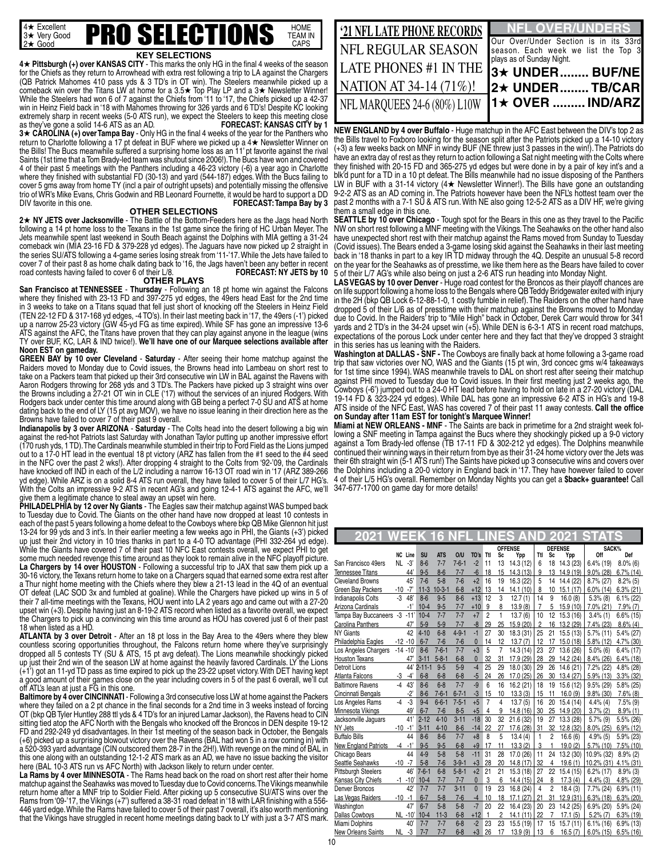

#### **KEY SELECTIONS**

**4★ Pittsburgh (+) over KANSAS CITY** - This marks the only HG in the final 4 weeks of the season for the Chiefs as they return to Arrowhead with extra rest following a trip to LA against the Chargers (QB Patrick Mahomes 410 pass yds & 3 TD's in OT win). The Steelers meanwhile picked up a comeback win over the Titans LW at home for a  $3.5\star$  Top Play LP and a  $3\star$  Newsletter Winner! While the Steelers had won 6 of 7 against the Chiefs from '11 to '17, the Chiefs picked up a 42-37 win in Heinz Field back in '18 with Mahomes throwing for 326 yards and 6 TD's! Despite KC looking extremely sharp in recent weeks (5-0 ATS run), we expect the Steelers to keep this meeting close<br>as they've gone a solid 14-6 ATS as an AD.<br>**FORECAST: KANSAS CITY by 1** as they've gone a solid 14-6 ATS as an AD. **3★ CÁROĽINA (+) over Tampa Bay - Only HG in the final 4 weeks of the year for the Panthers who** return to Charlotte following a 17 pt defeat in BUF where we picked up a 4★ Newsletter Winner on the Bills! The Bucs meanwhile suffered a surprising home loss as an 11' pt favorite against the rival Saints (1st time that a Tom Brady-led team was shutout since 2006!). The Bucs have won and covered 4 of their past 5 meetings with the Panthers including a 46-23 victory (-6) a year ago in Charlotte where they finished with substantial FD (30-13) and yard (544-187) edges. With the Bucs failing to cover 5 gms away from home TY (incl a pair of outright upsets) and potentially missing the offensive trio of WR's Mike Evans, Chris Godwin and RB Leonard Fournette, it would be hard to support a DD<br>DIV favorite in this one. **FORECAST: Tampa Bay by 3** 

#### **OTHER SELECTIONS**

2★ NY JETS over Jacksonville - The Battle of the Bottom-Feeders here as the Jags head North following a 14 pt home loss to the Texans in the 1st game since the firing of HC Urban Meyer. The Jets meanwhile spent last weekend in South Beach against the Dolphins with MIA getting a 31-24 comeback win (MIA 23-16 FD & 379-228 yd edges). The Jaguars have now picked up 2 straight in the series SU/ATS following a 4-game series losing streak from '11-'17. While the Jets have failed to cover 7 of their past 8 as home chalk dating back to '16, the Jags haven't been any better in recent road contests having failed to cover 6 of their L/8. **FORECAST: NY JETS by 10** 

#### **OTHER PLAYS**

**San Francisco at TENNESSEE** - **Thursday** - Following an 18 pt home win against the Falcons where they finished with 23-13 FD and 397-275 yd edges, the 49ers head East for the 2nd time in 3 weeks to take on a Titans squad that fell just short of knocking off the Steelers in Heinz Field (TEN 22-12 FD & 317-168 yd edges, -4 TO's). In their last meeting back in '17, the 49ers (-1') picked up a narrow 25-23 victory (GW 45-yd FG as time expired). While SF has gone an impressive 13-6 ATS against the AFC, the Titans have proven that they can play against anyone in the league (wins TY over BUF, KC, LAR & IND twice!). **We'll have one of our Marquee selections available after Noon EST on gameday.**

**GREEN BAY by 10 over Cleveland** - **Saturday** - After seeing their home matchup against the Raiders moved to Monday due to Covid issues, the Browns head into Lambeau on short rest to take on a Packers team that picked up their 3rd consecutive win LW in BAL against the Ravens with Aaron Rodgers throwing for 268 yds and 3 TD's. The Packers have picked up 3 straight wins over the Browns including a 27-21 OT win in CLE ('17) without the services of an injured Rodgers. With Rodgers back under center this time around along with GB being a perfect 7-0 SU and ATS at home dating back to the end of LY (15 pt avg MOV), we have no issue leaning in their direction here as the Browns have failed to cover 7 of their past 9 overall.

**Indianapolis by 3 over ARIZONA** - **Saturday** - The Colts head into the desert following a big win against the red-hot Patriots last Saturday with Jonathan Taylor putting up another impressive effort (170 rush yds, 1 TD). The Cardinals meanwhile stumbled in their trip to Ford Field as the Lions jumped out to a 17-0 HT lead in the eventual 18 pt victory (ARZ has fallen from the #1 seed to the #4 seed in the NFC over the past 2 wks!). After dropping 4 straight to the Colts from '92-'09, the Cardinals have knocked off IND in each of the L/2 including a narrow 16-13 OT road win in '17 (ARZ 389-266 yd edge). While ARZ is on a solid 8-4 ATS run overall, they have failed to cover 5 of their L/7 HG's. With the Colts an impressive 9-2 ATS in recent AG's and going 12-4-1 ATS against the AFC, we'll

give them a legitimate chance to steal away an upset win here. **PHILADELPHIA by 12 over Ny Giants** - The Eagles saw their matchup against WAS bumped back to Tuesday due to Covid. The Giants on the other hand have now dropped at least 10 contests in each of the past 5 years following a home defeat to the Cowboys where bkp QB Mike Glennon hit just 13-24 for 99 yds and 3 int's. In their earlier meeting a few weeks ago in PHI, the Giants (+3') picked up just their 2nd victory in 10 tries thanks in part to a 4-0 TO advantage (PHI 332-264 yd edge). While the Giants have covered 7 of their past 10 NFC East contests overall, we expect PHI to get some much needed revenge this time around as they look to remain alive in the NFC playoff picture. **La Chargers by 14 over HOUSTON** - Following a successful trip to JAX that saw them pick up a 30-16 victory, the Texans return home to take on a Chargers squad that earned some extra rest after a Thur night home meeting with the Chiefs where they blew a 21-13 lead in the 4Q of an eventual OT defeat (LAC SOD 3x and fumbled at goaline). While the Chargers have picked up wins in 5 of their 7 all-time meetings with the Texans, HOU went into LA 2 years ago and came out with a 27-20 upset win (+3). Despite having just an 8-19-2 ATS record when listed as a favorite overall, we expect the Chargers to pick up a convincing win this time around as HOU has covered just 6 of their past 18 when listed as a HD.

**ATLANTA by 3 over Detroit** - After an 18 pt loss in the Bay Area to the 49ers where they blew countless scoring opportunities throughout, the Falcons return home where they've surprisingly dropped all 5 contests TY (SU & ATS, 15 pt avg defeat). The Lions meanwhile shockingly picked up just their 2nd win of the season LW at home against the heavily favored Cardinals. LY the Lions  $(+1)$  got an 11-yd TD pass as time expired to pick up the 23-22 upset victory. With DET having kept a good amount of their games close on the year including covers in 5 of the past 6 overall, we'll cut off ATL's lean at just a FG in this one.

Baltimore by 4 over CINCINNATI - Following a 3rd consecutive loss LW at home against the Packers where they failed on a 2 pt chance in the final seconds for a 2nd time in 3 weeks instead of forcing OT (bkp QB Tyler Huntley 288 ttl yds & 4 TD's for an injured Lamar Jackson), the Ravens head to CIN sitting tied atop the AFC North with the Bengals who knocked off the Broncos in DEN despite 19-12 FD and 292-249 yd disadvantages. In their 1st meeting of the season back in October, the Bengals (+6) picked up a surprising blowout victory over the Ravens (BAL had won 5 in a row coming in) with a 520-393 yard advantage (CIN outscored them 28-7 in the 2H!). With revenge on the mind of BAL in this one along with an outstanding 12-1-2 ATS mark as an AD, we have no issue backing the visitor here (BAL 10-3 ATS run vs AFC North) with Jackson likely to return under center.

La Rams by 4 over MINNESOTA - The Rams head back on the road on short rest after their home matchup against the Seahawks was moved to Tuesday due to Covid concerns. The Vikings meanwhile return home after a MNF trip to Soldier Field. After picking up 5 consecutive SU/ATS wins over the Rams from '09-'17, the Vikings (+7') suffered a 38-31 road defeat in '18 with LAR finishing with a 556- 446 yard edge. While the Rams have failed to cover 5 of their past 7 overall, it's also worth mentioning that the Vikings have struggled in recent home meetings dating back to LY with just a 3-7 ATS mark.

| <b>21 NFL LATE PHONE RECORDS</b> | <b>NFL OVER/UNDERS</b>                                                                                    |
|----------------------------------|-----------------------------------------------------------------------------------------------------------|
| NFL REGULAR SEASON               | Our Over/Under Section is in its 33rd<br>season. Each week we list the Top 3<br>plays as of Sunday Night. |
| <b>LATE PHONES #1 IN THE</b>     | 13★ UNDER BUF/NE!                                                                                         |
| NATION AT 34-14 (71%)!           | 12★ UNDERTB/CAR                                                                                           |
| NFL MARQUEES 24-6 (80%) L10W     | $1 +$ OVER  IND/ARZ                                                                                       |
|                                  |                                                                                                           |

**NEW ENGLAND by 4 over Buffalo** - Huge matchup in the AFC East between the DIV's top 2 as the Bills travel to Foxboro looking for the season split after the Patriots picked up a 14-10 victory (+3) a few weeks back on MNF in windy BUF (NE threw just 3 passes in the win!). The Patriots do have an extra day of rest as they return to action following a Sat night meeting with the Colts where they finished with 20-15 FD and 365-275 yd edges but were done in by a pair of key int's and a blk'd punt for a TD in a 10 pt defeat. The Bills meanwhile had no issue disposing of the Panthers LW in BUF with a 31-14 victory (4 $\star$  Newsletter Winner!). The Bills have gone an outstanding 9-2-2 ATS as an AD coming in. The Patriots however have been the NFL's hottest team over the past 2 months with a 7-1 SU & ATS run. With NE also going 12-5-2 ATS as a DIV HF, we're giving them a small edge in this one.

**SEATTLE by 10 over Chicago** - Tough spot for the Bears in this one as they travel to the Pacific NW on short rest following a MNF meeting with the Vikings. The Seahawks on the other hand also have unexpected short rest with their matchup against the Rams moved from Sunday to Tuesday (Covid issues). The Bears ended a 3-game losing skid against the Seahawks in their last meeting back in '18 thanks in part to a key IR TD midway through the 4Q. Despite an unusual 5-8 record on the year for the Seahawks as of presstime, we like them here as the Bears have failed to cover 5 of their L/7 AG's while also being on just a 2-6 ATS run heading into Monday Night.

LAS VEGAS by 10 over Denver - Huge road contest for the Broncos as their playoff chances are on life support following a home loss to the Bengals where QB Teddy Bridgewater exited with injury in the 2H (bkp QB Lock 6-12-88-1-0, 1 costly fumble in relief). The Raiders on the other hand have dropped 5 of their L/6 as of presstime with their matchup against the Browns moved to Monday due to Covid. In the Raiders' trip to "Mile High" back in October, Derek Carr would throw for 341 yards and 2 TD's in the 34-24 upset win (+5). While DEN is 6-3-1 ATS in recent road matchups, expectations of the porous Lock under center here and they fact that they've dropped 3 straight in this series has us leaning with the Raiders.

**Washington at DALLAS - SNF -** The Cowboys are finally back at home following a 3-game road trip that saw victories over NO, WAS and the Giants (15 pt win, 3rd concec gms w/4 takeaways for 1st time since 1994). WAS meanwhile travels to DAL on short rest after seeing their matchup against PHI moved to Tuesday due to Covid issues. In their first meeting just 2 weeks ago, the Cowboys (-6') jumped out to a 24-0 HT lead before having to hold on late in a 27-20 victory (DAL 19-14 FD & 323-224 yd edges). While DAL has gone an impressive 6-2 ATS in HG's and 19-8 ATS inside of the NFC East, WAS has covered 7 of their past 11 away contests. **Call the office on Sunday after 11am EST for tonight's Marquee Winner!**

**Miami at NEW ORLEANS - MNF** - The Saints are back in primetime for a 2nd straight week following a SNF meeting in Tampa against the Bucs where they shockingly picked up a 9-0 victory against a Tom Brady-led offense (TB 17-11 FD & 302-212 yd edges). The Dolphins meanwhile continued their winning ways in their return from bye as their 31-24 home victory over the Jets was their 6th straight win (5-1 ATS run!) The Saints have picked up 3 consecutive wins and covers over the Dolphins including a 20-0 victory in England back in '17. They have however failed to cover 4 of their L/5 HG's overall. Remember on Monday Nights you can get a **\$back+ guarantee!** Call 347-677-1700 on game day for more details!

| 2021                        |           |             |             | ă                     |             |              |                |                |                  |                |                 | 02               |                      |              |
|-----------------------------|-----------|-------------|-------------|-----------------------|-------------|--------------|----------------|----------------|------------------|----------------|-----------------|------------------|----------------------|--------------|
|                             |           | NC Line     | <b>SU</b>   |                       | O/U         |              | Ttl            |                | <b>OFFENSE</b>   | Ttl            |                 | <b>DEFENSE</b>   | SACK%<br>Off         | Def          |
| San Francisco 49ers         | <b>NL</b> | -3'         | $8 - 6$     | <b>ATS</b><br>$7 - 7$ | $7 - 6 - 1$ | TO's<br>$-2$ | 11             | Sc<br>13       | Ypp<br>14.3 (12) | 6              | <b>Sc</b><br>18 | Ypp<br>14.3 (23) | $6.4\%$ (19)         | $8.0\%$ (6)  |
| <b>Tennessee Titans</b>     |           | 44'         | $9 - 5$     | $8 - 6$               | $7 - 7$     | $-6$         | 18             | 15             | 14.3(13)         | 9              | 13              | 14.9 (19)        | $9.0\%$ (28)         | $6.7\%$ (14) |
| <b>Cleveland Browns</b>     |           | 45'         | $7 - 6$     | $5 - 8$               | $7 - 6$     | $+2$         | 16             | 19             | 16.3 (22)        | 5              | 14              | 14.4 (22)        | 8.7% (27)            | $8.2\%$ (5)  |
| Green Bav Packers           | $-10$     | $-7'$       | $11-3$      | $10-3-1$              | $6 - 8$     | $+12$        | 13             | 14             | 14.1(10)         | 8              | 10              | 15.1(17)         | $6.0\%$ (14)         | $6.3\%$ (21) |
| Indianapolis Colts          | $-3$      | 48          | $8 - 6$     | $9 - 5$               | $8 - 6$     | $+13$        | 12             | 3              | 12.7(1)          | 14             | 9               | 16.0(8)          | $5.3\%$ (8)          | $6.1\% (22)$ |
| Arizona Cardinals           |           | $-1'$       | $10 - 4$    | $9 - 5$               | $7 - 7$     | $+10$        | 9              | 8              | 13.9(8)          | $\overline{7}$ | 5               | 15.9 (10)        | 7.0% (21)            | $7.9\%$ (7)  |
| Tampa Bay Buccaneers        | $-3$      | $-11'$      | $10 - 4$    | $7 - 7$               | $7 - 7$     | $+7$         | $\overline{2}$ | 1              | 13.7(6)          | 10             | 12              | 15.3(16)         | $3.4\%$ (1)          | $6.6\%$ (15) |
| Carolina Panthers           |           | 47          | $5-9$       | $5 - 9$               | $7 - 7$     | $-8$         | 29             | 25             | 15.9 (20)        | 2              | 16              | 13.2 (29)        | 7.4% (23)            | $8.6\%$ (4)  |
| <b>NY Giants</b>            |           | 42          | $4 - 10$    | $6 - 8$               | $4 - 9 - 1$ | $-1$         | 27             | 30             | 18.3 (31)        | 25             | 21              | 15.5(13)         | $5.7\%$ (11)         | 5.4% (27)    |
| Philadelphia Eagles         |           | $-12 - 10$  | $6 - 7$     | $7 - 6$               | $7-6$       | $\mathbf{0}$ | 14             | 12             | 13.7(7)          | 12             | 17              | 15.0 (18)        | 5.8% (12)            | $4.7\%$ (30) |
| Los Angeles Chargers        |           | $-14 - 10'$ | $8 - 6$     | $7 - 6 - 1$           | $7 - 7$     | $+3$         | 5              | 7              | 14.3 (14)        | 23             | 27              | 13.6 (26)        | $5.0\%$ (6)          | $6.4\%$ (17) |
| <b>Houston Texans</b>       |           | 47'         | $3 - 11$    | $5 - 8 - 1$           | $6 - 8$     | $\mathbf{0}$ | 32             | 31             | 17.9 (29)        | 28             | 29              | 14.2 (24)        | $8.4\%$ (26)         | $6.4\%$ (18) |
| Detroit Lions               |           |             | 44' 2-11-1  | $9 - 5$               | $5-9$       | $-4$         | 25             | 29             | 18.0 (30)        | 29             | 26              | 14.6 (21)        | 7.2% (22)            | 4.8% (28)    |
| Atlanta Falcons             | -3        | $-4'$       | $6 - 8$     | $6 - 8$               | $6 - 8$     | $-5$         | 24             | 26             | 17.0 (25)        | 26             | 30              | 13.4(27)         | 5.9% (13)            | $3.3\%$ (32) |
| <b>Baltimore Ravens</b>     | $-4$      | 43'         | $8 - 6$     | $6 - 8$               | $7 - 7$     | $-9$         | 6              | 16             | 16.2(21)         | 18             | 19              | 15.6 (12)        | $9.5\%$ (29)         | 5.8% (25)    |
| Cincinnati Bengals          |           | $-2"$       | $8-6$       | $7 - 6 - 1$           | $6 - 7 - 1$ | -3           | 15             | 10             | 13.3(3)          | 15             | 11              | 16.0(9)          | $9.8\%$ (30)         | $7.6\%$ (8)  |
| Los Angeles Rams            | $-4$      | $-3$        | $9 - 4$     | $6 - 6 - 1$           | $7 - 5 - 1$ | $+5$         | $\overline{7}$ | 4              | 13.7(5)          | 16             | 20              | 15.4(14)         | $4.4\%$ (4)          | $7.5\%$ (9)  |
| Minnesota Vikings           |           | 49'         | $6 - 7$     | $7 - 6$               | $8 - 5$     | $+5$         | 4              | 9              | 14.8 (16)        | 30             | 25              | 14.9 (20)        | $3.7\%$ (2)          | $8.9\%$ (1)  |
| Jacksonville Jaguars        |           | 41'         | $2 - 12$    | $4 - 10$              | $3 - 11$    | $-18$        | 30             | 32             | 21.6(32)         | 19             | 27              | 13.3 (28)        | $5.7\%$ (9)          | 5.5% (26)    |
| NY Jets                     | -10       | -1'         | $3 - 11$    | $4 - 10$              | $8 - 6$     | $-14$        | 22             | 27             | 17.6 (28)        | 31             | 32              | 12.8 (32)        | $8.0\%$ (25)         | $6.9\%$ (12) |
| <b>Buffalo Bills</b>        |           | 44          | $8-6$       | $8 - 6$               | $7 - 7$     | $+8$         | 8              | 5              | 13.4(4)          | $\mathbf{1}$   | $\overline{c}$  | 16.6(6)          | 4.9%(5)              | 5.9% (23)    |
| <b>New England Patriots</b> | -4        | $-1'$       | $9 - 5$     | $9 - 5$               | $6 - 8$     | $+9$         | 17             | 11             | 13.3(2)          | 3              | 1               | 19.0(2)          | $5.7\%$ (10)         | $7.5\%$ (10) |
| Chicago Bears               |           | 44          | $4 - 9$     | $5 - 8$               | $5 - 8$     | $-11$        | 31             | 28             | 17.0 (26)        | 11             | 24              | 13.2 (30)        | 10.9% (32)           | $8.9\%$ (2)  |
| Seattle Seahawks            | $-10$     | $-7$        | $5 - 8$     | $7 - 6$               | $3 - 9 - 1$ | $+3$         | 28             | 20             | 14.8 (17)        | 32             | 4               | 19.6(1)          | 10.2% (31) 4.1% (31) |              |
| Pittsburgh Steelers         |           | 46          | $7 - 6 - 1$ | $6 - 8$               | $5 - 8 - 1$ | $+2$         | 21             | 21             | 15.3(18)         | 27             | 22              | 15.4(15)         | $6.2\%$ (17)         | $8.9\%$ (3)  |
| Kansas City Chiefs          |           | $-1 - 10'$  | $10 - 4$    | $7 - 7$               | $7 - 7$     | $\mathbf{0}$ | 3              | 6              | 14.4 (15)        | 24             | 8               | 17.3(4)          | $4.4\%$ (3)          | $4.8\%$ (29) |
| Denver Broncos              |           | 42'         | $7 - 7$     | $7 - 7$               | $3 - 11$    | $\mathbf{0}$ | 19             | 23             | 16.8 (24)        | 4              | 2               | 18.4(3)          | 7.7% (24)            | $6.9\%$ (11) |
| Las Vegas Raiders           | -10       | -1          | $6 - 7$     | $5 - 8$               | $7-6$       | $-4$         | 10             | 18             | 17.1(27)         | 21             | 31              | 12.9(31)         | $6.3\%$ (18)         | $6.3\%$ (20) |
| Washington                  |           | 47'         | $6 - 7$     | $5 - 8$               | $5 - 8$     | $-7$         | 20             | 22             | 16.4 (23)        | 20             | 23              | 14.2 (25)        | 6.9% (20)            | 5.9% (24)    |
| Dallas Cowboys              |           | NL -10'     | $10 - 4$    | $11-3$                | $6 - 8$     | $+12$        | $\mathbf{1}$   | $\overline{2}$ | 14.1(11)         | 22             | $\overline{7}$  | 17.1(5)          | $5.2\%$ (7)          | $6.3\%$ (19) |
| Miami Dolphins              |           | 40'         | $7 - 7$     | $7 - 7$               | $6 - 8$     | $-2$         | 23             | 23             | 15.5(19)         | 17             | 15              | 15.7(11)         | $6.1\%$ (16)         | $6.9\%$ (13) |
| New Orleans Saints          | NL.       | $-3$        | $7 - 7$     | $7 - 7$               | $6 - 8$     | $+3$         | 26             | 17             | 13.9(9)          | 13             | 6               | 16.5(7)          | $6.0\%$ (15)         | $6.5\%$ (16) |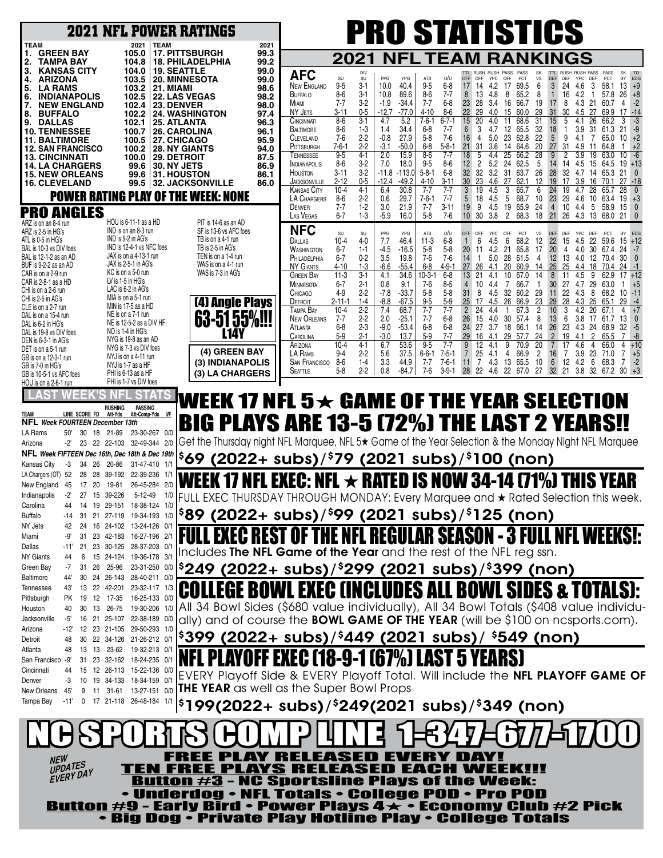|                                                                                        |                                                       | <b>2021 NFL POWER RATINGS</b>                               | <b>PRO STATISTICS</b>                                                                                                                                                                                                                                                                                                                                              |
|----------------------------------------------------------------------------------------|-------------------------------------------------------|-------------------------------------------------------------|--------------------------------------------------------------------------------------------------------------------------------------------------------------------------------------------------------------------------------------------------------------------------------------------------------------------------------------------------------------------|
| <b>TEAM</b><br><b>GREEN BAY</b><br>1.                                                  | 2021<br>105.0                                         | <b>TEAM</b><br>2021<br><b>17. PITTSBURGH</b><br>99.3        |                                                                                                                                                                                                                                                                                                                                                                    |
| <b>TAMPA BAY</b><br>2.                                                                 | 104.8                                                 | <b>18. PHILADELPHIA</b><br>99.2                             | 2021<br><b>「EAM</b><br><b>RANKINGS</b><br>NFL                                                                                                                                                                                                                                                                                                                      |
| <b>KANSAS CITY</b><br>3.<br><b>ARIZONA</b><br>4.                                       | 104.0<br>103.5                                        | <b>19. SEATTLE</b><br>99.0<br><b>20. MINNESOTA</b><br>99.0  | <b>AFC</b><br>DIV<br><b>RUSH</b><br><b>RUSH PASS</b><br>YPG<br>o/u<br>DEF<br>YPC<br>SU<br>SU<br>PPG<br><b>ATS</b><br>OFF<br>OFF<br>YPC<br>OFF<br>PCT<br>vs<br>DEF<br>DEF<br>PCT<br>EDG<br>BY                                                                                                                                                                       |
| <b>LA RAMS</b><br>5.                                                                   | 103.2                                                 | 98.6<br>21. MIAMI                                           | 3<br><b>NEW ENGLAND</b><br>$9-5$<br>$3-1$<br>10.0<br>40.4<br>$9-5$<br>$6-8$<br>4.2<br>17<br>69.5<br>6<br>24 4.6<br>-3<br>17<br>58.1<br>13<br>$+9$<br>14<br>$8-6$<br>$3 - 1$<br>89.6<br>$8-6$<br>$7 - 7$<br>8<br>BUFFALO<br>10.8<br>13<br>4.8<br>8<br>65.2<br>8<br>$\mathbf{1}$<br>16<br>4.2<br>-1<br>57.8<br>26<br>$+8$                                            |
| <b>INDIANAPOLIS</b><br>6.<br><b>NEW ENGLAND</b><br>7.                                  | 102.5<br>102.4                                        | <b>22. LAS VEGAS</b><br>98.2<br>23. DENVER<br>98.0          | $3-2$<br>$7 - 7$<br>$6 - 8$<br>23<br>28<br>17<br>$-2$<br>Miami<br>$7 - 7$<br>$-1.9$<br>$-34.4$<br>3.4<br>16<br>66.7<br>19<br>8<br>4.3<br>21<br>60.7<br>4                                                                                                                                                                                                           |
| <b>BUFFALO</b><br>8.<br>9.<br><b>DALLAS</b>                                            | 102.2<br>102.1                                        | <b>24. WASHINGTON</b><br>97.4<br><b>25. ATLANTA</b><br>96.3 | $-77.0$<br>22<br>29<br>29<br>30<br>NY JETS<br>$0-5$<br>$-12.7$<br>$4 - 10$<br>8-6<br>4.0<br>60.0<br>31<br>4.5<br>27<br>17<br>3-11<br>15<br>69.9<br>$-14$<br>$3 - 1$<br>4.7<br>5.2<br>$7-6-1$<br>$6 - 7 - 1$<br>15<br>31<br>$8-6$<br>20<br>4.0<br>11<br>68.6<br>26<br>CINCINNATI<br>15 <sup>15</sup><br>5<br>4.1                                                    |
| <b>10. TENNESSEE</b>                                                                   | 100.7                                                 | <b>26. CAROLINA</b><br>96.1                                 | 18<br>$8-6$<br>$1-3$<br>1.4<br>34.4<br>$6 - 8$<br>$7 - 7$<br>6<br>4.7<br>12<br>65.5<br>32<br>3.9<br>31<br>61.3<br>21<br>BALTIMORE<br>-1                                                                                                                                                                                                                            |
| <b>11. BALTIMORE</b><br><b>12. SAN FRANCISCO</b>                                       | 100.5<br>100.2                                        | 27. CHICAGO<br>95.9<br><b>28. NY GIANTS</b><br>94.0         | 27.9<br>23<br>62.8<br>22<br>5<br>9<br>$+2$<br>$2-2$<br>$-0.8$<br>$5-8$<br>$7-6$<br>16<br>5.0<br>4.1<br>65.0<br>10<br>7-6<br>4<br>7<br>CLEVELAND<br>$2 - 2$<br>$-50.0$<br>27<br>$7 - 6 - 1$<br>$-3.1$<br>$6 - 8$<br>5-8-1<br>21<br>31<br>20<br>31<br>$+2$<br>3.6<br>14<br>64.6<br>4.9<br>64.8<br>PITTSBURGH<br>-11<br>-1                                            |
| <b>13. CINCINNATI</b>                                                                  | 100.0                                                 | 29. DETROIT<br>87.5                                         | $9-5$<br>$4 - 1$<br>$8-6$<br>$7 - 7$<br>28<br>3.9<br>2.0<br>15.9<br>18<br>4.4<br>25<br>66.2<br>9<br>2<br>19<br>63.0<br>10<br>-6<br>TENNESSEE                                                                                                                                                                                                                       |
| <b>14. LA CHARGERS</b><br><b>15. NEW ORLEANS</b>                                       | 99.6<br>99.6                                          | <b>30. NY JETS</b><br>86.9<br><b>31. HOUSTON</b><br>86.1    | $3-2$<br>18.0<br>$9 - 5$<br>$8-6$<br>12 <sup>°</sup><br>$\overline{2}$<br>5.2<br>24<br>62.5<br>5<br>$8-6$<br>7.0<br>14<br>14<br>4.5<br>15<br>64.5<br>19<br>$+13$<br><b>INDIANAPOLIS</b><br>32 <sup>°</sup><br>32<br>3.2<br>28<br>$3 - 11$<br>$3-2$<br>$-11.8$<br>$-113.0$<br>$5 - 8 - 1$<br>$6-8$<br>31<br>63.7<br>26<br>32<br>HOUSTON<br>4.7<br>14<br>65.3<br>-21 |
| <b>16. CLEVELAND</b>                                                                   | 99.5                                                  | 86.0<br><b>32. JACKSONVILLE</b>                             | $0-5$<br>$-12.4$<br>$-49.2$<br>23<br>4.6<br>27<br>62.1<br>12<br>19<br>17<br>$2 - 12$<br>$4 - 10$<br>$3 - 11$<br>30<br>3.9<br>16<br>70.1<br>27<br>$-18$<br>JACKSONVILLE<br>$10 - 4$<br>$4 - 1$<br>6.4<br>30.8<br>$7 - 7$<br>$7 - 7$<br>19<br>3<br>65.7<br>6<br>24<br>19<br>28<br>28<br>Kansas City<br>4.5<br>4.7<br>65.7                                            |
|                                                                                        |                                                       | POWER RATING PLAY OF THE WEEK: NONE                         | $2 - 2$<br>$7 - 7$<br>4.5<br>5<br>23<br>LA CHARGERS<br>$8-6$<br>0.6<br>29.7<br>$7-6-1$<br>18<br>68.7<br>10<br>29<br>4.6<br>-10<br>63.4<br>19<br>$+3$<br>$1-2$<br>3.0<br>21.9<br>$3 - 11$<br>9<br>4.5<br>65.9<br>$\overline{4}$<br>10<br>$7 - 7$<br>$7 - 7$<br>19<br>19<br>24<br>4.4<br>5<br>58.9<br>15<br>$\mathbf{0}$<br>DENVER                                   |
| <b>PRO ANGLES</b>                                                                      | HOU is 6-11-1 as a HD                                 | PIT is 14-6 as an AD                                        | $6 - 7$<br>$1-3$<br>$5 - 8$<br>30<br>$\overline{2}$<br>68.3<br>18<br>21<br>26<br>LAS VEGAS<br>$-5.9$<br>16.0<br>7-6<br>10 <sup>°</sup><br>3.8<br>4.3<br>13<br>68.0<br>21 0                                                                                                                                                                                         |
| ARZ is on an 8-4 run<br>ARZ is 2-5 in HG's                                             | IND is on an 8-3 run                                  | SF is 13-6 vs AFC foes                                      | <b>NFC</b><br>YPG<br>o/u<br>SU<br>SU<br>OFF<br>PCT<br>VS<br>DEF<br>YPC<br>DEF<br>PCT<br>PPG<br>ATS<br>OFF<br><b>YPC</b><br>DEF<br><b>BY</b><br>EDG                                                                                                                                                                                                                 |
| ATL is 0-5 in HG's<br>BAL is 10-3 vs DIV foes                                          | IND is 9-2 in AG's<br>IND is 12-4-1 vs NFC foes       | TB is on a 4-1 run<br>TB is 2-5 in AG's                     | 22<br>22<br>$4-0$<br>7.7<br>46.4<br>$11-3$<br>$6-8$<br>4.5<br>6<br>12<br>15<br>Dallas<br>10-4<br>6<br>68.2<br>4.5<br>59.6<br>15<br>$+12$                                                                                                                                                                                                                           |
| BAL is 12-1-2 as an AD                                                                 | JAX is on a 4-13-1 run                                | TEN is on a 1-4 run                                         | 20<br>4.2<br>20<br>$6 - 7$<br>$1 - 1$<br>$-4.5$<br>$-16.5$<br>$5-8$<br>5-8<br>11<br>21<br>65.8<br>17<br>4<br>4.0<br>30 67.4<br>24<br>WASHINGTON<br>12<br>PHILADELPHIA<br>$6 - 7$<br>$0 - 2$<br>3.5<br>19.8<br>$7-6$<br>14<br>1<br>28<br>13<br>7-6<br>5.0<br>61.5<br>4<br>4.0<br>-12<br>70.4<br>30<br>$\mathbf{0}$                                                  |
| BUF is 9-2-2 as an AD<br>CAR is on a 2-9 run                                           | JAX is 2-5-1 in AG's<br>KC is on a 5-0 run            | WAS is on a 4-1 run<br>WAS is 7-3 in AG's                   | $1-3$<br>$-55.4$<br>$4 - 9 - 1$<br>25<br>25<br><b>NY GIANTS</b><br>4-10<br>$-6.6$<br>$6 - 8$<br>27<br>26<br>20<br>60.9<br>4.4<br>24<br>4.1<br>14<br>18<br>70.4                                                                                                                                                                                                     |
| CAR is 2-8-1 as a HD                                                                   | LV is 1-5 in HG's                                     |                                                             | $3-1$<br>$10-3-$<br>$6 - 8$<br>21<br>10<br>4.5<br>Green Bay<br>$11-3$<br>4.1<br>34.6<br>4.1<br>67.0<br>14<br>8<br>11<br>9<br>62.9<br>$+12$<br>$6 - 7$<br>$2 - 1$<br>0.8<br>9.1<br>$7-6$<br>$8-5$<br>10<br>66.7<br>30 <sup>°</sup><br>27<br>4.7<br>29<br><b>MINNESOTA</b><br>4<br>4.4<br>7<br>63.0<br>1<br>1<br>$+5$                                                |
| CHI is on a 2-6 run<br>CHI is 2-5 in AG's                                              | LAC is 6-2 in AG's<br>MIA is on a 5-1 run             |                                                             | 31<br>$2 - 2$<br>$-7.8$<br>$-33.7$<br>$5-8$<br>$5-8$<br>8<br>4.5<br>32<br>60.2<br>29<br>11<br>22<br>4.3<br>8<br>68.2<br>CHICAGO<br>4-9<br>10<br>$-11$<br>28<br>$-8.8$<br>$-67.5$<br>$5-9$<br>25<br>4.5<br>26<br>66.9<br>23<br>29<br>$1-4$<br>17<br>25                                                                                                              |
| CLE is on a 2-7 run                                                                    | MIN is 17-5 as a HD<br>NE is on a 7-1 run             | <b>(4) Angle Plays</b>                                      | $2 - 11 - 1$<br>$9-5$<br>4.3<br>65.1<br>DETROIT<br>$10 - 4$<br>$2 - 2$<br>7.4<br>68.7<br>$7 - 7$<br>$\overline{2}$<br>TAMPA BAY<br>$7 - 7$<br>24<br>4.4<br>67.3<br>10<br>3<br>4.2<br>20<br>67.1<br>4<br>$+7$                                                                                                                                                       |
| DAL is on a 15-4 run<br>DAL is 6-2 in HG's                                             | NE is 12-5-2 as a DIV HF                              | 63-5155%!!!                                                 | 26<br>15<br>13<br>6<br>$7 - 7$<br>2-2<br>2.0<br>$-25.1$<br>$7 - 7$<br>$6-8$<br>4.0<br>30<br>57.4<br>8<br>3.8<br>17<br>61.7<br>13<br>NEW ORLEANS<br>$2 - 3$<br>$-53.4$<br>$6-8$<br>24<br>27<br>3.7<br>66.1<br>26<br>23<br>$6-8$<br>$-9.0$<br>$6-8$<br>18<br>14<br>4.3<br>24<br>68.9<br>32                                                                           |
| DAL is 19-8 vs DIV foes<br>DEN is 6-3-1 in AG's                                        | NO is 1-4 in HG's<br>NYG is 19-8 as an AD             | <b>L14Y</b>                                                 | Atlanta<br>13.7<br>29<br>$\overline{2}$<br>19<br>$2 - 1$<br>$-3.0$<br>$5-9$<br>$7 - 7$<br>16<br>29<br>57.7<br>24<br>4.1<br>2<br>65.5<br>7<br>-8<br>CAROLINA<br>5-9<br>4.1                                                                                                                                                                                          |
| DET is on a 5-1 run                                                                    | NYG is 7-3 vs DIV foes                                | (4) GREEN BAY                                               | 53.6<br>$7 - 7$<br>$4 - 1$<br>$9-5$<br>20<br>$10 - 4$<br>6.7<br>12<br>9<br>70.9<br>17<br>4.6<br>66.0<br>$+10$<br>4.1<br>4<br>Arizona<br>4<br>LA RAMS<br>$2 - 2$<br>5.6<br>37.5<br>$7 - 5 - 1$<br>25<br>66.9<br>2<br>16<br>3.9<br>23<br>$9-4$<br>$6 - 6 - 1$<br>4.1<br>4<br>7<br>71.0<br>$+5$                                                                       |
| GB is on a 12-3-1 run<br>GB is 7-0 in HG's                                             | NYJ is on a 4-11 run<br>NYJ is 1-7 as a HF            | (3) INDIANAPOLIS                                            | 4.3<br>$6\phantom{.}6$<br>4.2<br>$-2$<br>SAN FRANCISCO<br>3.3<br>44.9<br>$7 - 7$<br>$7 - 6 - 1$<br>7<br>10<br>12<br>- 6<br>68.3<br>8-6<br>$1-4$<br>11<br>13<br>65.5<br>7                                                                                                                                                                                           |
| GB is 10-5-1 vs AFC foes                                                               | PHI is 6-13 as a HF<br>PHI is 1-7 vs DIV foes         | (3) LA CHARGERS                                             | 32 21 3.8 32 67.2 30<br>$+3$<br>$2-2$<br>0.8<br>-84.7<br>7-6<br>28 22 4.6 22 67.0 27<br>SEATTLE<br>5-8<br>3-9-1                                                                                                                                                                                                                                                    |
| HOU is on a 2-6-1 run                                                                  |                                                       |                                                             |                                                                                                                                                                                                                                                                                                                                                                    |
|                                                                                        | PASSING<br><b>RUSHING</b>                             |                                                             | WEEK 17 NFL 5 $\bm{\star}$ game of the year selection                                                                                                                                                                                                                                                                                                              |
| LINE SCORE FD<br>TEAM<br>NFL Week FOURTEEN December 13th                               | <u>Att-Yds</u>                                        | Att-Comp-Yds I/F                                            | BIG PLAYS ARE 13-5 (72%) THE LAST 2 YEARS!!                                                                                                                                                                                                                                                                                                                        |
| LA Rams<br>30<br>50'                                                                   | 18 21-89                                              | 23-30-267 0/0                                               |                                                                                                                                                                                                                                                                                                                                                                    |
| $-2^{\circ}$<br>23 22 22-103<br>Arizona                                                | 32-49-344 2/0                                         |                                                             | Get the Thursday night NFL Marquee, NFL 5 <sup>*</sup> Game of the Year Selection & the Monday Night NFL Marquee                                                                                                                                                                                                                                                   |
| NFL Week FIFTEEN Dec 16th, Dec 18th & Dec 19th<br>26<br><b>Kansas City</b><br>-3<br>34 | 20-86                                                 | <b>\$69</b><br>31-47-410 1/1                                | $(2022 + subs)/979 (2021 subs)/9100 (non)$                                                                                                                                                                                                                                                                                                                         |
| 28<br>LA Chargers (OT) 52                                                              | 28 39-192 22-39-236                                   | 1/1                                                         |                                                                                                                                                                                                                                                                                                                                                                    |
| 17 20<br>New England 45                                                                | 19-81<br>26-45-284                                    | 2/0                                                         | WEEK 17 NFL EXEC: NFL $\star$ rated is now 34-14 (71%) this year                                                                                                                                                                                                                                                                                                   |
| $-2'$<br>27 15<br>Indianapolis<br>Carolina<br>-14                                      | 39-226<br>5-12-49<br>19 29-151 18-38-124 1/0          | 1/0                                                         | FULL EXEC THURSDAY THROUGH MONDAY: Every Marquee and * Rated Selection this week.                                                                                                                                                                                                                                                                                  |
| Buffalo                                                                                | 21 27-119 19-34-193 1/0                               |                                                             | <sup>\$</sup> 89 (2022+ subs)/ <sup>\$</sup> 99 (2021 subs)/ <sup>\$</sup> 125 (non)                                                                                                                                                                                                                                                                               |
| NY Jets<br>24                                                                          | 16 24-102 13-24-126 0/1                               |                                                             |                                                                                                                                                                                                                                                                                                                                                                    |
| Miami<br>-9'<br>31<br>Dallas                                                           | 23 42-183 16-27-196 2/1<br>23 30-125 28-37-203 0/1    |                                                             | (EC REST OF THE NFL R<br>ISUN - 3 FULL NFL I<br>EGULAK SE                                                                                                                                                                                                                                                                                                          |
| NY Giants<br>15                                                                        | 24-124 19-36-178 3/1                                  |                                                             | Includes The NFL Game of the Year and the rest of the NFL reg ssn.                                                                                                                                                                                                                                                                                                 |
| Green Bay<br>-7                                                                        | 31 26 25-96 23-31-250 0/0                             |                                                             | <sup>\$</sup> 249 (2022+ subs)/ <sup>\$</sup> 299 (2021 subs)/ <sup>\$</sup> 399 (non)                                                                                                                                                                                                                                                                             |
| Baltimore<br>30                                                                        | 24 26-143 28-40-211 0/0                               |                                                             |                                                                                                                                                                                                                                                                                                                                                                    |
| 22<br>Tennessee<br>13<br>Pittsburgh<br>- 19<br>PK.                                     | 42-201 23-32-117 1/3<br>12 17-35 16-25-133 0/0        |                                                             | LEGE BOWL EXEC LINCLUDES AL<br>l Bowl Sides & Totalsj:                                                                                                                                                                                                                                                                                                             |
| Houston<br>30<br>13                                                                    | 26-75 19-30-206 1/0                                   |                                                             | All 34 Bowl Sides (\$680 value individually), All 34 Bowl Totals (\$408 value individu-                                                                                                                                                                                                                                                                            |
| Jacksonville<br>-5'                                                                    | 16 21 25-107 22-38-189 0/0                            |                                                             | ally) and of course the <b>BOWL GAME OF THE YEAR</b> (will be \$100 on ncsports.com).                                                                                                                                                                                                                                                                              |
| Arizona<br>-12'<br>-12<br>Detroit                                                      | 23 21-105 29-50-293 1/0<br>30 22 34-126 21-26-212 0/1 |                                                             | $$399$ (2022+ subs)/ $$449$ (2021 subs)/ $$549$ (non)                                                                                                                                                                                                                                                                                                              |
| - 13<br>Atlanta<br>13                                                                  | 23-62 19-32-213 0/1                                   |                                                             |                                                                                                                                                                                                                                                                                                                                                                    |
| San Francisco -9'<br>31<br>23                                                          | 32-162 18-24-235 0/1                                  |                                                             | 'OFF EXEC L18-9-1 L67%J L/                                                                                                                                                                                                                                                                                                                                         |
| Cincinnati<br>12<br>15<br>Denver<br>-3<br>10<br>19                                     | 26-113 15-22-136 0/0<br>34-133 18-34-159 0/1          |                                                             | EVERY Playoff Side & EVERY Playoff Total. Will include the <b>NFL PLAYOFF GAME OF</b>                                                                                                                                                                                                                                                                              |
| New Orleans 45'<br>9                                                                   | 11 31-61 13-27-151 0/0                                |                                                             | <b>THE YEAR</b> as well as the Super Bowl Props                                                                                                                                                                                                                                                                                                                    |
| Tampa Bay<br>-11'                                                                      | 17 21-118 26-48-184 1/1                               |                                                             | $ 199(2022+$ subs)/ $5249(2021$ subs)/ $5349$ (non)                                                                                                                                                                                                                                                                                                                |
|                                                                                        |                                                       |                                                             |                                                                                                                                                                                                                                                                                                                                                                    |
|                                                                                        |                                                       |                                                             |                                                                                                                                                                                                                                                                                                                                                                    |
|                                                                                        |                                                       |                                                             |                                                                                                                                                                                                                                                                                                                                                                    |
| <b>NEW</b><br><b>UPDATES</b>                                                           |                                                       |                                                             | н                                                                                                                                                                                                                                                                                                                                                                  |
| EVERY DAY                                                                              |                                                       |                                                             | G SDOFISHN <del>e</del> Piavs oi<br>ie week:                                                                                                                                                                                                                                                                                                                       |
|                                                                                        |                                                       |                                                             | . Underdog . NFL Totals . College POD . Pro POD                                                                                                                                                                                                                                                                                                                    |
|                                                                                        |                                                       |                                                             | <u> Button #9</u> - Early Bird • Power Plays 4 $\star$ • Economy Club #2 Pick                                                                                                                                                                                                                                                                                      |
|                                                                                        |                                                       |                                                             | <b>Big Dog • Private Play Hotline Play • College Totals</b>                                                                                                                                                                                                                                                                                                        |
|                                                                                        |                                                       |                                                             |                                                                                                                                                                                                                                                                                                                                                                    |